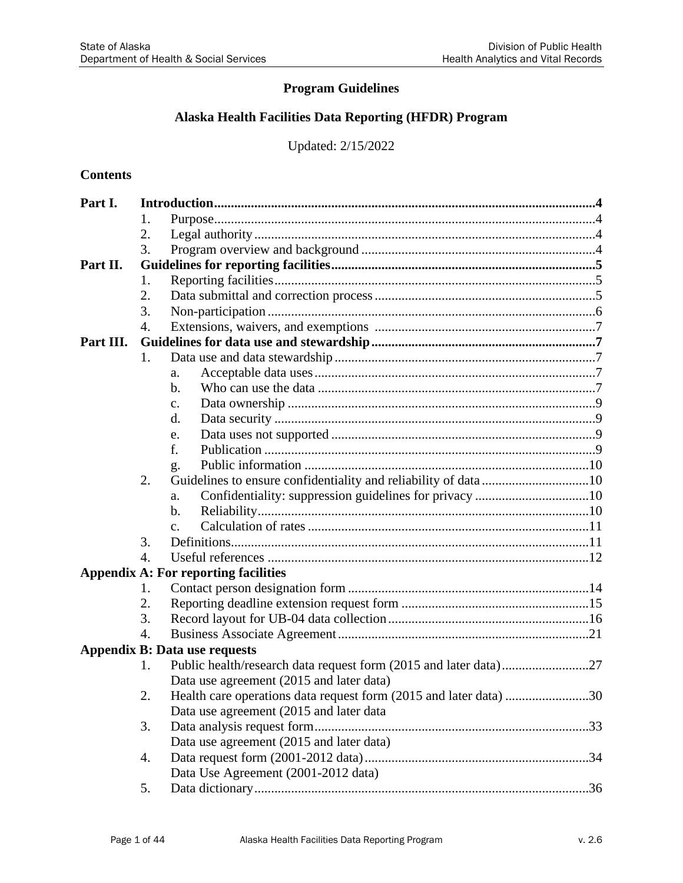## **Program Guidelines**

## **Alaska Health Facilities Data Reporting (HFDR) Program**

Updated: 2/15/2022

### **Contents**

| Part I.   |                  |                                                                   |  |  |  |  |
|-----------|------------------|-------------------------------------------------------------------|--|--|--|--|
|           | 1.               |                                                                   |  |  |  |  |
|           | 2.               |                                                                   |  |  |  |  |
|           | 3.               |                                                                   |  |  |  |  |
| Part II.  |                  |                                                                   |  |  |  |  |
|           | 1.               |                                                                   |  |  |  |  |
|           | 2.               |                                                                   |  |  |  |  |
|           | 3.               |                                                                   |  |  |  |  |
|           | $\overline{4}$ . |                                                                   |  |  |  |  |
| Part III. |                  |                                                                   |  |  |  |  |
|           | 1.               |                                                                   |  |  |  |  |
|           |                  | a.                                                                |  |  |  |  |
|           |                  | b.                                                                |  |  |  |  |
|           |                  | $\mathbf{C}$ .                                                    |  |  |  |  |
|           |                  | d.                                                                |  |  |  |  |
|           |                  | e.                                                                |  |  |  |  |
|           |                  | f.                                                                |  |  |  |  |
|           |                  | g.                                                                |  |  |  |  |
|           | 2.               | Guidelines to ensure confidentiality and reliability of data10    |  |  |  |  |
|           |                  | Confidentiality: suppression guidelines for privacy 10<br>a.      |  |  |  |  |
|           |                  | b.                                                                |  |  |  |  |
|           |                  | $\mathbf{C}$ .                                                    |  |  |  |  |
|           | 3.               |                                                                   |  |  |  |  |
|           | $\overline{4}$ . |                                                                   |  |  |  |  |
|           |                  | <b>Appendix A: For reporting facilities</b>                       |  |  |  |  |
|           | 1.               |                                                                   |  |  |  |  |
|           | 2.               |                                                                   |  |  |  |  |
|           | 3.               |                                                                   |  |  |  |  |
|           | $\overline{4}$ . |                                                                   |  |  |  |  |
|           |                  | <b>Appendix B: Data use requests</b>                              |  |  |  |  |
|           | 1.               |                                                                   |  |  |  |  |
|           |                  | Data use agreement (2015 and later data)                          |  |  |  |  |
|           | 2.               | Health care operations data request form (2015 and later data) 30 |  |  |  |  |
|           |                  | Data use agreement (2015 and later data                           |  |  |  |  |
|           | 3.               |                                                                   |  |  |  |  |
|           |                  | Data use agreement (2015 and later data)                          |  |  |  |  |
|           | 4.               |                                                                   |  |  |  |  |
|           |                  | Data Use Agreement (2001-2012 data)                               |  |  |  |  |
|           | 5.               |                                                                   |  |  |  |  |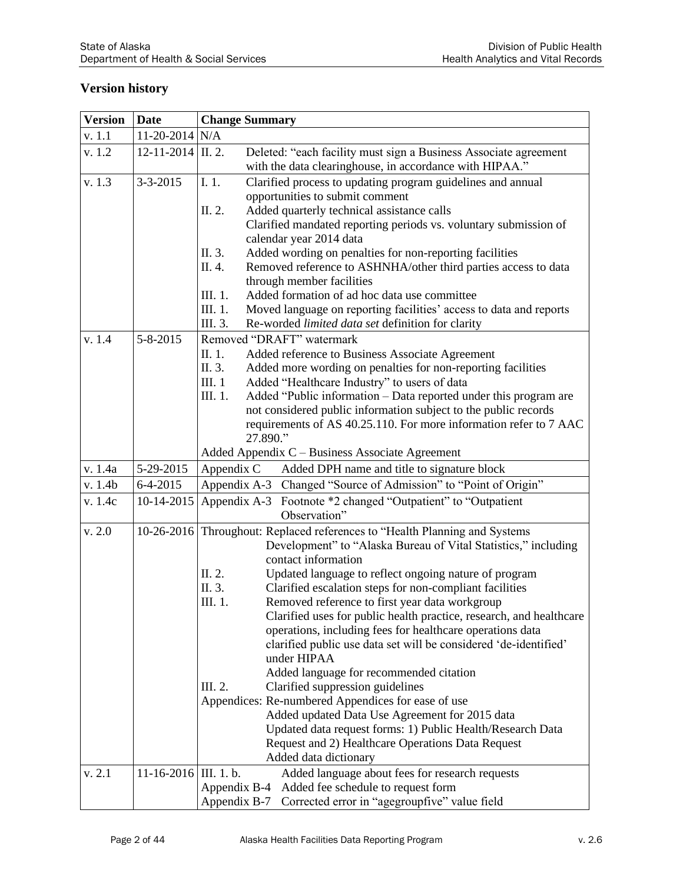## **Version history**

| <b>Version</b> | <b>Date</b>           | <b>Change Summary</b>                                                                                                                         |  |  |  |
|----------------|-----------------------|-----------------------------------------------------------------------------------------------------------------------------------------------|--|--|--|
| v. 1.1         | 11-20-2014 N/A        |                                                                                                                                               |  |  |  |
| v. 1.2         | $12-11-2014$ II. 2.   | Deleted: "each facility must sign a Business Associate agreement<br>with the data clearinghouse, in accordance with HIPAA."                   |  |  |  |
| v. 1.3         | $3 - 3 - 2015$        | I. 1.<br>Clarified process to updating program guidelines and annual                                                                          |  |  |  |
|                |                       | opportunities to submit comment                                                                                                               |  |  |  |
|                |                       | Added quarterly technical assistance calls<br>II. 2.                                                                                          |  |  |  |
|                |                       | Clarified mandated reporting periods vs. voluntary submission of                                                                              |  |  |  |
|                |                       | calendar year 2014 data                                                                                                                       |  |  |  |
|                |                       | II. 3.<br>Added wording on penalties for non-reporting facilities<br>Removed reference to ASHNHA/other third parties access to data<br>II. 4. |  |  |  |
|                |                       | through member facilities                                                                                                                     |  |  |  |
|                |                       | III. 1.<br>Added formation of ad hoc data use committee                                                                                       |  |  |  |
|                |                       | Moved language on reporting facilities' access to data and reports<br>III. 1.                                                                 |  |  |  |
|                |                       | III. 3.<br>Re-worded limited data set definition for clarity                                                                                  |  |  |  |
| v. 1.4         | $5 - 8 - 2015$        | Removed "DRAFT" watermark                                                                                                                     |  |  |  |
|                |                       | II. 1.<br>Added reference to Business Associate Agreement                                                                                     |  |  |  |
|                |                       | II. 3.<br>Added more wording on penalties for non-reporting facilities<br>III. 1<br>Added "Healthcare Industry" to users of data              |  |  |  |
|                |                       | Added "Public information – Data reported under this program are<br>III. 1.                                                                   |  |  |  |
|                |                       | not considered public information subject to the public records                                                                               |  |  |  |
|                |                       | requirements of AS 40.25.110. For more information refer to 7 AAC                                                                             |  |  |  |
|                |                       | 27.890."                                                                                                                                      |  |  |  |
|                |                       | Added Appendix C – Business Associate Agreement                                                                                               |  |  |  |
| v. 1.4a        | 5-29-2015             | Added DPH name and title to signature block<br>Appendix C                                                                                     |  |  |  |
| v. 1.4b        | $6-4-2015$            | Appendix A-3 Changed "Source of Admission" to "Point of Origin"                                                                               |  |  |  |
| v. 1.4c        | 10-14-2015            | Appendix A-3 Footnote *2 changed "Outpatient" to "Outpatient<br>Observation"                                                                  |  |  |  |
| v. 2.0         |                       | 10-26-2016 Throughout: Replaced references to "Health Planning and Systems"                                                                   |  |  |  |
|                |                       | Development" to "Alaska Bureau of Vital Statistics," including                                                                                |  |  |  |
|                |                       | contact information                                                                                                                           |  |  |  |
|                |                       | Updated language to reflect ongoing nature of program<br>II. 2.                                                                               |  |  |  |
|                |                       | II. 3.<br>Clarified escalation steps for non-compliant facilities<br>III. 1.                                                                  |  |  |  |
|                |                       | Removed reference to first year data workgroup<br>Clarified uses for public health practice, research, and healthcare                         |  |  |  |
|                |                       | operations, including fees for healthcare operations data                                                                                     |  |  |  |
|                |                       | clarified public use data set will be considered 'de-identified'                                                                              |  |  |  |
|                |                       | under HIPAA                                                                                                                                   |  |  |  |
|                |                       | Added language for recommended citation                                                                                                       |  |  |  |
|                |                       | III. 2.<br>Clarified suppression guidelines                                                                                                   |  |  |  |
|                |                       | Appendices: Re-numbered Appendices for ease of use                                                                                            |  |  |  |
|                |                       | Added updated Data Use Agreement for 2015 data                                                                                                |  |  |  |
|                |                       | Updated data request forms: 1) Public Health/Research Data<br>Request and 2) Healthcare Operations Data Request                               |  |  |  |
|                |                       | Added data dictionary                                                                                                                         |  |  |  |
| v. 2.1         | 11-16-2016 III. 1. b. | Added language about fees for research requests                                                                                               |  |  |  |
|                |                       | Appendix B-4 Added fee schedule to request form                                                                                               |  |  |  |
|                |                       | Appendix B-7 Corrected error in "agegroupfive" value field                                                                                    |  |  |  |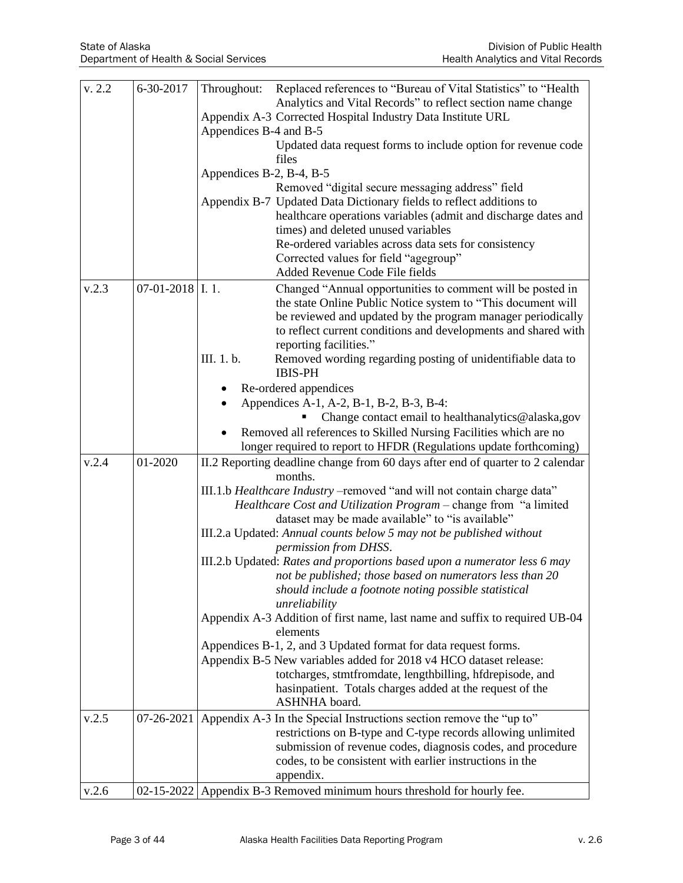| v. 2.2 | 6-30-2017          | Replaced references to "Bureau of Vital Statistics" to "Health<br>Throughout:                                                           |
|--------|--------------------|-----------------------------------------------------------------------------------------------------------------------------------------|
|        |                    | Analytics and Vital Records" to reflect section name change                                                                             |
|        |                    | Appendix A-3 Corrected Hospital Industry Data Institute URL                                                                             |
|        |                    | Appendices B-4 and B-5                                                                                                                  |
|        |                    | Updated data request forms to include option for revenue code                                                                           |
|        |                    | files                                                                                                                                   |
|        |                    | Appendices B-2, B-4, B-5                                                                                                                |
|        |                    | Removed "digital secure messaging address" field<br>Appendix B-7 Updated Data Dictionary fields to reflect additions to                 |
|        |                    | healthcare operations variables (admit and discharge dates and                                                                          |
|        |                    | times) and deleted unused variables                                                                                                     |
|        |                    | Re-ordered variables across data sets for consistency                                                                                   |
|        |                    | Corrected values for field "agegroup"                                                                                                   |
|        |                    | Added Revenue Code File fields                                                                                                          |
| v.2.3  | $07-01-2018$ I. 1. | Changed "Annual opportunities to comment will be posted in                                                                              |
|        |                    | the state Online Public Notice system to "This document will                                                                            |
|        |                    | be reviewed and updated by the program manager periodically                                                                             |
|        |                    | to reflect current conditions and developments and shared with                                                                          |
|        |                    | reporting facilities."                                                                                                                  |
|        |                    | III. 1. b.<br>Removed wording regarding posting of unidentifiable data to                                                               |
|        |                    | <b>IBIS-PH</b>                                                                                                                          |
|        |                    | Re-ordered appendices                                                                                                                   |
|        |                    | Appendices A-1, A-2, B-1, B-2, B-3, B-4:                                                                                                |
|        |                    | Change contact email to healthanalytics@alaska,gov                                                                                      |
|        |                    | Removed all references to Skilled Nursing Facilities which are no<br>longer required to report to HFDR (Regulations update forthcoming) |
| v.2.4  | 01-2020            |                                                                                                                                         |
|        |                    | II.2 Reporting deadline change from 60 days after end of quarter to 2 calendar<br>months.                                               |
|        |                    | III.1.b Healthcare Industry - removed "and will not contain charge data"                                                                |
|        |                    | Healthcare Cost and Utilization Program - change from "a limited                                                                        |
|        |                    | dataset may be made available" to "is available"                                                                                        |
|        |                    | III.2.a Updated: Annual counts below 5 may not be published without                                                                     |
|        |                    | permission from DHSS.                                                                                                                   |
|        |                    | III.2.b Updated: Rates and proportions based upon a numerator less 6 may                                                                |
|        |                    | not be published; those based on numerators less than 20                                                                                |
|        |                    | should include a footnote noting possible statistical                                                                                   |
|        |                    | unreliability                                                                                                                           |
|        |                    | Appendix A-3 Addition of first name, last name and suffix to required UB-04<br>elements                                                 |
|        |                    | Appendices B-1, 2, and 3 Updated format for data request forms.                                                                         |
|        |                    | Appendix B-5 New variables added for 2018 v4 HCO dataset release:                                                                       |
|        |                    | totcharges, stmtfromdate, lengthbilling, hfdrepisode, and                                                                               |
|        |                    | hasinpatient. Totals charges added at the request of the                                                                                |
|        |                    | <b>ASHNHA</b> board.                                                                                                                    |
| v.2.5  | 07-26-2021         | Appendix A-3 In the Special Instructions section remove the "up to"                                                                     |
|        |                    | restrictions on B-type and C-type records allowing unlimited                                                                            |
|        |                    | submission of revenue codes, diagnosis codes, and procedure                                                                             |
|        |                    | codes, to be consistent with earlier instructions in the                                                                                |
|        |                    | appendix.                                                                                                                               |
| v.2.6  |                    | 02-15-2022 Appendix B-3 Removed minimum hours threshold for hourly fee.                                                                 |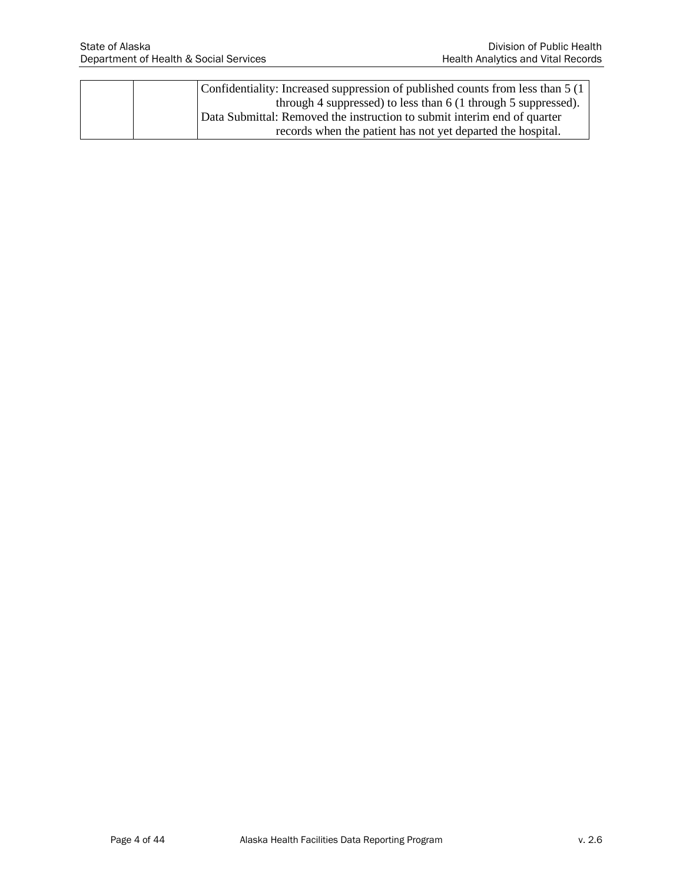|  | Confidentiality: Increased suppression of published counts from less than 5 (1) |
|--|---------------------------------------------------------------------------------|
|  | through 4 suppressed) to less than $6(1$ through 5 suppressed).                 |
|  | Data Submittal: Removed the instruction to submit interim end of quarter        |
|  | records when the patient has not yet departed the hospital.                     |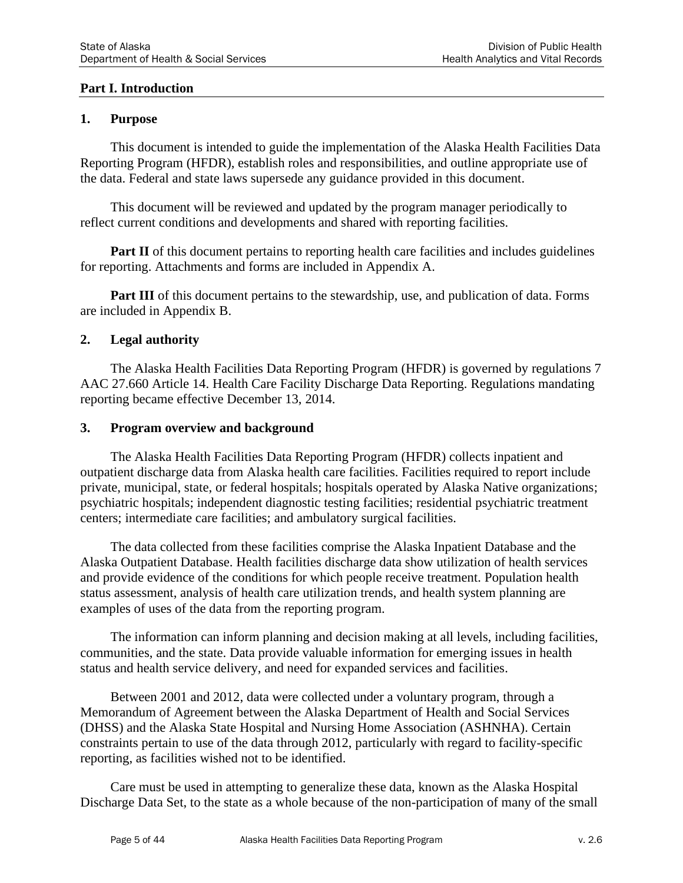### **Part I. Introduction**

### **1. Purpose**

This document is intended to guide the implementation of the Alaska Health Facilities Data Reporting Program (HFDR), establish roles and responsibilities, and outline appropriate use of the data. Federal and state laws supersede any guidance provided in this document.

This document will be reviewed and updated by the program manager periodically to reflect current conditions and developments and shared with reporting facilities.

**Part II** of this document pertains to reporting health care facilities and includes guidelines for reporting. Attachments and forms are included in Appendix A.

**Part III** of this document pertains to the stewardship, use, and publication of data. Forms are included in Appendix B.

#### **2. Legal authority**

The Alaska Health Facilities Data Reporting Program (HFDR) is governed by regulations 7 AAC 27.660 Article 14. Health Care Facility Discharge Data Reporting. Regulations mandating reporting became effective December 13, 2014.

#### **3. Program overview and background**

The Alaska Health Facilities Data Reporting Program (HFDR) collects inpatient and outpatient discharge data from Alaska health care facilities. Facilities required to report include private, municipal, state, or federal hospitals; hospitals operated by Alaska Native organizations; psychiatric hospitals; independent diagnostic testing facilities; residential psychiatric treatment centers; intermediate care facilities; and ambulatory surgical facilities.

The data collected from these facilities comprise the Alaska Inpatient Database and the Alaska Outpatient Database. Health facilities discharge data show utilization of health services and provide evidence of the conditions for which people receive treatment. Population health status assessment, analysis of health care utilization trends, and health system planning are examples of uses of the data from the reporting program.

The information can inform planning and decision making at all levels, including facilities, communities, and the state. Data provide valuable information for emerging issues in health status and health service delivery, and need for expanded services and facilities.

Between 2001 and 2012, data were collected under a voluntary program, through a Memorandum of Agreement between the Alaska Department of Health and Social Services (DHSS) and the Alaska State Hospital and Nursing Home Association (ASHNHA). Certain constraints pertain to use of the data through 2012, particularly with regard to facility-specific reporting, as facilities wished not to be identified.

Care must be used in attempting to generalize these data, known as the Alaska Hospital Discharge Data Set, to the state as a whole because of the non-participation of many of the small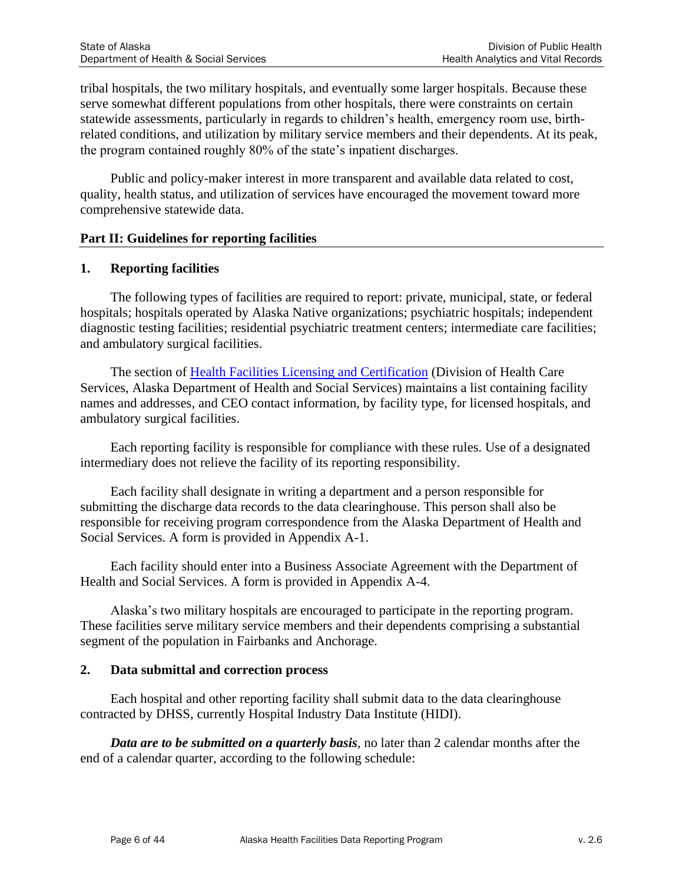tribal hospitals, the two military hospitals, and eventually some larger hospitals. Because these serve somewhat different populations from other hospitals, there were constraints on certain statewide assessments, particularly in regards to children's health, emergency room use, birthrelated conditions, and utilization by military service members and their dependents. At its peak, the program contained roughly 80% of the state's inpatient discharges.

Public and policy-maker interest in more transparent and available data related to cost, quality, health status, and utilization of services have encouraged the movement toward more comprehensive statewide data.

### **Part II: Guidelines for reporting facilities**

### **1. Reporting facilities**

The following types of facilities are required to report: private, municipal, state, or federal hospitals; hospitals operated by Alaska Native organizations; psychiatric hospitals; independent diagnostic testing facilities; residential psychiatric treatment centers; intermediate care facilities; and ambulatory surgical facilities.

The section of [Health Facilities Licensing and Certification](http://dhss.alaska.gov/dhcs/Pages/hflc/default.aspx) (Division of Health Care Services, Alaska Department of Health and Social Services) maintains a list containing facility names and addresses, and CEO contact information, by facility type, for licensed hospitals, and ambulatory surgical facilities.

Each reporting facility is responsible for compliance with these rules. Use of a designated intermediary does not relieve the facility of its reporting responsibility.

Each facility shall designate in writing a department and a person responsible for submitting the discharge data records to the data clearinghouse. This person shall also be responsible for receiving program correspondence from the Alaska Department of Health and Social Services. A form is provided in Appendix A-1.

Each facility should enter into a Business Associate Agreement with the Department of Health and Social Services. A form is provided in Appendix A-4.

Alaska's two military hospitals are encouraged to participate in the reporting program. These facilities serve military service members and their dependents comprising a substantial segment of the population in Fairbanks and Anchorage.

### **2. Data submittal and correction process**

Each hospital and other reporting facility shall submit data to the data clearinghouse contracted by DHSS, currently Hospital Industry Data Institute (HIDI).

*Data are to be submitted on a quarterly basis*, no later than 2 calendar months after the end of a calendar quarter, according to the following schedule: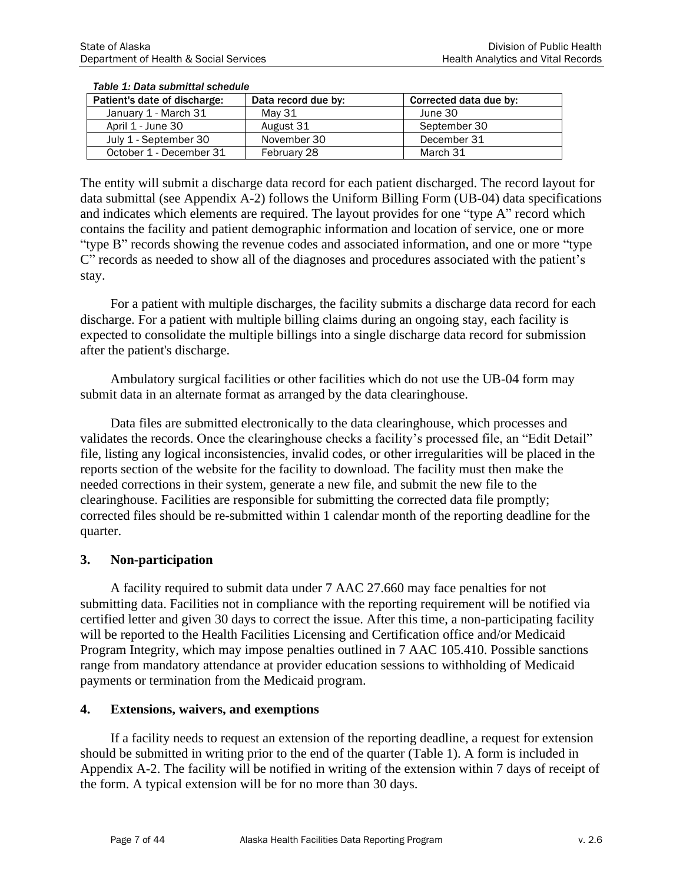| Patient's date of discharge: | Data record due by: | Corrected data due by: |
|------------------------------|---------------------|------------------------|
| January 1 - March 31         | May 31              | June 30                |
| April 1 - June 30            | August 31           | September 30           |
| July 1 - September 30        | November 30         | December 31            |
| October 1 - December 31      | February 28         | March 31               |

#### *Table 1: Data submittal schedule*

The entity will submit a discharge data record for each patient discharged. The record layout for data submittal (see Appendix A-2) follows the Uniform Billing Form (UB-04) data specifications and indicates which elements are required. The layout provides for one "type A" record which contains the facility and patient demographic information and location of service, one or more "type B" records showing the revenue codes and associated information, and one or more "type C" records as needed to show all of the diagnoses and procedures associated with the patient's stay.

For a patient with multiple discharges, the facility submits a discharge data record for each discharge. For a patient with multiple billing claims during an ongoing stay, each facility is expected to consolidate the multiple billings into a single discharge data record for submission after the patient's discharge.

Ambulatory surgical facilities or other facilities which do not use the UB-04 form may submit data in an alternate format as arranged by the data clearinghouse.

Data files are submitted electronically to the data clearinghouse, which processes and validates the records. Once the clearinghouse checks a facility's processed file, an "Edit Detail" file, listing any logical inconsistencies, invalid codes, or other irregularities will be placed in the reports section of the website for the facility to download. The facility must then make the needed corrections in their system, generate a new file, and submit the new file to the clearinghouse. Facilities are responsible for submitting the corrected data file promptly; corrected files should be re-submitted within 1 calendar month of the reporting deadline for the quarter.

#### **3. Non-participation**

A facility required to submit data under 7 AAC 27.660 may face penalties for not submitting data. Facilities not in compliance with the reporting requirement will be notified via certified letter and given 30 days to correct the issue. After this time, a non-participating facility will be reported to the Health Facilities Licensing and Certification office and/or Medicaid Program Integrity, which may impose penalties outlined in 7 AAC 105.410. Possible sanctions range from mandatory attendance at provider education sessions to withholding of Medicaid payments or termination from the Medicaid program.

#### **4. Extensions, waivers, and exemptions**

If a facility needs to request an extension of the reporting deadline, a request for extension should be submitted in writing prior to the end of the quarter (Table 1). A form is included in Appendix A-2. The facility will be notified in writing of the extension within 7 days of receipt of the form. A typical extension will be for no more than 30 days.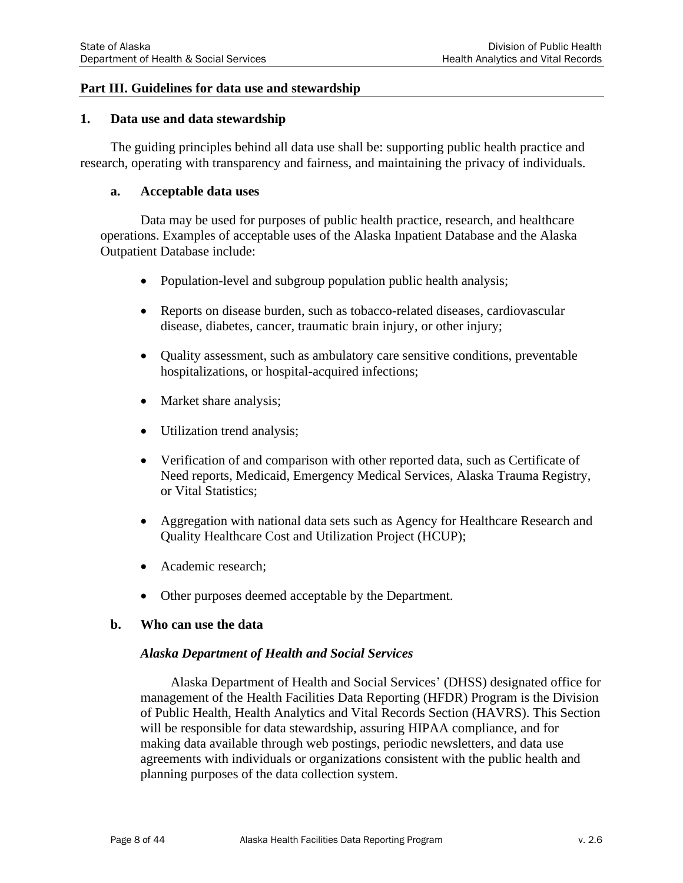#### **Part III. Guidelines for data use and stewardship**

#### **1. [Data use and data stewardship](http://www.rules.utah.gov/publicat/code/r428/r428-010.htm#E3)**

The guiding principles behind all data use shall be: supporting public health practice and research, operating with transparency and fairness, and maintaining the privacy of individuals.

#### **a. Acceptable data uses**

Data may be used for purposes of public health practice, research, and healthcare operations. Examples of acceptable uses of the Alaska Inpatient Database and the Alaska Outpatient Database include:

- Population-level and subgroup population public health analysis;
- Reports on disease burden, such as tobacco-related diseases, cardiovascular disease, diabetes, cancer, traumatic brain injury, or other injury;
- Quality assessment, such as ambulatory care sensitive conditions, preventable hospitalizations, or hospital-acquired infections;
- Market share analysis;
- Utilization trend analysis;
- Verification of and comparison with other reported data, such as Certificate of Need reports, Medicaid, Emergency Medical Services, Alaska Trauma Registry, or Vital Statistics;
- Aggregation with national data sets such as Agency for Healthcare Research and Quality Healthcare Cost and Utilization Project (HCUP);
- Academic research:
- Other purposes deemed acceptable by the Department.

#### **b. Who can use the data**

#### *Alaska Department of Health and Social Services*

Alaska Department of Health and Social Services' (DHSS) designated office for management of the Health Facilities Data Reporting (HFDR) Program is the Division of Public Health, Health Analytics and Vital Records Section (HAVRS). This Section will be responsible for data stewardship, assuring HIPAA compliance, and for making data available through web postings, periodic newsletters, and data use agreements with individuals or organizations consistent with the public health and planning purposes of the data collection system.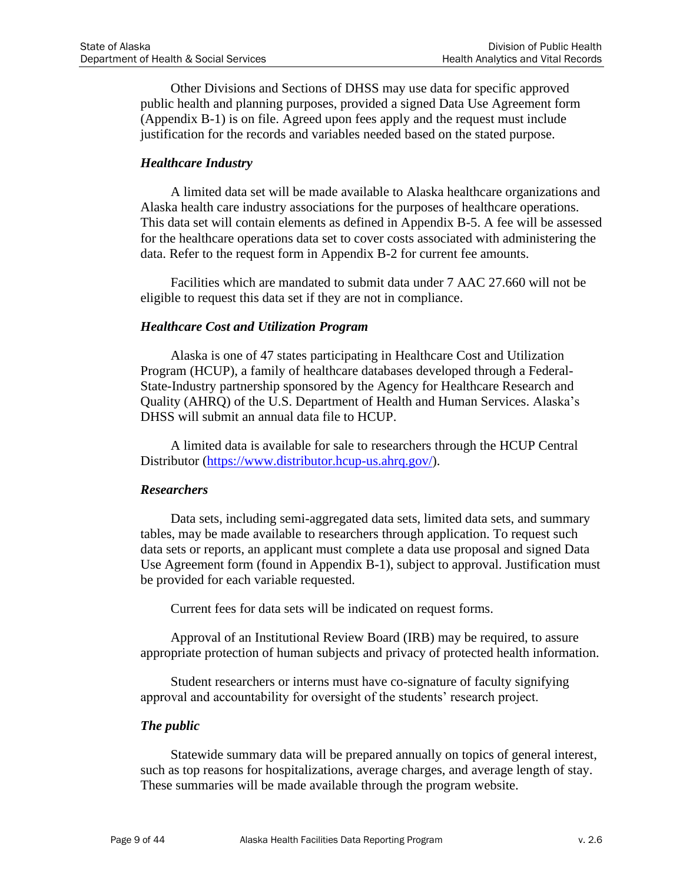Other Divisions and Sections of DHSS may use data for specific approved public health and planning purposes, provided a signed Data Use Agreement form (Appendix B-1) is on file. Agreed upon fees apply and the request must include justification for the records and variables needed based on the stated purpose.

### *Healthcare Industry*

A limited data set will be made available to Alaska healthcare organizations and Alaska health care industry associations for the purposes of healthcare operations. This data set will contain elements as defined in Appendix B-5. A fee will be assessed for the healthcare operations data set to cover costs associated with administering the data. Refer to the request form in Appendix B-2 for current fee amounts.

Facilities which are mandated to submit data under 7 AAC 27.660 will not be eligible to request this data set if they are not in compliance.

#### *Healthcare Cost and Utilization Program*

Alaska is one of 47 states participating in Healthcare Cost and Utilization Program (HCUP), a family of healthcare databases developed through a Federal-State-Industry partnership sponsored by the Agency for Healthcare Research and Quality (AHRQ) of the U.S. Department of Health and Human Services. Alaska's DHSS will submit an annual data file to HCUP.

A limited data is available for sale to researchers through the HCUP Central Distributor [\(https://www.distributor.hcup-us.ahrq.gov/\)](https://www.distributor.hcup-us.ahrq.gov/).

#### *Researchers*

Data sets, including semi-aggregated data sets, limited data sets, and summary tables, may be made available to researchers through application. To request such data sets or reports, an applicant must complete a data use proposal and signed Data Use Agreement form (found in Appendix B-1), subject to approval. Justification must be provided for each variable requested.

Current fees for data sets will be indicated on request forms.

Approval of an Institutional Review Board (IRB) may be required, to assure appropriate protection of human subjects and privacy of protected health information.

Student researchers or interns must have co-signature of faculty signifying approval and accountability for oversight of the students' research project.

#### *The public*

Statewide summary data will be prepared annually on topics of general interest, such as top reasons for hospitalizations, average charges, and average length of stay. These summaries will be made available through the program website.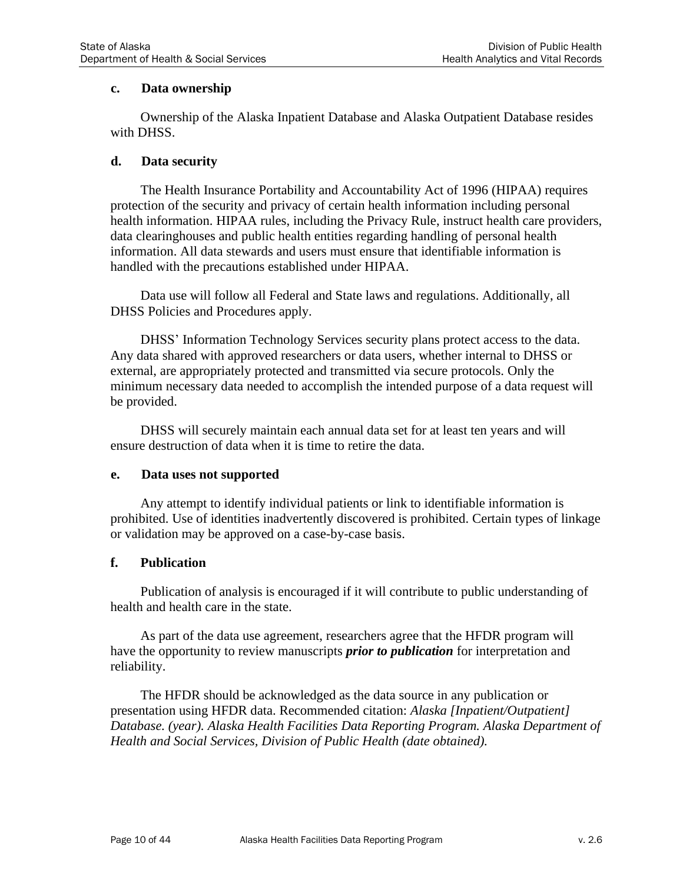### **c. Data ownership**

Ownership of the Alaska Inpatient Database and Alaska Outpatient Database resides with DHSS.

### **d. Data security**

The Health Insurance Portability and Accountability Act of 1996 (HIPAA) requires protection of the security and privacy of certain health information including personal health information. HIPAA rules, including the Privacy Rule, instruct health care providers, data clearinghouses and public health entities regarding handling of personal health information. All data stewards and users must ensure that identifiable information is handled with the precautions established under HIPAA.

Data use will follow all Federal and State laws and regulations. Additionally, all DHSS Policies and Procedures apply.

DHSS' Information Technology Services security plans protect access to the data. Any data shared with approved researchers or data users, whether internal to DHSS or external, are appropriately protected and transmitted via secure protocols. Only the minimum necessary data needed to accomplish the intended purpose of a data request will be provided.

DHSS will securely maintain each annual data set for at least ten years and will ensure destruction of data when it is time to retire the data.

#### **e. Data uses not supported**

Any attempt to identify individual patients or link to identifiable information is prohibited. Use of identities inadvertently discovered is prohibited. Certain types of linkage or validation may be approved on a case-by-case basis.

#### **f. Publication**

Publication of analysis is encouraged if it will contribute to public understanding of health and health care in the state.

As part of the data use agreement, researchers agree that the HFDR program will have the opportunity to review manuscripts *prior to publication* for interpretation and reliability.

The HFDR should be acknowledged as the data source in any publication or presentation using HFDR data. Recommended citation: *Alaska [Inpatient/Outpatient] Database. (year). Alaska Health Facilities Data Reporting Program. Alaska Department of Health and Social Services, Division of Public Health (date obtained).*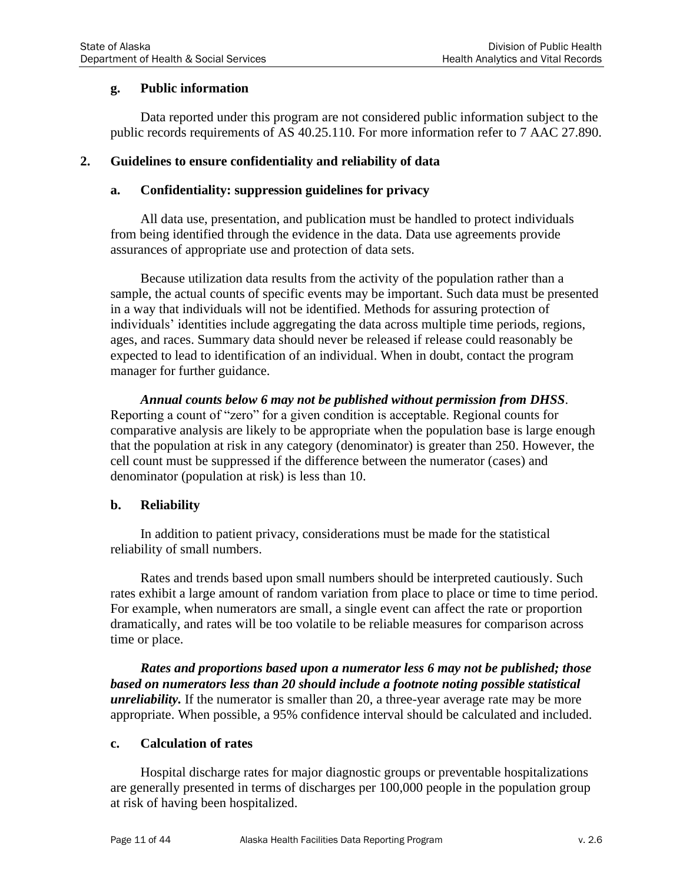### **g. Public information**

Data reported under this program are not considered public information subject to the public records requirements of AS 40.25.110. For more information refer to 7 AAC 27.890.

### **2. Guidelines to ensure confidentiality and reliability of data**

### **a. Confidentiality: suppression guidelines for privacy**

All data use, presentation, and publication must be handled to protect individuals from being identified through the evidence in the data. Data use agreements provide assurances of appropriate use and protection of data sets.

Because utilization data results from the activity of the population rather than a sample, the actual counts of specific events may be important. Such data must be presented in a way that individuals will not be identified. Methods for assuring protection of individuals' identities include aggregating the data across multiple time periods, regions, ages, and races. Summary data should never be released if release could reasonably be expected to lead to identification of an individual. When in doubt, contact the program manager for further guidance.

*Annual counts below 6 may not be published without permission from DHSS*. Reporting a count of "zero" for a given condition is acceptable. Regional counts for comparative analysis are likely to be appropriate when the population base is large enough that the population at risk in any category (denominator) is greater than 250. However, the cell count must be suppressed if the difference between the numerator (cases) and denominator (population at risk) is less than 10.

#### **b. Reliability**

In addition to patient privacy, considerations must be made for the statistical reliability of small numbers.

Rates and trends based upon small numbers should be interpreted cautiously. Such rates exhibit a large amount of random variation from place to place or time to time period. For example, when numerators are small, a single event can affect the rate or proportion dramatically, and rates will be too volatile to be reliable measures for comparison across time or place.

*Rates and proportions based upon a numerator less 6 may not be published; those based on numerators less than 20 should include a footnote noting possible statistical unreliability*. If the numerator is smaller than 20, a three-year average rate may be more appropriate. When possible, a 95% confidence interval should be calculated and included.

#### **c. Calculation of rates**

Hospital discharge rates for major diagnostic groups or preventable hospitalizations are generally presented in terms of discharges per 100,000 people in the population group at risk of having been hospitalized.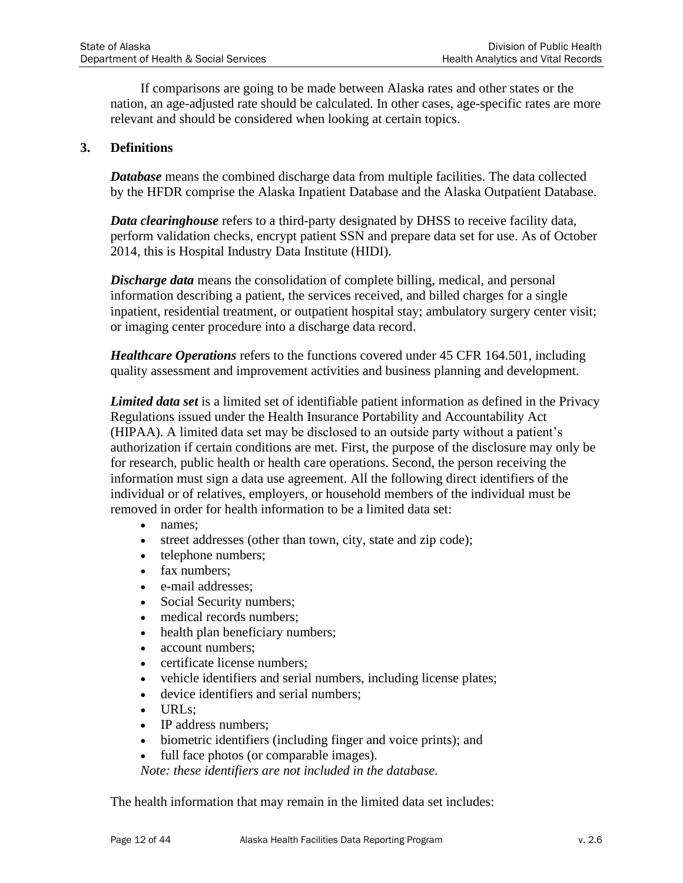If comparisons are going to be made between Alaska rates and other states or the nation, an age-adjusted rate should be calculated. In other cases, age-specific rates are more relevant and should be considered when looking at certain topics.

### **3. [Definitions](http://www.rules.utah.gov/publicat/code/r428/r428-010.htm#E3)**

*Database* means the combined discharge data from multiple facilities. The data collected by the HFDR comprise the Alaska Inpatient Database and the Alaska Outpatient Database.

*Data clearinghouse* refers to a third-party designated by DHSS to receive facility data, perform validation checks, encrypt patient SSN and prepare data set for use. As of October 2014, this is Hospital Industry Data Institute (HIDI).

*Discharge data* means the consolidation of complete billing, medical, and personal information describing a patient, the services received, and billed charges for a single inpatient, residential treatment, or outpatient hospital stay; ambulatory surgery center visit; or imaging center procedure into a discharge data record.

*Healthcare Operations* refers to the functions covered under 45 CFR 164.501, including quality assessment and improvement activities and business planning and development.

*Limited data set* is a limited set of identifiable patient information as defined in the Privacy Regulations issued under the Health Insurance Portability and Accountability Act (HIPAA). A limited data set may be disclosed to an outside party without a patient's authorization if certain conditions are met. First, the purpose of the disclosure may only be for research, public health or health care operations. Second, the person receiving the information must sign a data use agreement. All the following direct identifiers of the individual or of relatives, employers, or household members of the individual must be removed in order for health information to be a limited data set:

#### • names;

- street addresses (other than town, city, state and zip code);
- telephone numbers;
- fax numbers:
- e-mail addresses;
- Social Security numbers;
- medical records numbers;
- health plan beneficiary numbers;
- account numbers:
- certificate license numbers:
- vehicle identifiers and serial numbers, including license plates;
- device identifiers and serial numbers;
- URLs;
- IP address numbers:
- biometric identifiers (including finger and voice prints); and
- full face photos (or comparable images).

*Note: these identifiers are not included in the database.*

The health information that may remain in the limited data set includes: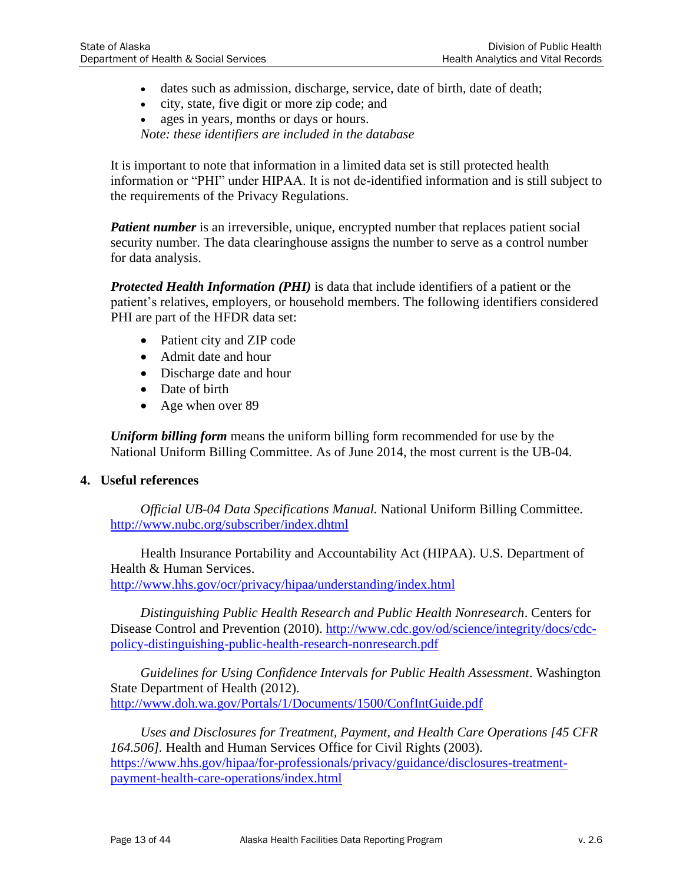- dates such as admission, discharge, service, date of birth, date of death;
- city, state, five digit or more zip code; and
- ages in years, months or days or hours.

*Note: these identifiers are included in the database*

It is important to note that information in a limited data set is still protected health information or "PHI" under HIPAA. It is not de-identified information and is still subject to the requirements of the Privacy Regulations.

*Patient number* is an irreversible, unique, encrypted number that replaces patient social security number. The data clearinghouse assigns the number to serve as a control number for data analysis.

*Protected Health Information (PHI)* is data that include identifiers of a patient or the patient's relatives, employers, or household members. The following identifiers considered PHI are part of the HFDR data set:

- Patient city and ZIP code
- Admit date and hour
- Discharge date and hour
- Date of birth
- Age when over 89

*Uniform billing form* means the uniform billing form recommended for use by the National Uniform Billing Committee. As of June 2014, the most current is the UB-04.

#### **4. Useful references**

*Official UB-04 Data Specifications Manual.* National Uniform Billing Committee. <http://www.nubc.org/subscriber/index.dhtml>

Health Insurance Portability and Accountability Act (HIPAA). U.S. Department of Health & Human Services. <http://www.hhs.gov/ocr/privacy/hipaa/understanding/index.html>

*Distinguishing Public Health Research and Public Health Nonresearch*. Centers for Disease Control and Prevention (2010). [http://www.cdc.gov/od/science/integrity/docs/cdc](http://www.cdc.gov/od/science/integrity/docs/cdc-policy-distinguishing-public-health-research-nonresearch.pdf)[policy-distinguishing-public-health-research-nonresearch.pdf](http://www.cdc.gov/od/science/integrity/docs/cdc-policy-distinguishing-public-health-research-nonresearch.pdf)

*Guidelines for Using Confidence Intervals for Public Health Assessment*. Washington State Department of Health (2012). <http://www.doh.wa.gov/Portals/1/Documents/1500/ConfIntGuide.pdf>

*Uses and Disclosures for Treatment, Payment, and Health Care Operations [45 CFR 164.506].* Health and Human Services Office for Civil Rights (2003). [https://www.hhs.gov/hipaa/for-professionals/privacy/guidance/disclosures-treatment](https://www.hhs.gov/hipaa/for-professionals/privacy/guidance/disclosures-treatment-payment-health-care-operations/index.html)[payment-health-care-operations/index.html](https://www.hhs.gov/hipaa/for-professionals/privacy/guidance/disclosures-treatment-payment-health-care-operations/index.html)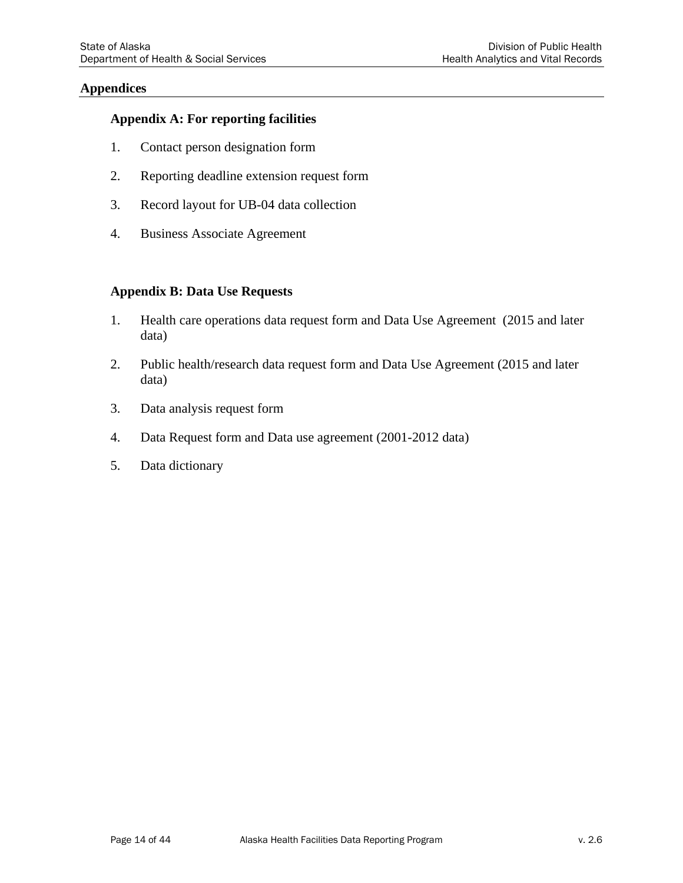#### **Appendices**

#### **Appendix A: For reporting facilities**

- 1. Contact person designation form
- 2. Reporting deadline extension request form
- 3. Record layout for UB-04 data collection
- 4. Business Associate Agreement

#### **Appendix B: Data Use Requests**

- 1. Health care operations data request form and Data Use Agreement (2015 and later data)
- 2. Public health/research data request form and Data Use Agreement (2015 and later data)
- 3. Data analysis request form
- 4. Data Request form and Data use agreement (2001-2012 data)
- 5. Data dictionary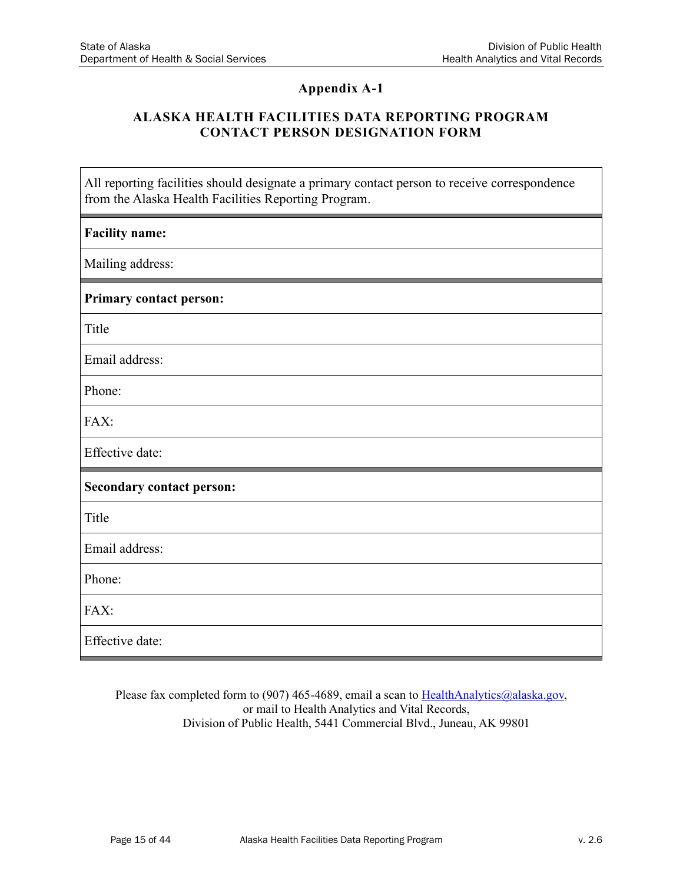$\mathbf{I}$ 

٦

## **Appendix A-1**

### **ALASKA HEALTH FACILITIES DATA REPORTING PROGRAM CONTACT PERSON DESIGNATION FORM**

| All reporting facilities should designate a primary contact person to receive correspondence<br>from the Alaska Health Facilities Reporting Program. |
|------------------------------------------------------------------------------------------------------------------------------------------------------|
| <b>Facility name:</b>                                                                                                                                |
| Mailing address:                                                                                                                                     |
| <b>Primary contact person:</b>                                                                                                                       |
| Title                                                                                                                                                |
| Email address:                                                                                                                                       |
| Phone:                                                                                                                                               |
| FAX:                                                                                                                                                 |
| Effective date:                                                                                                                                      |
| <b>Secondary contact person:</b>                                                                                                                     |
| Title                                                                                                                                                |
| Email address:                                                                                                                                       |
| Phone:                                                                                                                                               |
| FAX:                                                                                                                                                 |
| Effective date:                                                                                                                                      |

Please fax completed form to (907) 465-4689, email a scan to  $HealthAnalytics@alaska.gov,$ </u> or mail to Health Analytics and Vital Records, Division of Public Health, 5441 Commercial Blvd., Juneau, AK 99801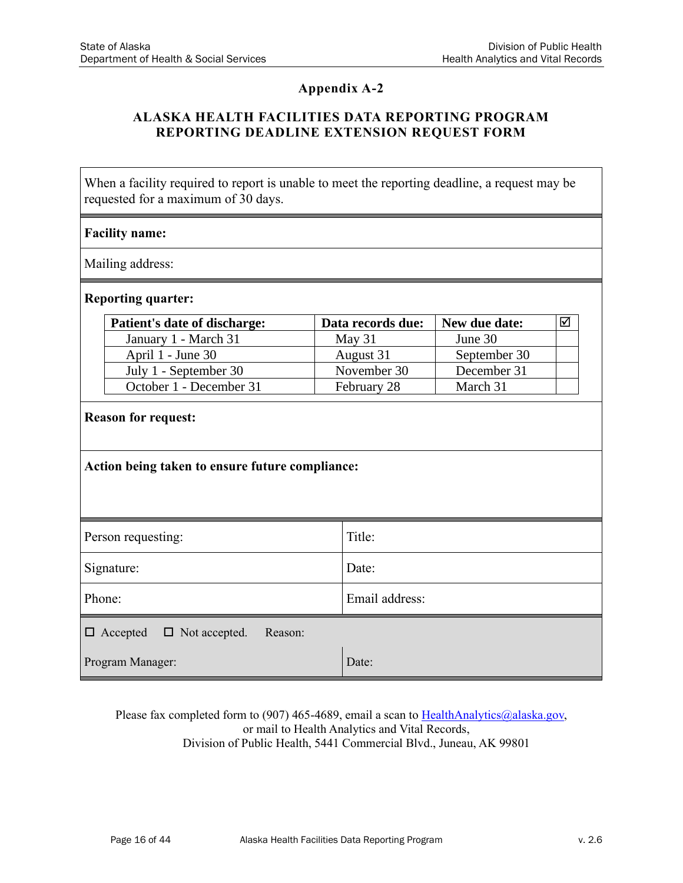### **ALASKA HEALTH FACILITIES DATA REPORTING PROGRAM REPORTING DEADLINE EXTENSION REQUEST FORM**

When a facility required to report is unable to meet the reporting deadline, a request may be requested for a maximum of 30 days.

#### **Facility name:**

Mailing address:

#### **Reporting quarter:**

| Patient's date of discharge: | Data records due: | New due date: |  |
|------------------------------|-------------------|---------------|--|
| January 1 - March 31         | May $31$          | June 30       |  |
| April 1 - June 30            | August 31         | September 30  |  |
| July 1 - September 30        | November 30       | December 31   |  |
| October 1 - December 31      | February 28       | March 31      |  |

#### **Reason for request:**

| Action being taken to ensure future compliance: |
|-------------------------------------------------|
|-------------------------------------------------|

| Person requesting:                              | Title:         |  |  |  |  |  |
|-------------------------------------------------|----------------|--|--|--|--|--|
| Signature:                                      | Date:          |  |  |  |  |  |
| Phone:                                          | Email address: |  |  |  |  |  |
| $\Box$ Accepted $\Box$ Not accepted.<br>Reason: |                |  |  |  |  |  |
| Program Manager:                                | Date:          |  |  |  |  |  |

Please fax completed form to (907) 465-4689, email a scan to [HealthAnalytics@alaska.gov,](mailto:HealthAnalytics@alaska.gov) or mail to Health Analytics and Vital Records, Division of Public Health, 5441 Commercial Blvd., Juneau, AK 99801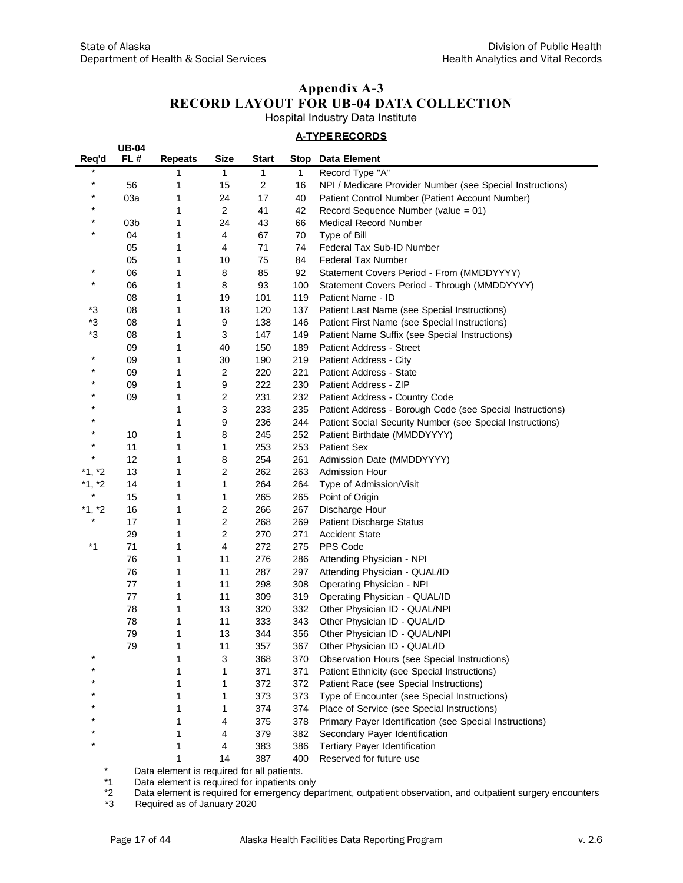**UB-04**

## **Appendix A-3 RECORD LAYOUT FOR UB-04 DATA COLLECTION**

Hospital Industry Data Institute

#### **A-TYPERECORDS**

| Req'd    | FL#             | <b>Repeats</b> | <b>Size</b>    | <b>Start</b>     | <b>Stop</b> | <b>Data Element</b>                                       |
|----------|-----------------|----------------|----------------|------------------|-------------|-----------------------------------------------------------|
| $\star$  |                 | 1              | 1              | 1                | 1           | Record Type "A"                                           |
| $\star$  | 56              | 1              | 15             | $\boldsymbol{2}$ | 16          | NPI / Medicare Provider Number (see Special Instructions) |
| $\star$  | 03a             | 1              | 24             | 17               | 40          | Patient Control Number (Patient Account Number)           |
| $^\star$ |                 | 1              | $\overline{c}$ | 41               | 42          | Record Sequence Number (value = 01)                       |
| $\star$  | 03 <sub>b</sub> | 1              | 24             | 43               | 66          | <b>Medical Record Number</b>                              |
| $^\star$ | 04              | 1              | 4              | 67               | 70          | Type of Bill                                              |
|          | 05              | 1              | 4              | 71               | 74          | Federal Tax Sub-ID Number                                 |
|          | 05              | 1              | 10             | 75               | 84          | Federal Tax Number                                        |
| $\star$  | 06              | 1              | 8              | 85               | 92          | Statement Covers Period - From (MMDDYYYY)                 |
| $\star$  | 06              | 1              | 8              | 93               | 100         | Statement Covers Period - Through (MMDDYYYY)              |
|          | 08              | 1              | 19             | 101              | 119         | Patient Name - ID                                         |
| *3       | 08              | 1              | 18             | 120              | 137         | Patient Last Name (see Special Instructions)              |
| *3       | 08              | 1              | 9              | 138              | 146         | Patient First Name (see Special Instructions)             |
| *3       | 08              | 1              | 3              | 147              | 149         | Patient Name Suffix (see Special Instructions)            |
|          | 09              | 1              | 40             | 150              | 189         | Patient Address - Street                                  |
| $^\star$ | 09              | 1              | 30             | 190              | 219         | Patient Address - City                                    |
| $\star$  | 09              | 1              | 2              | 220              | 221         | Patient Address - State                                   |
| $\star$  | 09              | 1              | 9              | 222              | 230         | Patient Address - ZIP                                     |
| *        | 09              | 1              | 2              | 231              | 232         | Patient Address - Country Code                            |
|          |                 | 1              | 3              | 233              | 235         | Patient Address - Borough Code (see Special Instructions) |
| $\star$  |                 | 1              | 9              | 236              | 244         | Patient Social Security Number (see Special Instructions) |
| $^\star$ | 10              | 1              | 8              | 245              | 252         | Patient Birthdate (MMDDYYYY)                              |
| $^\star$ | 11              | 1              | 1              | 253              | 253         | <b>Patient Sex</b>                                        |
| $^\star$ | 12              | 1              | 8              | 254              | 261         | Admission Date (MMDDYYYY)                                 |
| *1, *2   | 13              | 1              | 2              | 262              | 263         | Admission Hour                                            |
| $*1, *2$ | 14              | 1              | 1              | 264              | 264         | Type of Admission/Visit                                   |
| $\star$  | 15              | 1              | 1              | 265              | 265         | Point of Origin                                           |
| *1, *2   | 16              | 1              | 2              | 266              | 267         | Discharge Hour                                            |
| $^\star$ | 17              | 1              | 2              | 268              | 269         | <b>Patient Discharge Status</b>                           |
|          | 29              | 1              | $\overline{c}$ | 270              | 271         | <b>Accident State</b>                                     |
| $*1$     | 71              | 1              | 4              | 272              | 275         | PPS Code                                                  |
|          | 76              | 1              | 11             | 276              | 286         | Attending Physician - NPI                                 |
|          | 76              | 1              | 11             | 287              | 297         | Attending Physician - QUAL/ID                             |
|          | 77              | 1              | 11             | 298              | 308         | Operating Physician - NPI                                 |
|          | 77              | 1              | 11             | 309              | 319         | Operating Physician - QUAL/ID                             |
|          | 78              | 1              | 13             | 320              | 332         | Other Physician ID - QUAL/NPI                             |
|          | 78              | 1              | 11             | 333              | 343         | Other Physician ID - QUAL/ID                              |
|          | 79              | 1              | 13             | 344              | 356         | Other Physician ID - QUAL/NPI                             |
|          | 79              | 1              | 11             | 357              | 367         | Other Physician ID - QUAL/ID                              |
|          |                 | 1              | 3              | 368              | 370         | Observation Hours (see Special Instructions)              |
|          |                 | 1              | 1              | 371              | 371         | Patient Ethnicity (see Special Instructions)              |
|          |                 | 1              | 1              | 372              | 372         | Patient Race (see Special Instructions)                   |
|          |                 | 1              | 1              | 373              | 373         | Type of Encounter (see Special Instructions)              |
|          |                 | 1              | 1              | 374              | 374         | Place of Service (see Special Instructions)               |
|          |                 | 1              | 4              | 375              | 378         | Primary Payer Identification (see Special Instructions)   |
|          |                 | 1              | 4              | 379              | 382         | Secondary Payer Identification                            |
|          |                 | 1              | 4              | 383              | 386         | Tertiary Payer Identification                             |
|          |                 | 1              | 14             | 387              | 400         | Reserved for future use                                   |

\* Data element is required for all patients.<br>\*1 Data element is required for inpatients or

\*1 Data element is required for inpatients only<br>\*2 Data element is required for emergency dep<br>\*3 Required as of January 2020 Data element is required for emergency department, outpatient observation, and outpatient surgery encounters

Required as of January 2020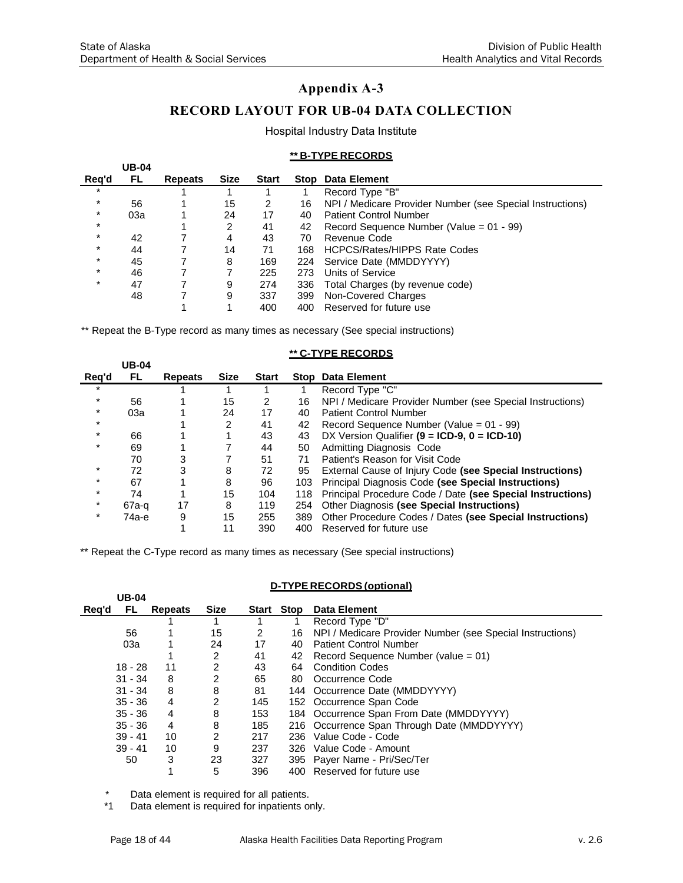## **RECORD LAYOUT FOR UB-04 DATA COLLECTION**

#### Hospital Industry Data Institute

#### **\*\* B-TYPE RECORDS**

|         | <b>UB-04</b> |         |             |              |      |                                                           |
|---------|--------------|---------|-------------|--------------|------|-----------------------------------------------------------|
| Reg'd   | FL.          | Repeats | <b>Size</b> | <b>Start</b> | Stop | Data Element                                              |
| $\ast$  |              |         |             |              |      | Record Type "B"                                           |
| $\ast$  | 56           |         | 15          | 2            | 16   | NPI / Medicare Provider Number (see Special Instructions) |
| $\star$ | 03a          |         | 24          | 17           | 40   | <b>Patient Control Number</b>                             |
| $\star$ |              |         | 2           | 41           | 42   | Record Sequence Number (Value = $01 - 99$ )               |
| $\star$ | 42           |         | 4           | 43           | 70   | Revenue Code                                              |
| $\star$ | 44           |         | 14          | 71           | 168  | <b>HCPCS/Rates/HIPPS Rate Codes</b>                       |
| $\star$ | 45           |         | 8           | 169          | 224  | Service Date (MMDDYYYY)                                   |
| $\star$ | 46           |         |             | 225          | 273  | Units of Service                                          |
| $\star$ | 47           |         | 9           | 274          | 336  | Total Charges (by revenue code)                           |
|         | 48           |         | 9           | 337          | 399  | Non-Covered Charges                                       |
|         |              |         |             | 400          | 400  | Reserved for future use                                   |

\*\* Repeat the B-Type record as many times as necessary (See special instructions)

|         | ** C-TYPE RECORDS<br><b>UB-04</b> |                |             |              |     |                                                            |  |
|---------|-----------------------------------|----------------|-------------|--------------|-----|------------------------------------------------------------|--|
| Reg'd   | FL.                               | <b>Repeats</b> | <b>Size</b> | <b>Start</b> |     | <b>Stop Data Element</b>                                   |  |
| $\star$ |                                   |                |             |              |     | Record Type "C"                                            |  |
| $\star$ | 56                                |                | 15          | 2            | 16  | NPI / Medicare Provider Number (see Special Instructions)  |  |
| $\star$ | 03a                               |                | 24          | 17           | 40  | <b>Patient Control Number</b>                              |  |
| $\star$ |                                   |                | 2           | 41           | 42  | Record Sequence Number (Value = $01 - 99$ )                |  |
| $\star$ | 66                                |                |             | 43           | 43  | DX Version Qualifier $(9 = ICD-9, 0 = ICD-10)$             |  |
| $\star$ | 69                                |                |             | 44           | 50  | Admitting Diagnosis Code                                   |  |
|         | 70                                | 3              |             | 51           | 71  | Patient's Reason for Visit Code                            |  |
|         | 72                                | 3              | 8           | 72           | 95  | External Cause of Injury Code (see Special Instructions)   |  |
| $\star$ | 67                                |                | 8           | 96           | 103 | Principal Diagnosis Code (see Special Instructions)        |  |
| $\star$ | 74                                |                | 15          | 104          | 118 | Principal Procedure Code / Date (see Special Instructions) |  |
| $\star$ | $67a-q$                           | 17             | 8           | 119          | 254 | Other Diagnosis (see Special Instructions)                 |  |
| *       | 74а-е                             | 9              | 15          | 255          | 389 | Other Procedure Codes / Dates (see Special Instructions)   |  |
|         |                                   |                | 11          | 390          | 400 | Reserved for future use                                    |  |

\*\* Repeat the C-Type record as many times as necessary (See special instructions)

|       | D-TYPE RECORDS (optional)<br><b>UB-04</b> |                |                |       |      |                                                           |  |
|-------|-------------------------------------------|----------------|----------------|-------|------|-----------------------------------------------------------|--|
| Rea'd | FL.                                       | <b>Repeats</b> | <b>Size</b>    | Start | Stop | <b>Data Element</b>                                       |  |
|       |                                           |                |                |       |      | Record Type "D"                                           |  |
|       | 56                                        |                | 15             | 2     | 16   | NPI / Medicare Provider Number (see Special Instructions) |  |
|       | 03a                                       |                | 24             | 17    | 40   | <b>Patient Control Number</b>                             |  |
|       |                                           |                | 2              | 41    | 42   | Record Sequence Number (value = $01$ )                    |  |
|       | $18 - 28$                                 | 11             | 2              | 43    | 64   | <b>Condition Codes</b>                                    |  |
|       | $31 - 34$                                 | 8              | 2              | 65    | 80   | Occurrence Code                                           |  |
|       | $31 - 34$                                 | 8              | 8              | 81    |      | 144 Occurrence Date (MMDDYYYY)                            |  |
|       | $35 - 36$                                 | 4              | $\overline{c}$ | 145   |      | 152 Occurrence Span Code                                  |  |
|       | $35 - 36$                                 | 4              | 8              | 153   |      | 184 Occurrence Span From Date (MMDDYYYY)                  |  |
|       | $35 - 36$                                 | 4              | 8              | 185   |      | 216 Occurrence Span Through Date (MMDDYYYY)               |  |
|       | $39 - 41$                                 | 10             | 2              | 217   | 236  | Value Code - Code                                         |  |
|       | $39 - 41$                                 | 10             | 9              | 237   | 326  | Value Code - Amount                                       |  |
|       | 50                                        | 3              | 23             | 327   |      | 395 Payer Name - Pri/Sec/Ter                              |  |
|       |                                           | 1              | 5              | 396   |      | 400 Reserved for future use                               |  |

\* Data element is required for all patients.

Data element is required for inpatients only.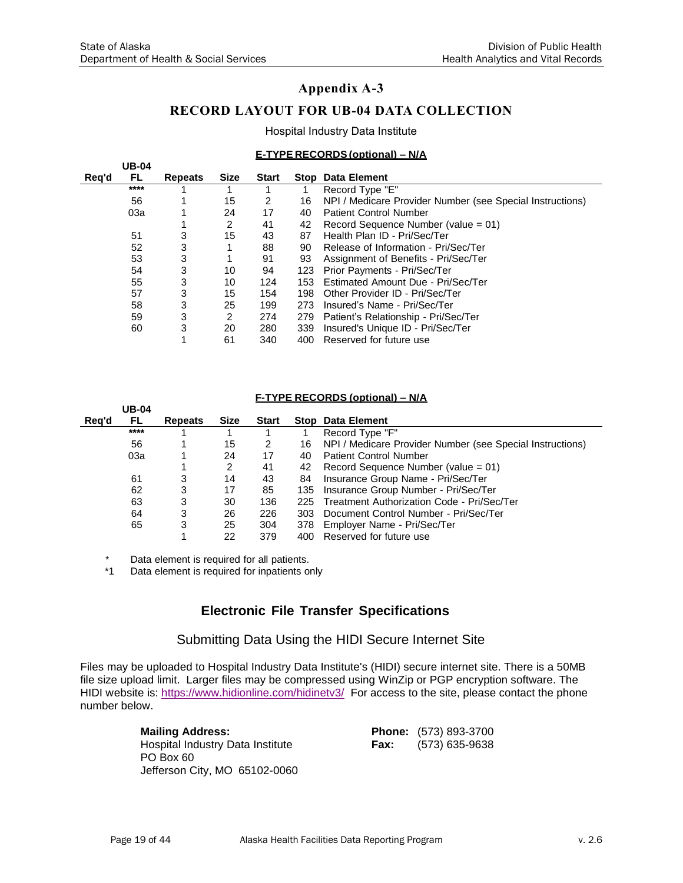#### **RECORD LAYOUT FOR UB-04 DATA COLLECTION**

Hospital Industry Data Institute

#### **E-TYPE RECORDS(optional) – N/A**

|       | <b>UB-04</b> |                |      |              |     |                                                           |
|-------|--------------|----------------|------|--------------|-----|-----------------------------------------------------------|
| Reg'd | FL.          | <b>Repeats</b> | Size | <b>Start</b> |     | <b>Stop Data Element</b>                                  |
|       | ****         |                |      |              |     | Record Type "E"                                           |
|       | 56           |                | 15   | 2            | 16  | NPI / Medicare Provider Number (see Special Instructions) |
|       | 03a          |                | 24   | 17           | 40  | <b>Patient Control Number</b>                             |
|       |              |                | 2    | 41           | 42  | Record Sequence Number (value = $01$ )                    |
|       | 51           | 3              | 15   | 43           | 87  | Health Plan ID - Pri/Sec/Ter                              |
|       | 52           | 3              |      | 88           | 90  | Release of Information - Pri/Sec/Ter                      |
|       | 53           | 3              |      | 91           | 93  | Assignment of Benefits - Pri/Sec/Ter                      |
|       | 54           | 3              | 10   | 94           | 123 | Prior Payments - Pri/Sec/Ter                              |
|       | 55           | 3              | 10   | 124          | 153 | Estimated Amount Due - Pri/Sec/Ter                        |
|       | 57           | 3              | 15   | 154          | 198 | Other Provider ID - Pri/Sec/Ter                           |
|       | 58           | 3              | 25   | 199          | 273 | Insured's Name - Pri/Sec/Ter                              |
|       | 59           | 3              | 2    | 274          | 279 | Patient's Relationship - Pri/Sec/Ter                      |
|       | 60           | 3              | 20   | 280          | 339 | Insured's Unique ID - Pri/Sec/Ter                         |
|       |              |                | 61   | 340          | 400 | Reserved for future use                                   |

#### **F-TYPE RECORDS (optional) – N/A**

|       | <b>UB-04</b> |                |      |              |     |                                                           |
|-------|--------------|----------------|------|--------------|-----|-----------------------------------------------------------|
| Reg'd | FL.          | <b>Repeats</b> | Size | <b>Start</b> |     | <b>Stop Data Element</b>                                  |
|       | ****         |                |      |              |     | Record Type "F"                                           |
|       | 56           |                | 15   | 2            | 16  | NPI / Medicare Provider Number (see Special Instructions) |
|       | 03a          |                | 24   | 17           | 40  | <b>Patient Control Number</b>                             |
|       |              |                | 2    | 41           | 42  | Record Sequence Number (value = $01$ )                    |
|       | 61           | 3              | 14   | 43           | 84  | Insurance Group Name - Pri/Sec/Ter                        |
|       | 62           | 3              | 17   | 85           | 135 | Insurance Group Number - Pri/Sec/Ter                      |
|       | 63           | 3              | 30   | 136          | 225 | Treatment Authorization Code - Pri/Sec/Ter                |
|       | 64           | 3              | 26   | 226          | 303 | Document Control Number - Pri/Sec/Ter                     |
|       | 65           | 3              | 25   | 304          | 378 | Employer Name - Pri/Sec/Ter                               |
|       |              |                | 22   | 379          | 400 | Reserved for future use                                   |

\* Data element is required for all patients.

Data element is required for inpatients only

#### **Electronic File Transfer Specifications**

Submitting Data Using the HIDI Secure Internet Site

Files may be uploaded to Hospital Industry Data Institute's (HIDI) secure internet site. There is a 50MB file size upload limit. Larger files may be compressed using WinZip or PGP encryption software. The HIDI website is:<https://www.hidionline.com/hidinetv3/> For access to the site, please contact the phone number below.

| <b>Mailing Address:</b>          |      | Phone: (573) 893-3700 |
|----------------------------------|------|-----------------------|
| Hospital Industry Data Institute | Fax: | (573) 635-9638        |
| PO Box 60                        |      |                       |
| Jefferson City, MO 65102-0060    |      |                       |

| <b>Phone:</b> | $(573) 893 - 3700$ |
|---------------|--------------------|
| <b>Fax:</b>   | (573) 635-9638     |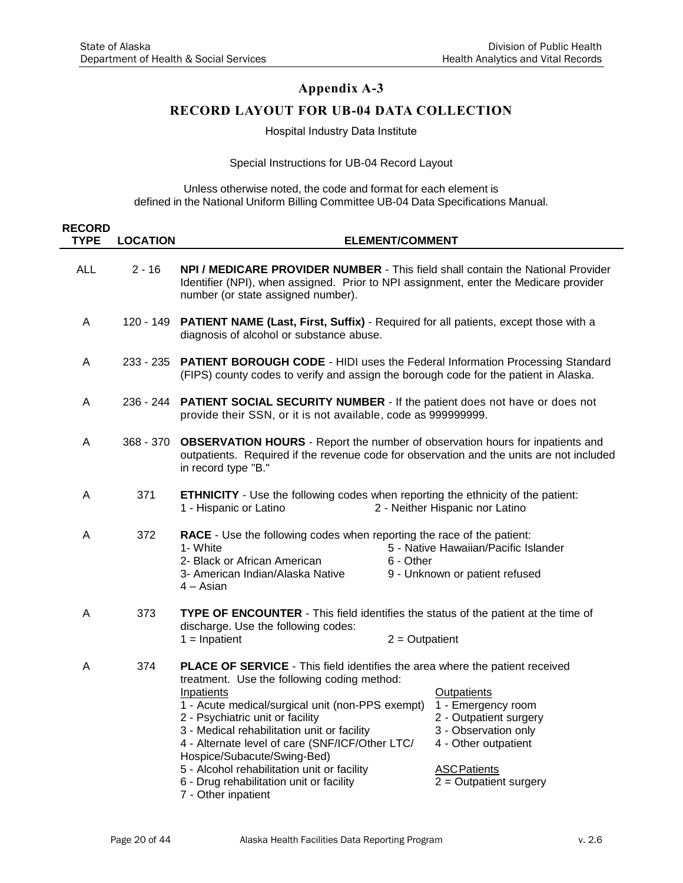### **RECORD LAYOUT FOR UB-04 DATA COLLECTION**

Hospital Industry Data Institute

Special Instructions for UB-04 Record Layout

Unless otherwise noted, the code and format for each element is defined in the National Uniform Billing Committee UB-04 Data Specifications Manual.

| <b>RECORD</b><br><b>TYPE</b> | <b>LOCATION</b> | <b>ELEMENT/COMMENT</b>                                                                                                                                                                                                                                                                                                                                                                                                                                                                                                                                                                                                                                        |
|------------------------------|-----------------|---------------------------------------------------------------------------------------------------------------------------------------------------------------------------------------------------------------------------------------------------------------------------------------------------------------------------------------------------------------------------------------------------------------------------------------------------------------------------------------------------------------------------------------------------------------------------------------------------------------------------------------------------------------|
| <b>ALL</b>                   | $2 - 16$        | NPI / MEDICARE PROVIDER NUMBER - This field shall contain the National Provider<br>Identifier (NPI), when assigned. Prior to NPI assignment, enter the Medicare provider<br>number (or state assigned number).                                                                                                                                                                                                                                                                                                                                                                                                                                                |
| A                            | 120 - 149       | <b>PATIENT NAME (Last, First, Suffix)</b> - Required for all patients, except those with a<br>diagnosis of alcohol or substance abuse.                                                                                                                                                                                                                                                                                                                                                                                                                                                                                                                        |
| A                            | 233 - 235       | <b>PATIENT BOROUGH CODE - HIDI uses the Federal Information Processing Standard</b><br>(FIPS) county codes to verify and assign the borough code for the patient in Alaska.                                                                                                                                                                                                                                                                                                                                                                                                                                                                                   |
| A                            | 236 - 244       | <b>PATIENT SOCIAL SECURITY NUMBER - If the patient does not have or does not</b><br>provide their SSN, or it is not available, code as 999999999.                                                                                                                                                                                                                                                                                                                                                                                                                                                                                                             |
| A                            | 368 - 370       | <b>OBSERVATION HOURS</b> - Report the number of observation hours for inpatients and<br>outpatients. Required if the revenue code for observation and the units are not included<br>in record type "B."                                                                                                                                                                                                                                                                                                                                                                                                                                                       |
| A                            | 371             | <b>ETHNICITY</b> - Use the following codes when reporting the ethnicity of the patient:<br>2 - Neither Hispanic nor Latino<br>1 - Hispanic or Latino                                                                                                                                                                                                                                                                                                                                                                                                                                                                                                          |
| A                            | 372             | RACE - Use the following codes when reporting the race of the patient:<br>1- White<br>5 - Native Hawaiian/Pacific Islander<br>2- Black or African American<br>6 - Other<br>3- American Indian/Alaska Native<br>9 - Unknown or patient refused<br>$4 - Asian$                                                                                                                                                                                                                                                                                                                                                                                                  |
| A                            | 373             | <b>TYPE OF ENCOUNTER</b> - This field identifies the status of the patient at the time of<br>discharge. Use the following codes:<br>$1 = Inpatient$<br>$2 =$ Outpatient                                                                                                                                                                                                                                                                                                                                                                                                                                                                                       |
| A                            | 374             | PLACE OF SERVICE - This field identifies the area where the patient received<br>treatment. Use the following coding method:<br>Inpatients<br><b>Outpatients</b><br>1 - Acute medical/surgical unit (non-PPS exempt)<br>1 - Emergency room<br>2 - Outpatient surgery<br>2 - Psychiatric unit or facility<br>3 - Medical rehabilitation unit or facility<br>3 - Observation only<br>4 - Alternate level of care (SNF/ICF/Other LTC/<br>4 - Other outpatient<br>Hospice/Subacute/Swing-Bed)<br>5 - Alcohol rehabilitation unit or facility<br><b>ASC Patients</b><br>$2 =$ Outpatient surgery<br>6 - Drug rehabilitation unit or facility<br>7 - Other inpatient |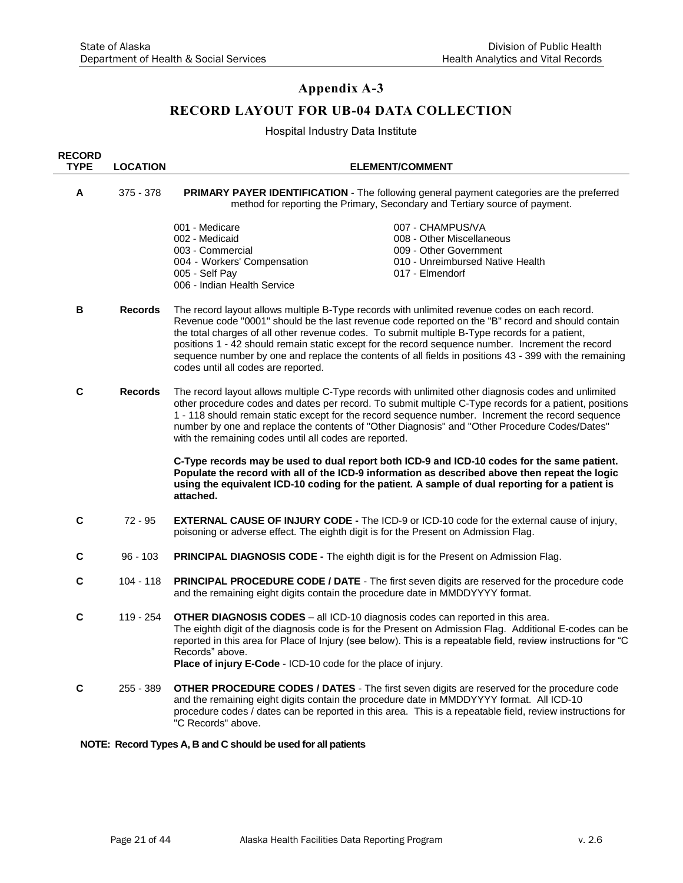### **RECORD LAYOUT FOR UB-04 DATA COLLECTION**

Hospital Industry Data Institute

| <b>RECORD</b><br><b>TYPE</b> | <b>LOCATION</b> | <b>ELEMENT/COMMENT</b>                                                                                                                                                                                                                                                                                                                                                                                                                                                                                                                                     |
|------------------------------|-----------------|------------------------------------------------------------------------------------------------------------------------------------------------------------------------------------------------------------------------------------------------------------------------------------------------------------------------------------------------------------------------------------------------------------------------------------------------------------------------------------------------------------------------------------------------------------|
| A                            | 375 - 378       | PRIMARY PAYER IDENTIFICATION - The following general payment categories are the preferred<br>method for reporting the Primary, Secondary and Tertiary source of payment.                                                                                                                                                                                                                                                                                                                                                                                   |
|                              |                 | 001 - Medicare<br>007 - CHAMPUS/VA<br>002 - Medicaid<br>008 - Other Miscellaneous<br>003 - Commercial<br>009 - Other Government<br>004 - Workers' Compensation<br>010 - Unreimbursed Native Health<br>005 - Self Pay<br>017 - Elmendorf<br>006 - Indian Health Service                                                                                                                                                                                                                                                                                     |
| В                            | <b>Records</b>  | The record layout allows multiple B-Type records with unlimited revenue codes on each record.<br>Revenue code "0001" should be the last revenue code reported on the "B" record and should contain<br>the total charges of all other revenue codes. To submit multiple B-Type records for a patient,<br>positions 1 - 42 should remain static except for the record sequence number. Increment the record<br>sequence number by one and replace the contents of all fields in positions 43 - 399 with the remaining<br>codes until all codes are reported. |
| C                            | <b>Records</b>  | The record layout allows multiple C-Type records with unlimited other diagnosis codes and unlimited<br>other procedure codes and dates per record. To submit multiple C-Type records for a patient, positions<br>1 - 118 should remain static except for the record sequence number. Increment the record sequence<br>number by one and replace the contents of "Other Diagnosis" and "Other Procedure Codes/Dates"<br>with the remaining codes until all codes are reported.                                                                              |
|                              |                 | C-Type records may be used to dual report both ICD-9 and ICD-10 codes for the same patient.<br>Populate the record with all of the ICD-9 information as described above then repeat the logic<br>using the equivalent ICD-10 coding for the patient. A sample of dual reporting for a patient is<br>attached.                                                                                                                                                                                                                                              |
| С                            | $72 - 95$       | <b>EXTERNAL CAUSE OF INJURY CODE -</b> The ICD-9 or ICD-10 code for the external cause of injury,<br>poisoning or adverse effect. The eighth digit is for the Present on Admission Flag.                                                                                                                                                                                                                                                                                                                                                                   |
| С                            | $96 - 103$      | <b>PRINCIPAL DIAGNOSIS CODE - The eighth digit is for the Present on Admission Flag.</b>                                                                                                                                                                                                                                                                                                                                                                                                                                                                   |
| С                            | $104 - 118$     | PRINCIPAL PROCEDURE CODE / DATE - The first seven digits are reserved for the procedure code<br>and the remaining eight digits contain the procedure date in MMDDYYYY format.                                                                                                                                                                                                                                                                                                                                                                              |
| $\mathbf c$                  | 119 - 254       | <b>OTHER DIAGNOSIS CODES</b> – all ICD-10 diagnosis codes can reported in this area.<br>The eighth digit of the diagnosis code is for the Present on Admission Flag. Additional E-codes can be<br>reported in this area for Place of Injury (see below). This is a repeatable field, review instructions for "C<br>Records" above.<br>Place of injury E-Code - ICD-10 code for the place of injury.                                                                                                                                                        |
| С                            | 255 - 389       | OTHER PROCEDURE CODES / DATES - The first seven digits are reserved for the procedure code<br>and the remaining eight digits contain the procedure date in MMDDYYYY format. All ICD-10<br>procedure codes / dates can be reported in this area. This is a repeatable field, review instructions for<br>"C Records" above.                                                                                                                                                                                                                                  |

#### **NOTE: Record Types A, B and C should be used for all patients**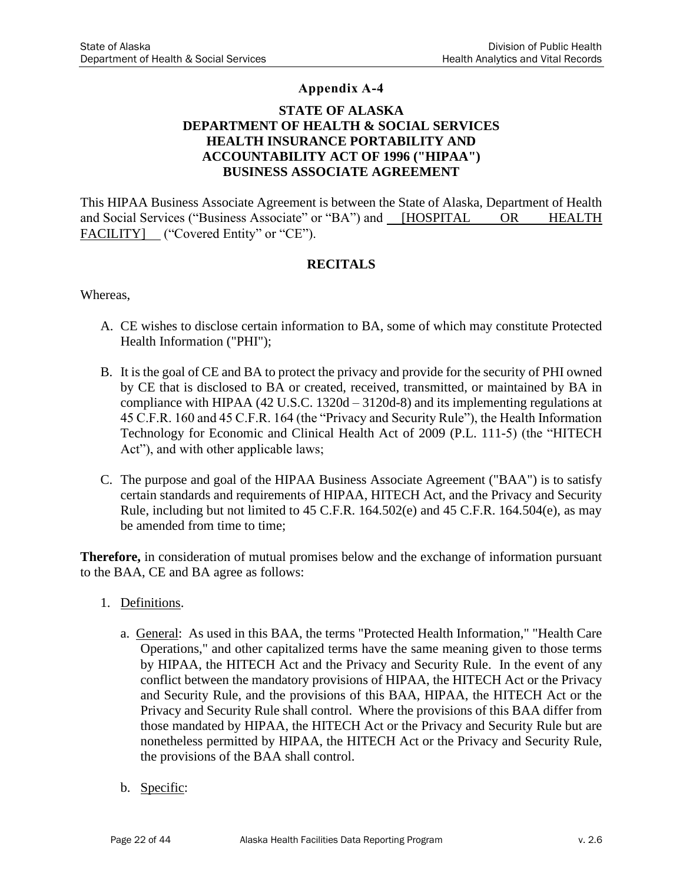### **STATE OF ALASKA DEPARTMENT OF HEALTH & SOCIAL SERVICES HEALTH INSURANCE PORTABILITY AND ACCOUNTABILITY ACT OF 1996 ("HIPAA") BUSINESS ASSOCIATE AGREEMENT**

This HIPAA Business Associate Agreement is between the State of Alaska, Department of Health and Social Services ("Business Associate" or "BA") and [HOSPITAL OR HEALTH FACILITY] ("Covered Entity" or "CE").

### **RECITALS**

Whereas,

- A. CE wishes to disclose certain information to BA, some of which may constitute Protected Health Information ("PHI");
- B. It is the goal of CE and BA to protect the privacy and provide for the security of PHI owned by CE that is disclosed to BA or created, received, transmitted, or maintained by BA in compliance with HIPAA (42 U.S.C. 1320d – 3120d-8) and its implementing regulations at 45 C.F.R. 160 and 45 C.F.R. 164 (the "Privacy and Security Rule"), the Health Information Technology for Economic and Clinical Health Act of 2009 (P.L. 111-5) (the "HITECH Act"), and with other applicable laws;
- C. The purpose and goal of the HIPAA Business Associate Agreement ("BAA") is to satisfy certain standards and requirements of HIPAA, HITECH Act, and the Privacy and Security Rule, including but not limited to 45 C.F.R. 164.502(e) and 45 C.F.R. 164.504(e), as may be amended from time to time;

**Therefore,** in consideration of mutual promises below and the exchange of information pursuant to the BAA, CE and BA agree as follows:

- 1. Definitions.
	- a. General: As used in this BAA, the terms "Protected Health Information," "Health Care Operations," and other capitalized terms have the same meaning given to those terms by HIPAA, the HITECH Act and the Privacy and Security Rule. In the event of any conflict between the mandatory provisions of HIPAA, the HITECH Act or the Privacy and Security Rule, and the provisions of this BAA, HIPAA, the HITECH Act or the Privacy and Security Rule shall control. Where the provisions of this BAA differ from those mandated by HIPAA, the HITECH Act or the Privacy and Security Rule but are nonetheless permitted by HIPAA, the HITECH Act or the Privacy and Security Rule, the provisions of the BAA shall control.
	- b. Specific: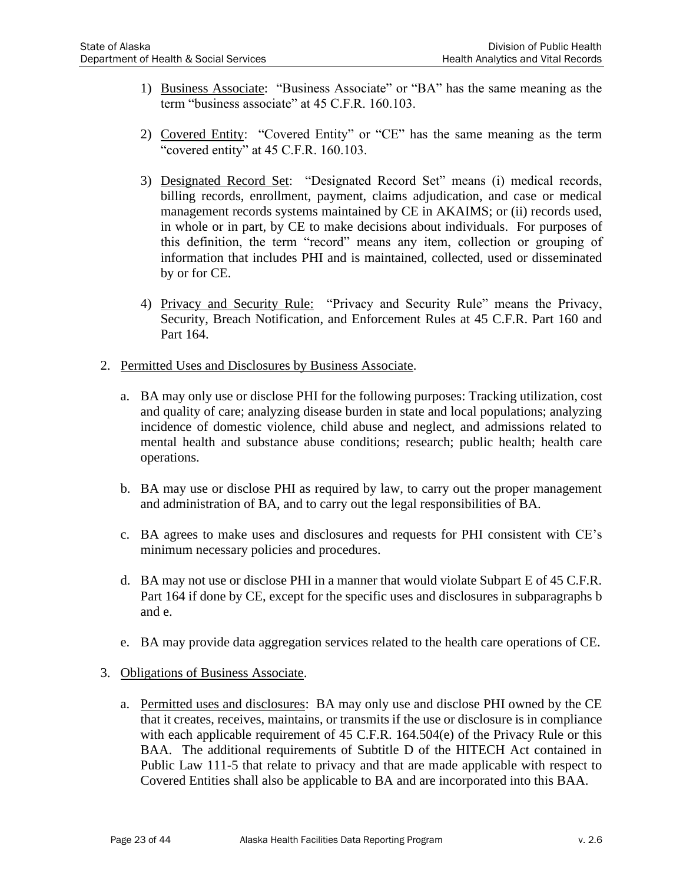- 1) Business Associate: "Business Associate" or "BA" has the same meaning as the term "business associate" at 45 C.F.R. 160.103.
- 2) Covered Entity: "Covered Entity" or "CE" has the same meaning as the term "covered entity" at 45 C.F.R. 160.103.
- 3) Designated Record Set: "Designated Record Set" means (i) medical records, billing records, enrollment, payment, claims adjudication, and case or medical management records systems maintained by CE in AKAIMS; or (ii) records used, in whole or in part, by CE to make decisions about individuals. For purposes of this definition, the term "record" means any item, collection or grouping of information that includes PHI and is maintained, collected, used or disseminated by or for CE.
- 4) Privacy and Security Rule: "Privacy and Security Rule" means the Privacy, Security, Breach Notification, and Enforcement Rules at 45 C.F.R. Part 160 and Part 164.
- 2. Permitted Uses and Disclosures by Business Associate.
	- a. BA may only use or disclose PHI for the following purposes: Tracking utilization, cost and quality of care; analyzing disease burden in state and local populations; analyzing incidence of domestic violence, child abuse and neglect, and admissions related to mental health and substance abuse conditions; research; public health; health care operations.
	- b. BA may use or disclose PHI as required by law, to carry out the proper management and administration of BA, and to carry out the legal responsibilities of BA.
	- c. BA agrees to make uses and disclosures and requests for PHI consistent with CE's minimum necessary policies and procedures.
	- d. BA may not use or disclose PHI in a manner that would violate Subpart E of 45 C.F.R. Part 164 if done by CE, except for the specific uses and disclosures in subparagraphs b and e.
	- e. BA may provide data aggregation services related to the health care operations of CE.
- 3. Obligations of Business Associate.
	- a. Permitted uses and disclosures: BA may only use and disclose PHI owned by the CE that it creates, receives, maintains, or transmits if the use or disclosure is in compliance with each applicable requirement of 45 C.F.R. 164.504(e) of the Privacy Rule or this BAA. The additional requirements of Subtitle D of the HITECH Act contained in Public Law 111-5 that relate to privacy and that are made applicable with respect to Covered Entities shall also be applicable to BA and are incorporated into this BAA.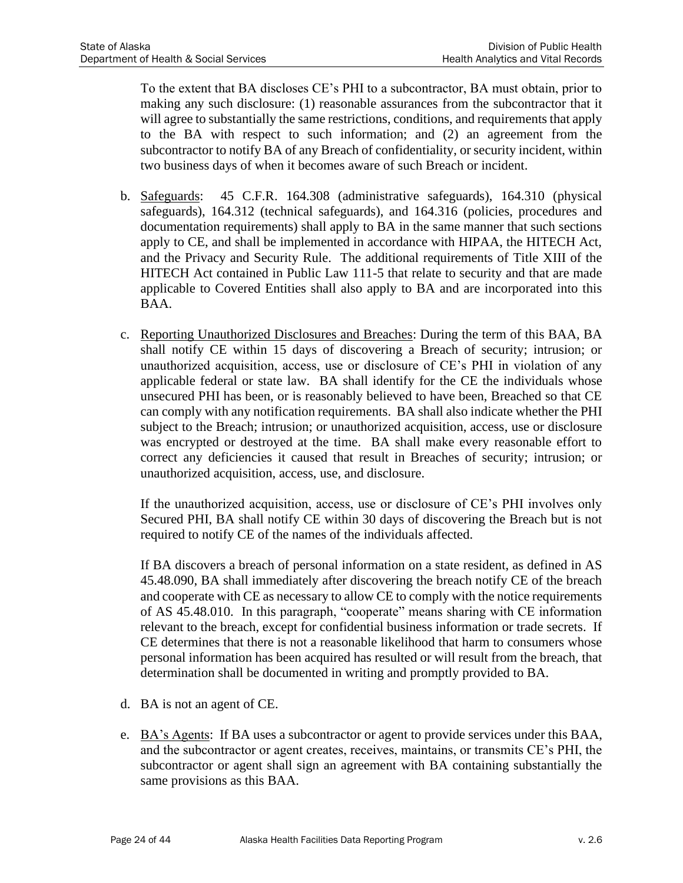To the extent that BA discloses CE's PHI to a subcontractor, BA must obtain, prior to making any such disclosure: (1) reasonable assurances from the subcontractor that it will agree to substantially the same restrictions, conditions, and requirements that apply to the BA with respect to such information; and (2) an agreement from the subcontractor to notify BA of any Breach of confidentiality, or security incident, within two business days of when it becomes aware of such Breach or incident.

- b. Safeguards: 45 C.F.R. 164.308 (administrative safeguards), 164.310 (physical safeguards), 164.312 (technical safeguards), and 164.316 (policies, procedures and documentation requirements) shall apply to BA in the same manner that such sections apply to CE, and shall be implemented in accordance with HIPAA, the HITECH Act, and the Privacy and Security Rule. The additional requirements of Title XIII of the HITECH Act contained in Public Law 111-5 that relate to security and that are made applicable to Covered Entities shall also apply to BA and are incorporated into this BAA.
- c. Reporting Unauthorized Disclosures and Breaches: During the term of this BAA, BA shall notify CE within 15 days of discovering a Breach of security; intrusion; or unauthorized acquisition, access, use or disclosure of CE's PHI in violation of any applicable federal or state law. BA shall identify for the CE the individuals whose unsecured PHI has been, or is reasonably believed to have been, Breached so that CE can comply with any notification requirements. BA shall also indicate whether the PHI subject to the Breach; intrusion; or unauthorized acquisition, access, use or disclosure was encrypted or destroyed at the time. BA shall make every reasonable effort to correct any deficiencies it caused that result in Breaches of security; intrusion; or unauthorized acquisition, access, use, and disclosure.

If the unauthorized acquisition, access, use or disclosure of CE's PHI involves only Secured PHI, BA shall notify CE within 30 days of discovering the Breach but is not required to notify CE of the names of the individuals affected.

If BA discovers a breach of personal information on a state resident, as defined in AS 45.48.090, BA shall immediately after discovering the breach notify CE of the breach and cooperate with CE as necessary to allow CE to comply with the notice requirements of AS 45.48.010. In this paragraph, "cooperate" means sharing with CE information relevant to the breach, except for confidential business information or trade secrets. If CE determines that there is not a reasonable likelihood that harm to consumers whose personal information has been acquired has resulted or will result from the breach, that determination shall be documented in writing and promptly provided to BA.

- d. BA is not an agent of CE.
- e. BA's Agents: If BA uses a subcontractor or agent to provide services under this BAA, and the subcontractor or agent creates, receives, maintains, or transmits CE's PHI, the subcontractor or agent shall sign an agreement with BA containing substantially the same provisions as this BAA.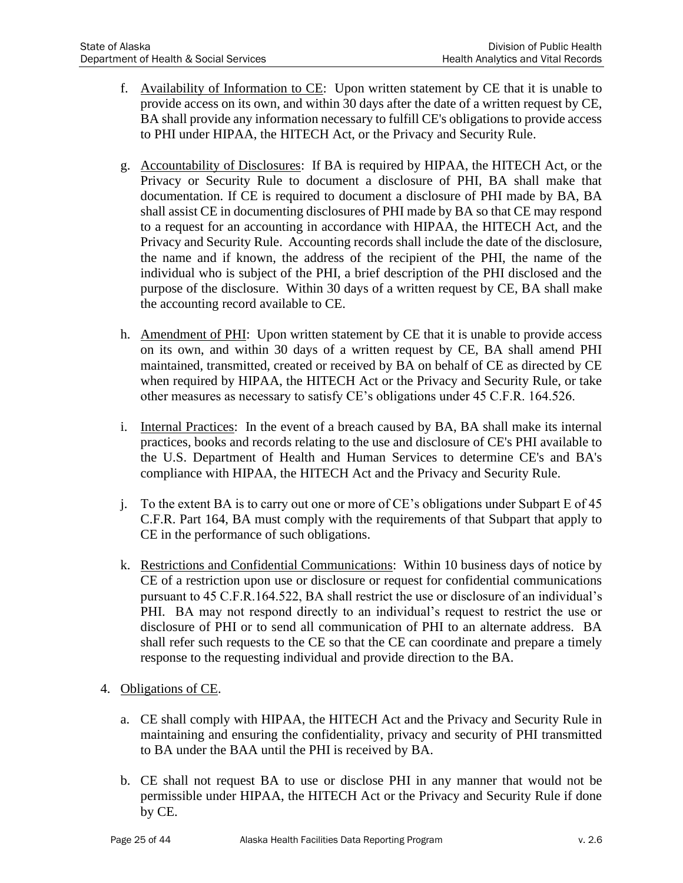- f. Availability of Information to CE: Upon written statement by CE that it is unable to provide access on its own, and within 30 days after the date of a written request by CE, BA shall provide any information necessary to fulfill CE's obligations to provide access to PHI under HIPAA, the HITECH Act, or the Privacy and Security Rule.
- g. Accountability of Disclosures: If BA is required by HIPAA, the HITECH Act, or the Privacy or Security Rule to document a disclosure of PHI, BA shall make that documentation. If CE is required to document a disclosure of PHI made by BA, BA shall assist CE in documenting disclosures of PHI made by BA so that CE may respond to a request for an accounting in accordance with HIPAA, the HITECH Act, and the Privacy and Security Rule. Accounting records shall include the date of the disclosure, the name and if known, the address of the recipient of the PHI, the name of the individual who is subject of the PHI, a brief description of the PHI disclosed and the purpose of the disclosure. Within 30 days of a written request by CE, BA shall make the accounting record available to CE.
- h. Amendment of PHI: Upon written statement by CE that it is unable to provide access on its own, and within 30 days of a written request by CE, BA shall amend PHI maintained, transmitted, created or received by BA on behalf of CE as directed by CE when required by HIPAA, the HITECH Act or the Privacy and Security Rule, or take other measures as necessary to satisfy CE's obligations under 45 C.F.R. 164.526.
- i. Internal Practices: In the event of a breach caused by BA, BA shall make its internal practices, books and records relating to the use and disclosure of CE's PHI available to the U.S. Department of Health and Human Services to determine CE's and BA's compliance with HIPAA, the HITECH Act and the Privacy and Security Rule.
- j. To the extent BA is to carry out one or more of CE's obligations under Subpart E of 45 C.F.R. Part 164, BA must comply with the requirements of that Subpart that apply to CE in the performance of such obligations.
- k. Restrictions and Confidential Communications: Within 10 business days of notice by CE of a restriction upon use or disclosure or request for confidential communications pursuant to 45 C.F.R.164.522, BA shall restrict the use or disclosure of an individual's PHI. BA may not respond directly to an individual's request to restrict the use or disclosure of PHI or to send all communication of PHI to an alternate address. BA shall refer such requests to the CE so that the CE can coordinate and prepare a timely response to the requesting individual and provide direction to the BA.
- 4. Obligations of CE.
	- a. CE shall comply with HIPAA, the HITECH Act and the Privacy and Security Rule in maintaining and ensuring the confidentiality, privacy and security of PHI transmitted to BA under the BAA until the PHI is received by BA.
	- b. CE shall not request BA to use or disclose PHI in any manner that would not be permissible under HIPAA, the HITECH Act or the Privacy and Security Rule if done by CE.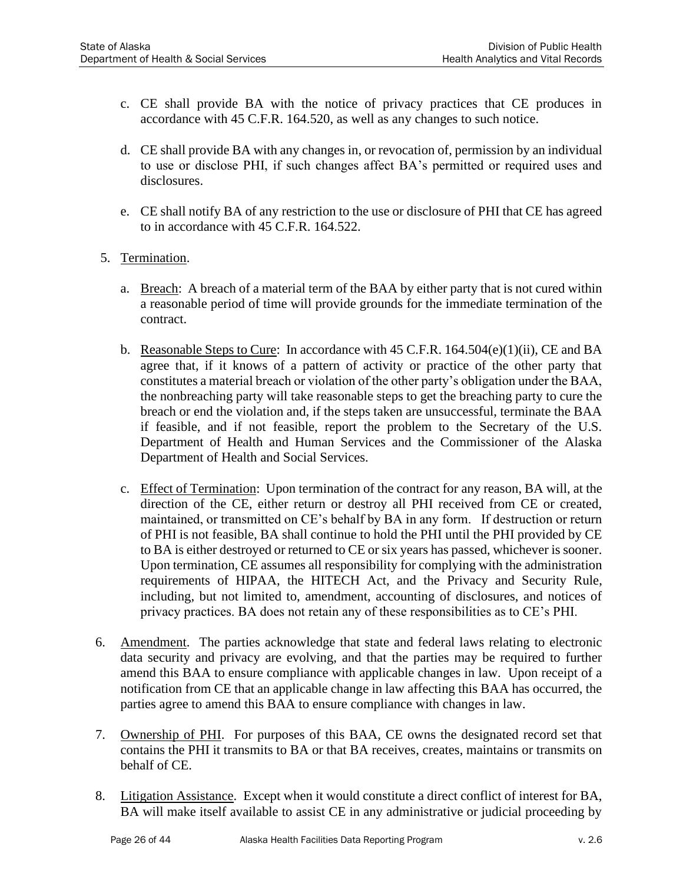- c. CE shall provide BA with the notice of privacy practices that CE produces in accordance with 45 C.F.R. 164.520, as well as any changes to such notice.
- d. CE shall provide BA with any changes in, or revocation of, permission by an individual to use or disclose PHI, if such changes affect BA's permitted or required uses and disclosures.
- e. CE shall notify BA of any restriction to the use or disclosure of PHI that CE has agreed to in accordance with 45 C.F.R. 164.522.
- 5. Termination.
	- a. Breach: A breach of a material term of the BAA by either party that is not cured within a reasonable period of time will provide grounds for the immediate termination of the contract.
	- b. Reasonable Steps to Cure: In accordance with  $45$  C.F.R.  $164.504(e)(1)(ii)$ , CE and BA agree that, if it knows of a pattern of activity or practice of the other party that constitutes a material breach or violation of the other party's obligation under the BAA, the nonbreaching party will take reasonable steps to get the breaching party to cure the breach or end the violation and, if the steps taken are unsuccessful, terminate the BAA if feasible, and if not feasible, report the problem to the Secretary of the U.S. Department of Health and Human Services and the Commissioner of the Alaska Department of Health and Social Services.
	- c. Effect of Termination: Upon termination of the contract for any reason, BA will, at the direction of the CE, either return or destroy all PHI received from CE or created, maintained, or transmitted on CE's behalf by BA in any form. If destruction or return of PHI is not feasible, BA shall continue to hold the PHI until the PHI provided by CE to BA is either destroyed or returned to CE or six years has passed, whichever is sooner. Upon termination, CE assumes all responsibility for complying with the administration requirements of HIPAA, the HITECH Act, and the Privacy and Security Rule, including, but not limited to, amendment, accounting of disclosures, and notices of privacy practices. BA does not retain any of these responsibilities as to CE's PHI.
- 6. Amendment. The parties acknowledge that state and federal laws relating to electronic data security and privacy are evolving, and that the parties may be required to further amend this BAA to ensure compliance with applicable changes in law. Upon receipt of a notification from CE that an applicable change in law affecting this BAA has occurred, the parties agree to amend this BAA to ensure compliance with changes in law.
- 7. Ownership of PHI. For purposes of this BAA, CE owns the designated record set that contains the PHI it transmits to BA or that BA receives, creates, maintains or transmits on behalf of CE.
- 8. Litigation Assistance. Except when it would constitute a direct conflict of interest for BA, BA will make itself available to assist CE in any administrative or judicial proceeding by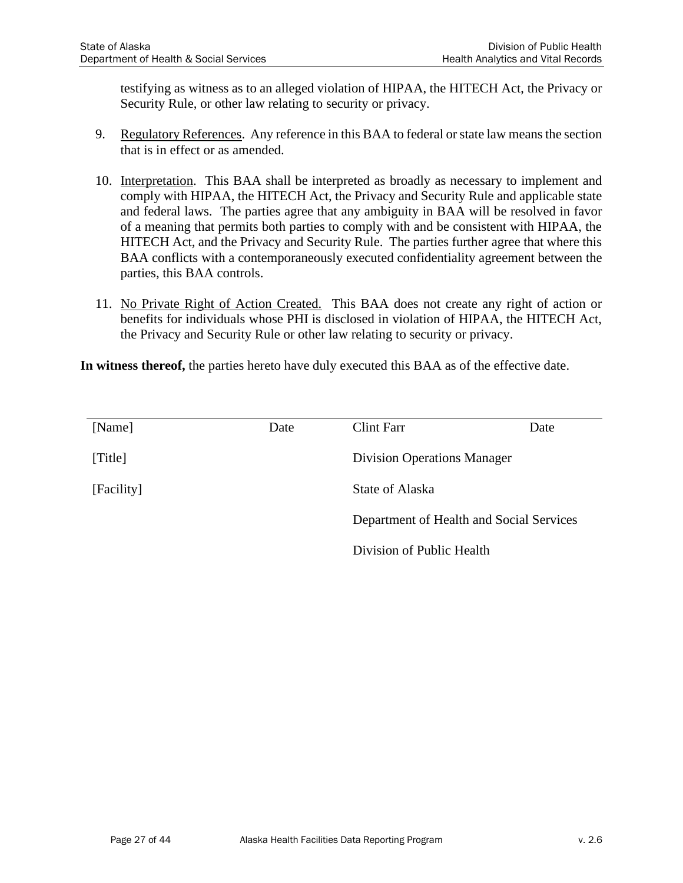testifying as witness as to an alleged violation of HIPAA, the HITECH Act, the Privacy or Security Rule, or other law relating to security or privacy.

- 9. Regulatory References. Any reference in this BAA to federal or state law means the section that is in effect or as amended.
- 10. Interpretation. This BAA shall be interpreted as broadly as necessary to implement and comply with HIPAA, the HITECH Act, the Privacy and Security Rule and applicable state and federal laws. The parties agree that any ambiguity in BAA will be resolved in favor of a meaning that permits both parties to comply with and be consistent with HIPAA, the HITECH Act, and the Privacy and Security Rule. The parties further agree that where this BAA conflicts with a contemporaneously executed confidentiality agreement between the parties, this BAA controls.
- 11. No Private Right of Action Created. This BAA does not create any right of action or benefits for individuals whose PHI is disclosed in violation of HIPAA, the HITECH Act, the Privacy and Security Rule or other law relating to security or privacy.

**In witness thereof,** the parties hereto have duly executed this BAA as of the effective date.

| [Name]     | Date | <b>Clint Farr</b>                        | Date |
|------------|------|------------------------------------------|------|
| [Title]    |      | <b>Division Operations Manager</b>       |      |
| [Facility] |      | State of Alaska                          |      |
|            |      | Department of Health and Social Services |      |
|            |      | Division of Public Health                |      |
|            |      |                                          |      |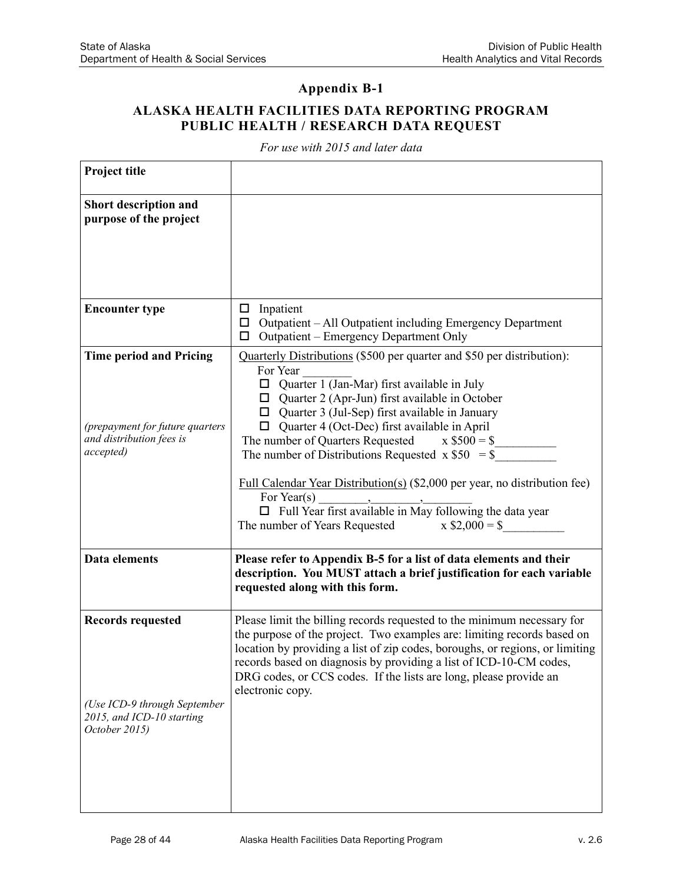## **ALASKA HEALTH FACILITIES DATA REPORTING PROGRAM PUBLIC HEALTH / RESEARCH DATA REQUEST**

*For use with 2015 and later data*

| <b>Project title</b>                                                                                       |                                                                                                                                                                                                                                                                                                                                                                                                                                                                                                                                                                                                                                         |
|------------------------------------------------------------------------------------------------------------|-----------------------------------------------------------------------------------------------------------------------------------------------------------------------------------------------------------------------------------------------------------------------------------------------------------------------------------------------------------------------------------------------------------------------------------------------------------------------------------------------------------------------------------------------------------------------------------------------------------------------------------------|
| Short description and<br>purpose of the project                                                            |                                                                                                                                                                                                                                                                                                                                                                                                                                                                                                                                                                                                                                         |
| <b>Encounter type</b>                                                                                      | $\Box$ Inpatient<br>$\Box$ Outpatient – All Outpatient including Emergency Department<br>Outpatient – Emergency Department Only<br>□                                                                                                                                                                                                                                                                                                                                                                                                                                                                                                    |
| <b>Time period and Pricing</b><br>(prepayment for future quarters<br>and distribution fees is<br>accepted) | Quarterly Distributions (\$500 per quarter and \$50 per distribution):<br>For Year<br>$\Box$ Quarter 1 (Jan-Mar) first available in July<br>$\Box$ Quarter 2 (Apr-Jun) first available in October<br>$\Box$ Quarter 3 (Jul-Sep) first available in January<br>Quarter 4 (Oct-Dec) first available in April<br>The number of Quarters Requested $x $500 = $$<br>The number of Distributions Requested $x $50 = $$<br>Full Calendar Year Distribution(s) (\$2,000 per year, no distribution fee)<br>For Year(s) $\frac{1}{\Box}$ Full Year first available in May following the data year<br>The number of Years Requested $x $2,000 = $$ |
| Data elements                                                                                              | Please refer to Appendix B-5 for a list of data elements and their<br>description. You MUST attach a brief justification for each variable<br>requested along with this form.                                                                                                                                                                                                                                                                                                                                                                                                                                                           |
| <b>Records requested</b><br>(Use ICD-9 through September<br>2015, and ICD-10 starting<br>October 2015)     | Please limit the billing records requested to the minimum necessary for<br>the purpose of the project. Two examples are: limiting records based on<br>location by providing a list of zip codes, boroughs, or regions, or limiting<br>records based on diagnosis by providing a list of ICD-10-CM codes<br>DRG codes, or CCS codes. If the lists are long, please provide an<br>electronic copy.                                                                                                                                                                                                                                        |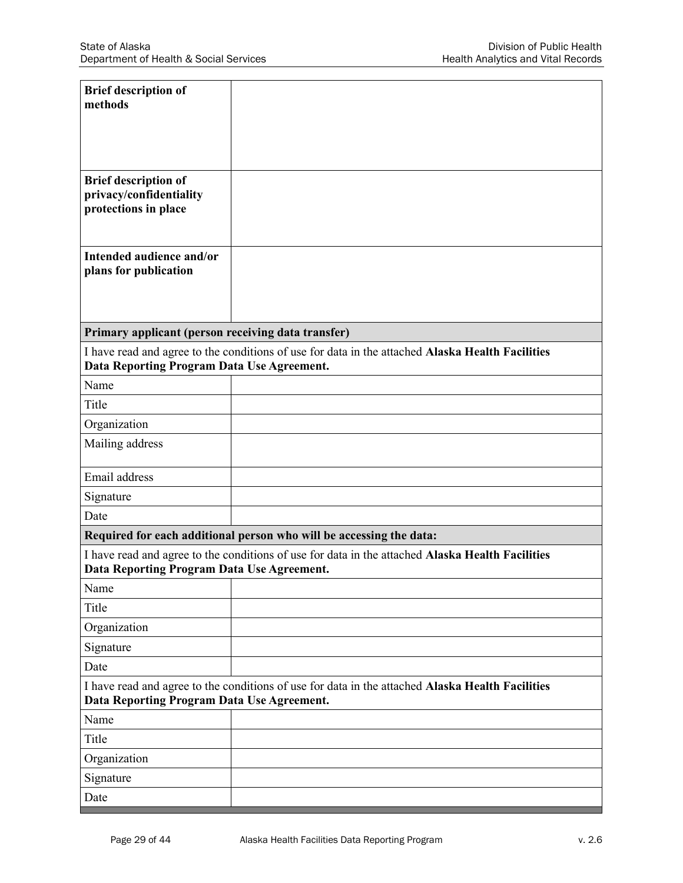| <b>Brief description of</b><br>methods                                         |                                                                                                  |
|--------------------------------------------------------------------------------|--------------------------------------------------------------------------------------------------|
| <b>Brief description of</b><br>privacy/confidentiality<br>protections in place |                                                                                                  |
| Intended audience and/or<br>plans for publication                              |                                                                                                  |
| Primary applicant (person receiving data transfer)                             |                                                                                                  |
| Data Reporting Program Data Use Agreement.                                     | I have read and agree to the conditions of use for data in the attached Alaska Health Facilities |
| Name                                                                           |                                                                                                  |
| Title                                                                          |                                                                                                  |
| Organization                                                                   |                                                                                                  |
| Mailing address                                                                |                                                                                                  |
| Email address                                                                  |                                                                                                  |
| Signature                                                                      |                                                                                                  |
| Date                                                                           |                                                                                                  |
|                                                                                | Required for each additional person who will be accessing the data:                              |
| Data Reporting Program Data Use Agreement.                                     | I have read and agree to the conditions of use for data in the attached Alaska Health Facilities |
| Name                                                                           |                                                                                                  |
| Title                                                                          |                                                                                                  |
| Organization                                                                   |                                                                                                  |
| Signature                                                                      |                                                                                                  |
| Date                                                                           |                                                                                                  |
| Data Reporting Program Data Use Agreement.                                     | I have read and agree to the conditions of use for data in the attached Alaska Health Facilities |
| Name                                                                           |                                                                                                  |
| Title                                                                          |                                                                                                  |
| Organization                                                                   |                                                                                                  |
| Signature                                                                      |                                                                                                  |
| Date                                                                           |                                                                                                  |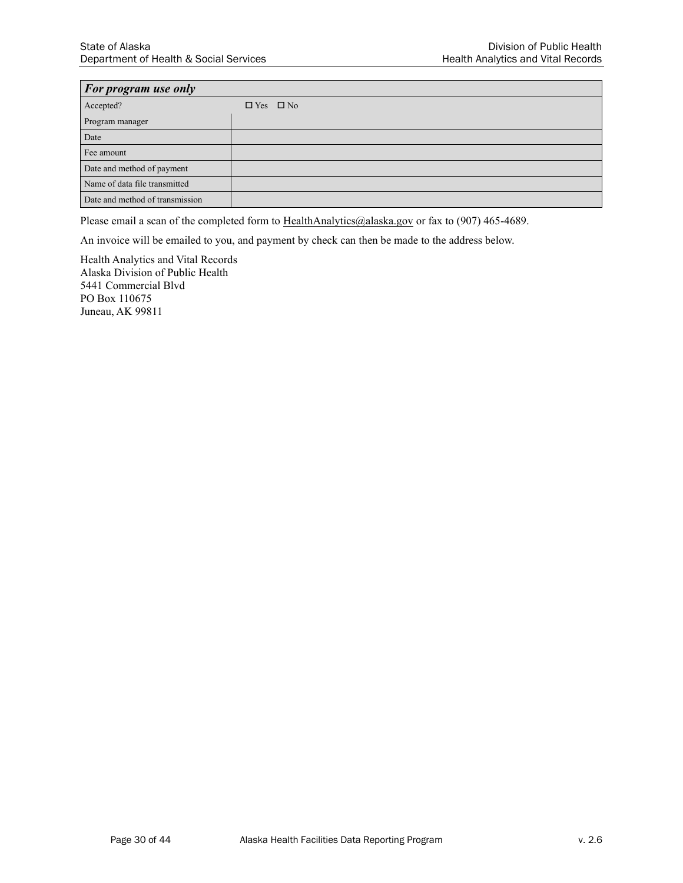| <b>For program use only</b>     |                      |  |  |  |
|---------------------------------|----------------------|--|--|--|
| Accepted?                       | $\Box$ Yes $\Box$ No |  |  |  |
| Program manager                 |                      |  |  |  |
| Date                            |                      |  |  |  |
| Fee amount                      |                      |  |  |  |
| Date and method of payment      |                      |  |  |  |
| Name of data file transmitted   |                      |  |  |  |
| Date and method of transmission |                      |  |  |  |

Please email a scan of the completed form to [HealthAnalytics@alaska.gov](mailto:HealthAnalytics@alaska.govf) or fax to (907) 465-4689.

An invoice will be emailed to you, and payment by check can then be made to the address below.

Health Analytics and Vital Records Alaska Division of Public Health 5441 Commercial Blvd PO Box 110675 Juneau, AK 99811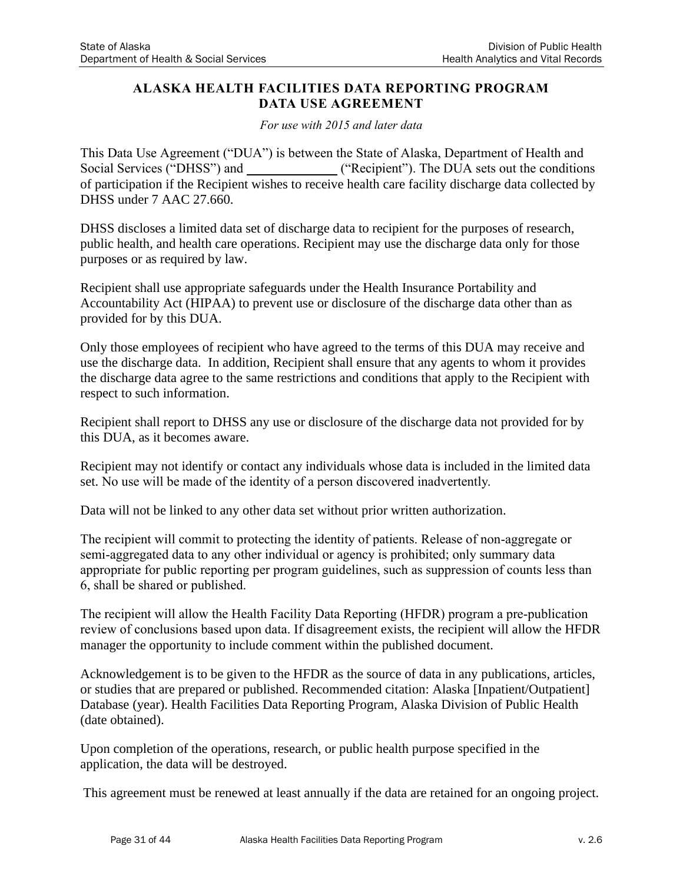### **ALASKA HEALTH FACILITIES DATA REPORTING PROGRAM DATA USE AGREEMENT**

*For use with 2015 and later data* 

This Data Use Agreement ("DUA") is between the State of Alaska, Department of Health and Social Services ("DHSS") and ("Recipient"). The DUA sets out the conditions of participation if the Recipient wishes to receive health care facility discharge data collected by DHSS under 7 AAC 27.660.

DHSS discloses a limited data set of discharge data to recipient for the purposes of research, public health, and health care operations. Recipient may use the discharge data only for those purposes or as required by law.

Recipient shall use appropriate safeguards under the Health Insurance Portability and Accountability Act (HIPAA) to prevent use or disclosure of the discharge data other than as provided for by this DUA.

Only those employees of recipient who have agreed to the terms of this DUA may receive and use the discharge data. In addition, Recipient shall ensure that any agents to whom it provides the discharge data agree to the same restrictions and conditions that apply to the Recipient with respect to such information.

Recipient shall report to DHSS any use or disclosure of the discharge data not provided for by this DUA, as it becomes aware.

Recipient may not identify or contact any individuals whose data is included in the limited data set. No use will be made of the identity of a person discovered inadvertently.

Data will not be linked to any other data set without prior written authorization.

The recipient will commit to protecting the identity of patients. Release of non-aggregate or semi-aggregated data to any other individual or agency is prohibited; only summary data appropriate for public reporting per program guidelines, such as suppression of counts less than 6, shall be shared or published.

The recipient will allow the Health Facility Data Reporting (HFDR) program a pre-publication review of conclusions based upon data. If disagreement exists, the recipient will allow the HFDR manager the opportunity to include comment within the published document.

Acknowledgement is to be given to the HFDR as the source of data in any publications, articles, or studies that are prepared or published. Recommended citation: Alaska [Inpatient/Outpatient] Database (year). Health Facilities Data Reporting Program, Alaska Division of Public Health (date obtained).

Upon completion of the operations, research, or public health purpose specified in the application, the data will be destroyed.

This agreement must be renewed at least annually if the data are retained for an ongoing project.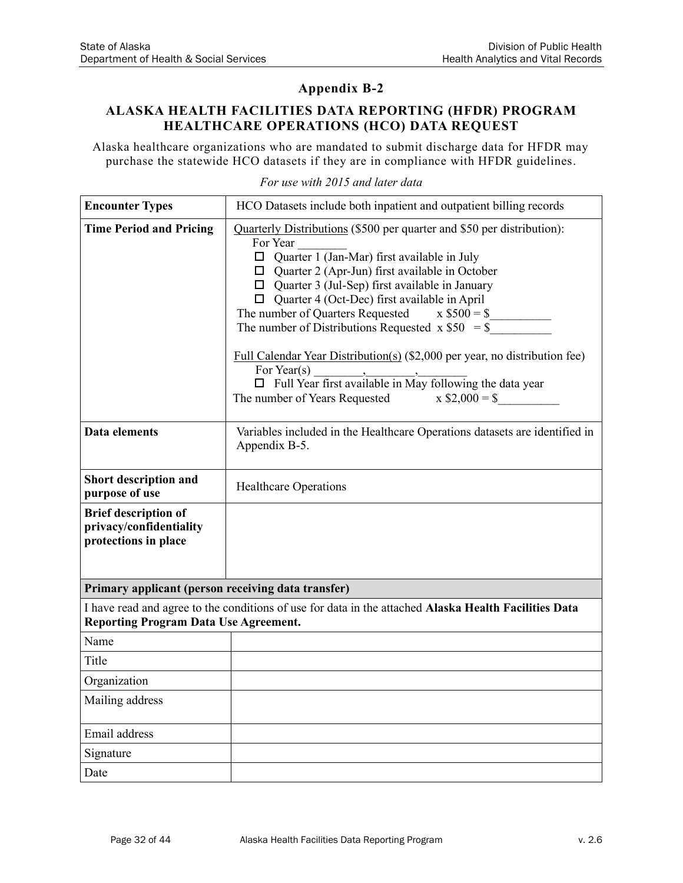### **ALASKA HEALTH FACILITIES DATA REPORTING (HFDR) PROGRAM HEALTHCARE OPERATIONS (HCO) DATA REQUEST**

Alaska healthcare organizations who are mandated to submit discharge data for HFDR may purchase the statewide HCO datasets if they are in compliance with HFDR guidelines.

| <b>Encounter Types</b>                                                         | HCO Datasets include both inpatient and outpatient billing records                                                                                                                                                                                                                                                                                                                                                                                                                                                                                                      |
|--------------------------------------------------------------------------------|-------------------------------------------------------------------------------------------------------------------------------------------------------------------------------------------------------------------------------------------------------------------------------------------------------------------------------------------------------------------------------------------------------------------------------------------------------------------------------------------------------------------------------------------------------------------------|
| <b>Time Period and Pricing</b>                                                 | Quarterly Distributions (\$500 per quarter and \$50 per distribution):<br>For Year<br>$\Box$ Quarter 1 (Jan-Mar) first available in July<br>$\Box$ Quarter 2 (Apr-Jun) first available in October<br>$\Box$ Quarter 3 (Jul-Sep) first available in January<br>$\Box$ Quarter 4 (Oct-Dec) first available in April<br>The number of Quarters Requested $x $500 = $$<br>The number of Distributions Requested $x $50 = $$<br>Full Calendar Year Distribution(s) (\$2,000 per year, no distribution fee)<br>For Year(s)<br>$x $2,000 = $$<br>The number of Years Requested |
| Data elements                                                                  | Variables included in the Healthcare Operations datasets are identified in<br>Appendix B-5.                                                                                                                                                                                                                                                                                                                                                                                                                                                                             |
| Short description and<br>purpose of use                                        | <b>Healthcare Operations</b>                                                                                                                                                                                                                                                                                                                                                                                                                                                                                                                                            |
| <b>Brief description of</b><br>privacy/confidentiality<br>protections in place |                                                                                                                                                                                                                                                                                                                                                                                                                                                                                                                                                                         |
| Primary applicant (person receiving data transfer)                             |                                                                                                                                                                                                                                                                                                                                                                                                                                                                                                                                                                         |
| <b>Reporting Program Data Use Agreement.</b>                                   | I have read and agree to the conditions of use for data in the attached Alaska Health Facilities Data                                                                                                                                                                                                                                                                                                                                                                                                                                                                   |
| Name                                                                           |                                                                                                                                                                                                                                                                                                                                                                                                                                                                                                                                                                         |
| Title                                                                          |                                                                                                                                                                                                                                                                                                                                                                                                                                                                                                                                                                         |
| Organization                                                                   |                                                                                                                                                                                                                                                                                                                                                                                                                                                                                                                                                                         |
| Mailing address                                                                |                                                                                                                                                                                                                                                                                                                                                                                                                                                                                                                                                                         |
| Email address                                                                  |                                                                                                                                                                                                                                                                                                                                                                                                                                                                                                                                                                         |
| Signature                                                                      |                                                                                                                                                                                                                                                                                                                                                                                                                                                                                                                                                                         |
| Date                                                                           |                                                                                                                                                                                                                                                                                                                                                                                                                                                                                                                                                                         |

#### *For use with 2015 and later data*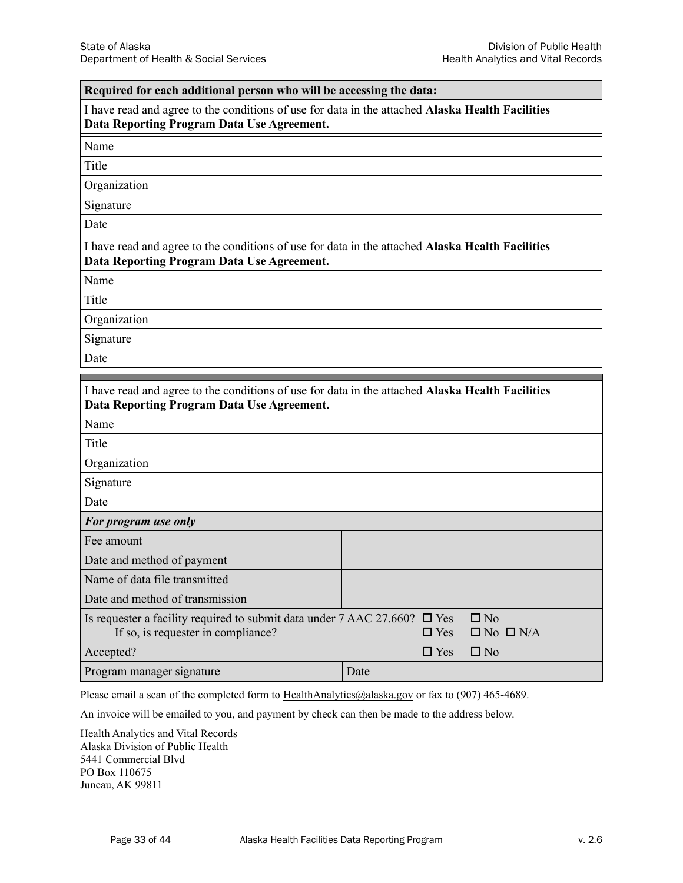#### **Required for each additional person who will be accessing the data:**

I have read and agree to the conditions of use for data in the attached **Alaska Health Facilities Data Reporting Program Data Use Agreement.**

| Name         |  |
|--------------|--|
| Title        |  |
| Organization |  |
| Signature    |  |
| Date         |  |

| I have read and agree to the conditions of use for data in the attached Alaska Health Facilities |
|--------------------------------------------------------------------------------------------------|
| Data Reporting Program Data Use Agreement.                                                       |

| Name         |  |
|--------------|--|
| Title        |  |
| Organization |  |
| Signature    |  |
| Date         |  |

| I have read and agree to the conditions of use for data in the attached Alaska Health Facilities<br>Data Reporting Program Data Use Agreement. |  |      |            |                                   |  |
|------------------------------------------------------------------------------------------------------------------------------------------------|--|------|------------|-----------------------------------|--|
| Name                                                                                                                                           |  |      |            |                                   |  |
| Title                                                                                                                                          |  |      |            |                                   |  |
| Organization                                                                                                                                   |  |      |            |                                   |  |
| Signature                                                                                                                                      |  |      |            |                                   |  |
| Date                                                                                                                                           |  |      |            |                                   |  |
| For program use only                                                                                                                           |  |      |            |                                   |  |
| Fee amount                                                                                                                                     |  |      |            |                                   |  |
| Date and method of payment                                                                                                                     |  |      |            |                                   |  |
| Name of data file transmitted                                                                                                                  |  |      |            |                                   |  |
| Date and method of transmission                                                                                                                |  |      |            |                                   |  |
| Is requester a facility required to submit data under $7$ AAC 27.660? $\Box$ Yes<br>If so, is requester in compliance?                         |  |      | $\Box$ Yes | $\Box$ No<br>$\Box$ No $\Box$ N/A |  |
| Accepted?                                                                                                                                      |  |      | $\Box$ Yes | $\Box$ No                         |  |
| Program manager signature                                                                                                                      |  | Date |            |                                   |  |

Please email a scan of the completed form to [HealthAnalytics@alaska.gov](mailto:HealthAnalytics@alaska.govf) or fax to (907) 465-4689.

An invoice will be emailed to you, and payment by check can then be made to the address below.

Health Analytics and Vital Records Alaska Division of Public Health 5441 Commercial Blvd PO Box 110675 Juneau, AK 99811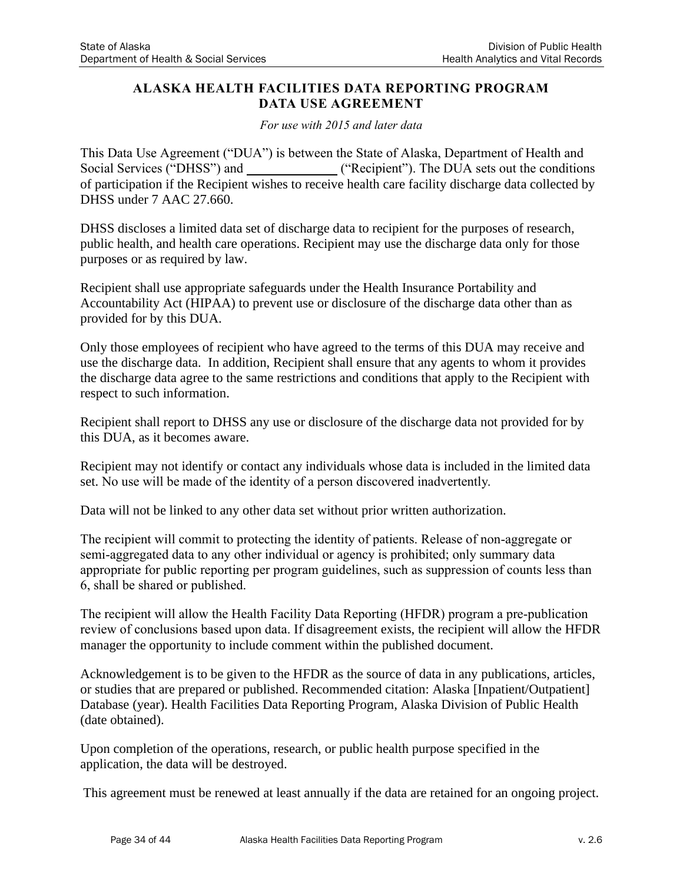### **ALASKA HEALTH FACILITIES DATA REPORTING PROGRAM DATA USE AGREEMENT**

*For use with 2015 and later data* 

This Data Use Agreement ("DUA") is between the State of Alaska, Department of Health and Social Services ("DHSS") and ("Recipient"). The DUA sets out the conditions of participation if the Recipient wishes to receive health care facility discharge data collected by DHSS under 7 AAC 27.660.

DHSS discloses a limited data set of discharge data to recipient for the purposes of research, public health, and health care operations. Recipient may use the discharge data only for those purposes or as required by law.

Recipient shall use appropriate safeguards under the Health Insurance Portability and Accountability Act (HIPAA) to prevent use or disclosure of the discharge data other than as provided for by this DUA.

Only those employees of recipient who have agreed to the terms of this DUA may receive and use the discharge data. In addition, Recipient shall ensure that any agents to whom it provides the discharge data agree to the same restrictions and conditions that apply to the Recipient with respect to such information.

Recipient shall report to DHSS any use or disclosure of the discharge data not provided for by this DUA, as it becomes aware.

Recipient may not identify or contact any individuals whose data is included in the limited data set. No use will be made of the identity of a person discovered inadvertently.

Data will not be linked to any other data set without prior written authorization.

The recipient will commit to protecting the identity of patients. Release of non-aggregate or semi-aggregated data to any other individual or agency is prohibited; only summary data appropriate for public reporting per program guidelines, such as suppression of counts less than 6, shall be shared or published.

The recipient will allow the Health Facility Data Reporting (HFDR) program a pre-publication review of conclusions based upon data. If disagreement exists, the recipient will allow the HFDR manager the opportunity to include comment within the published document.

Acknowledgement is to be given to the HFDR as the source of data in any publications, articles, or studies that are prepared or published. Recommended citation: Alaska [Inpatient/Outpatient] Database (year). Health Facilities Data Reporting Program, Alaska Division of Public Health (date obtained).

Upon completion of the operations, research, or public health purpose specified in the application, the data will be destroyed.

This agreement must be renewed at least annually if the data are retained for an ongoing project.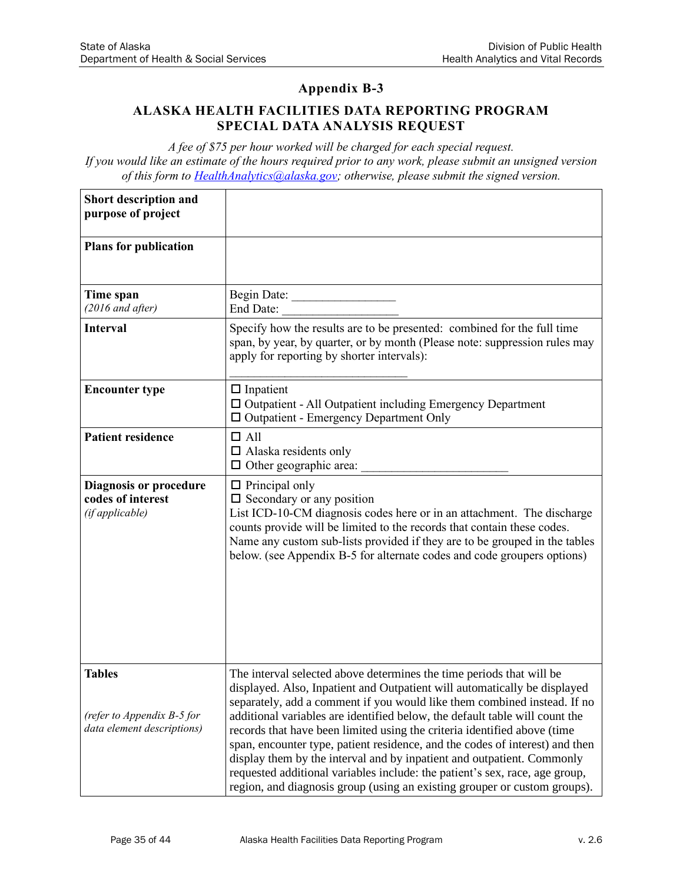### **ALASKA HEALTH FACILITIES DATA REPORTING PROGRAM SPECIAL DATA ANALYSIS REQUEST**

*A fee of \$75 per hour worked will be charged for each special request. If you would like an estimate of the hours required prior to any work, please submit an unsigned version of this form to [HealthAnalytics@alaska.gov;](mailto:HealthAnalytics@alaska.gov) otherwise, please submit the signed version.*

| Short description and<br>purpose of project                               |                                                                                                                                                                                                                                                                                                                                                                                                                                                                                                                                                                                                                                                                                                                |
|---------------------------------------------------------------------------|----------------------------------------------------------------------------------------------------------------------------------------------------------------------------------------------------------------------------------------------------------------------------------------------------------------------------------------------------------------------------------------------------------------------------------------------------------------------------------------------------------------------------------------------------------------------------------------------------------------------------------------------------------------------------------------------------------------|
| <b>Plans for publication</b>                                              |                                                                                                                                                                                                                                                                                                                                                                                                                                                                                                                                                                                                                                                                                                                |
| Time span<br>$(2016$ and after)                                           | Begin Date:<br>End Date:                                                                                                                                                                                                                                                                                                                                                                                                                                                                                                                                                                                                                                                                                       |
| <b>Interval</b>                                                           | Specify how the results are to be presented: combined for the full time<br>span, by year, by quarter, or by month (Please note: suppression rules may<br>apply for reporting by shorter intervals):                                                                                                                                                                                                                                                                                                                                                                                                                                                                                                            |
| <b>Encounter type</b>                                                     | $\Box$ Inpatient<br>□ Outpatient - All Outpatient including Emergency Department<br>□ Outpatient - Emergency Department Only                                                                                                                                                                                                                                                                                                                                                                                                                                                                                                                                                                                   |
| <b>Patient residence</b>                                                  | $\Box$ All<br>$\Box$ Alaska residents only<br>$\Box$ Other geographic area:                                                                                                                                                                                                                                                                                                                                                                                                                                                                                                                                                                                                                                    |
| <b>Diagnosis or procedure</b><br>codes of interest<br>(if applicable)     | $\Box$ Principal only<br>$\square$ Secondary or any position<br>List ICD-10-CM diagnosis codes here or in an attachment. The discharge<br>counts provide will be limited to the records that contain these codes.<br>Name any custom sub-lists provided if they are to be grouped in the tables<br>below. (see Appendix B-5 for alternate codes and code groupers options)                                                                                                                                                                                                                                                                                                                                     |
| <b>Tables</b><br>(refer to Appendix B-5 for<br>data element descriptions) | The interval selected above determines the time periods that will be<br>displayed. Also, Inpatient and Outpatient will automatically be displayed<br>separately, add a comment if you would like them combined instead. If no<br>additional variables are identified below, the default table will count the<br>records that have been limited using the criteria identified above (time<br>span, encounter type, patient residence, and the codes of interest) and then<br>display them by the interval and by inpatient and outpatient. Commonly<br>requested additional variables include: the patient's sex, race, age group,<br>region, and diagnosis group (using an existing grouper or custom groups). |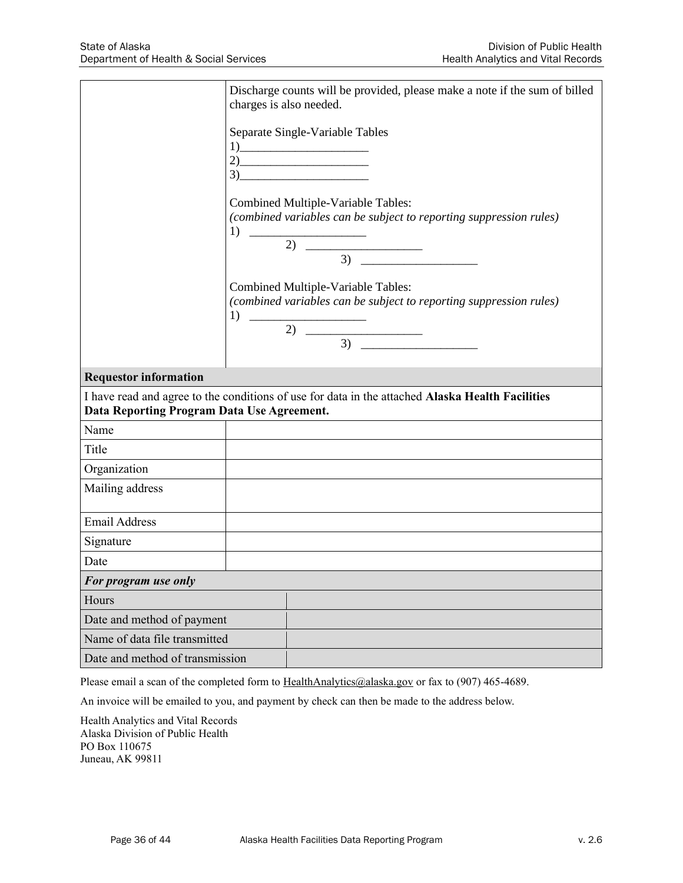|                                            | Discharge counts will be provided, please make a note if the sum of billed<br>charges is also needed.                                                                                                                                                                                                                                                                                                                                                                                                                                                                                                                      |
|--------------------------------------------|----------------------------------------------------------------------------------------------------------------------------------------------------------------------------------------------------------------------------------------------------------------------------------------------------------------------------------------------------------------------------------------------------------------------------------------------------------------------------------------------------------------------------------------------------------------------------------------------------------------------------|
|                                            | Separate Single-Variable Tables<br>$\boxed{1}$<br>$2) \qquad \qquad \overbrace{\qquad \qquad }$<br>$3)$ and $\overline{\phantom{a}3)$                                                                                                                                                                                                                                                                                                                                                                                                                                                                                      |
|                                            | Combined Multiple-Variable Tables:<br>(combined variables can be subject to reporting suppression rules)<br>$\begin{tabular}{c} 1) \end{tabular}$<br>$2) \quad \overbrace{\qquad \qquad 3) \quad \overbrace{\qquad \qquad } }$                                                                                                                                                                                                                                                                                                                                                                                             |
|                                            | Combined Multiple-Variable Tables:<br>(combined variables can be subject to reporting suppression rules)<br>1) $\overline{\phantom{a}1}$<br>$\overline{2)}$ $\overline{\phantom{2}}$ $\overline{\phantom{2}}$ $\overline{\phantom{2}}$ $\overline{\phantom{2}}$ $\overline{\phantom{2}}$ $\overline{\phantom{2}}$ $\overline{\phantom{2}}$ $\overline{\phantom{2}}$ $\overline{\phantom{2}}$ $\overline{\phantom{2}}$ $\overline{\phantom{2}}$ $\overline{\phantom{2}}$ $\overline{\phantom{2}}$ $\overline{\phantom{2}}$ $\overline{\phantom{2}}$ $\overline{\phantom{2}}$ $\overline{\phantom{2}}$ $\overline{\phantom{$ |
| <b>Requestor information</b>               |                                                                                                                                                                                                                                                                                                                                                                                                                                                                                                                                                                                                                            |
| Data Reporting Program Data Use Agreement. | I have read and agree to the conditions of use for data in the attached Alaska Health Facilities                                                                                                                                                                                                                                                                                                                                                                                                                                                                                                                           |
| Name                                       |                                                                                                                                                                                                                                                                                                                                                                                                                                                                                                                                                                                                                            |
| Title                                      |                                                                                                                                                                                                                                                                                                                                                                                                                                                                                                                                                                                                                            |
| Organization                               |                                                                                                                                                                                                                                                                                                                                                                                                                                                                                                                                                                                                                            |
| Mailing address                            |                                                                                                                                                                                                                                                                                                                                                                                                                                                                                                                                                                                                                            |
| <b>Email Address</b>                       |                                                                                                                                                                                                                                                                                                                                                                                                                                                                                                                                                                                                                            |
| Signature                                  |                                                                                                                                                                                                                                                                                                                                                                                                                                                                                                                                                                                                                            |
| Date                                       |                                                                                                                                                                                                                                                                                                                                                                                                                                                                                                                                                                                                                            |
| For program use only                       |                                                                                                                                                                                                                                                                                                                                                                                                                                                                                                                                                                                                                            |
| Hours                                      |                                                                                                                                                                                                                                                                                                                                                                                                                                                                                                                                                                                                                            |
| Date and method of payment                 |                                                                                                                                                                                                                                                                                                                                                                                                                                                                                                                                                                                                                            |
| Name of data file transmitted              |                                                                                                                                                                                                                                                                                                                                                                                                                                                                                                                                                                                                                            |
| Date and method of transmission            |                                                                                                                                                                                                                                                                                                                                                                                                                                                                                                                                                                                                                            |

Please email a scan of the completed form to [HealthAnalytics@alaska.gov](mailto:HealthAnalytics@alaska.govf) or fax to (907) 465-4689.

An invoice will be emailed to you, and payment by check can then be made to the address below.

Health Analytics and Vital Records Alaska Division of Public Health PO Box 110675 Juneau, AK 99811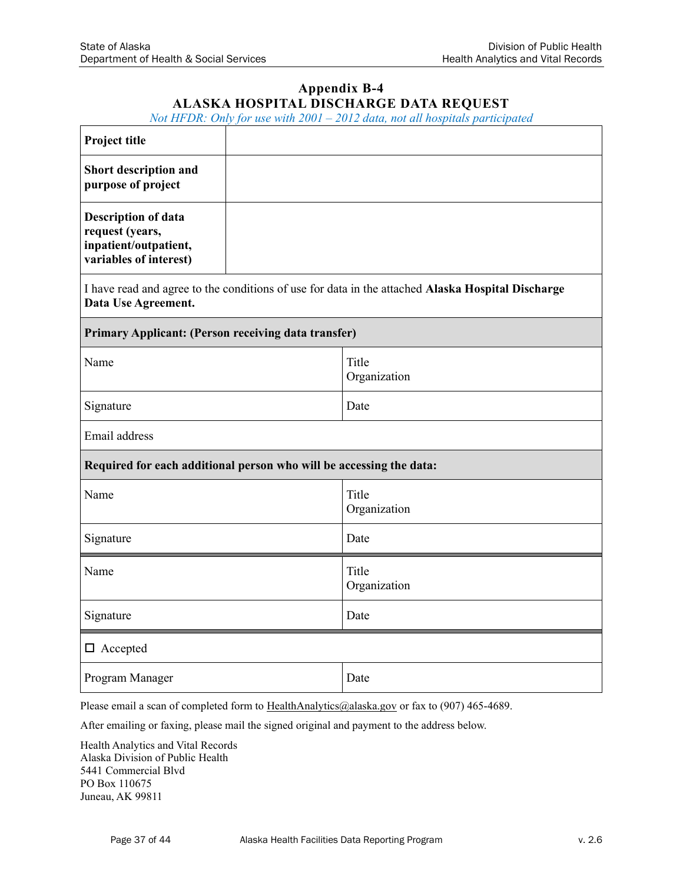## **Appendix B-4 ALASKA HOSPITAL DISCHARGE DATA REQUEST**

*Not HFDR: Only for use with 2001 – 2012 data, not all hospitals participated*

| Project title                                                                                    |  |                                                                                                   |  |  |
|--------------------------------------------------------------------------------------------------|--|---------------------------------------------------------------------------------------------------|--|--|
| Short description and<br>purpose of project                                                      |  |                                                                                                   |  |  |
| <b>Description of data</b><br>request (years,<br>inpatient/outpatient,<br>variables of interest) |  |                                                                                                   |  |  |
| Data Use Agreement.                                                                              |  | I have read and agree to the conditions of use for data in the attached Alaska Hospital Discharge |  |  |
| <b>Primary Applicant: (Person receiving data transfer)</b>                                       |  |                                                                                                   |  |  |
| Name                                                                                             |  | Title<br>Organization                                                                             |  |  |
| Signature                                                                                        |  | Date                                                                                              |  |  |
| Email address                                                                                    |  |                                                                                                   |  |  |
| Required for each additional person who will be accessing the data:                              |  |                                                                                                   |  |  |
| Name                                                                                             |  | Title<br>Organization                                                                             |  |  |
| Signature                                                                                        |  | Date                                                                                              |  |  |
| Name                                                                                             |  | Title<br>Organization                                                                             |  |  |
| Signature                                                                                        |  | Date                                                                                              |  |  |
| $\Box$ Accepted                                                                                  |  |                                                                                                   |  |  |
| Program Manager                                                                                  |  | Date                                                                                              |  |  |

Please email a scan of completed form to [HealthAnalytics@alaska.gov](mailto:HealthAnalytics@alaska.govf) or fax to (907) 465-4689.

After emailing or faxing, please mail the signed original and payment to the address below.

Health Analytics and Vital Records Alaska Division of Public Health 5441 Commercial Blvd PO Box 110675 Juneau, AK 99811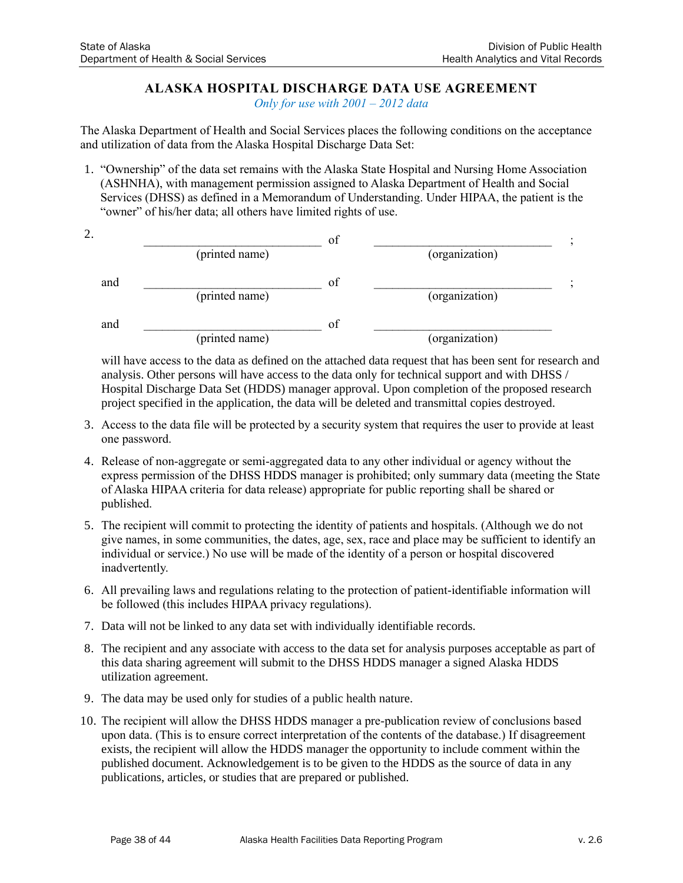## **ALASKA HOSPITAL DISCHARGE DATA USE AGREEMENT**

*Only for use with 2001 – 2012 data*

The Alaska Department of Health and Social Services places the following conditions on the acceptance and utilization of data from the Alaska Hospital Discharge Data Set:

1. "Ownership" of the data set remains with the Alaska State Hospital and Nursing Home Association (ASHNHA), with management permission assigned to Alaska Department of Health and Social Services (DHSS) as defined in a Memorandum of Understanding. Under HIPAA, the patient is the "owner" of his/her data; all others have limited rights of use.

| 2.  |                | οt |                |  |
|-----|----------------|----|----------------|--|
|     | (printed name) |    | (organization) |  |
| and |                | of |                |  |
|     | (printed name) |    | (organization) |  |
| and |                | of |                |  |
|     | (printed name) |    | (organization) |  |

will have access to the data as defined on the attached data request that has been sent for research and analysis. Other persons will have access to the data only for technical support and with DHSS / Hospital Discharge Data Set (HDDS) manager approval. Upon completion of the proposed research project specified in the application, the data will be deleted and transmittal copies destroyed.

- 3. Access to the data file will be protected by a security system that requires the user to provide at least one password.
- 4. Release of non-aggregate or semi-aggregated data to any other individual or agency without the express permission of the DHSS HDDS manager is prohibited; only summary data (meeting the State of Alaska HIPAA criteria for data release) appropriate for public reporting shall be shared or published.
- 5. The recipient will commit to protecting the identity of patients and hospitals. (Although we do not give names, in some communities, the dates, age, sex, race and place may be sufficient to identify an individual or service.) No use will be made of the identity of a person or hospital discovered inadvertently.
- 6. All prevailing laws and regulations relating to the protection of patient-identifiable information will be followed (this includes HIPAA privacy regulations).
- 7. Data will not be linked to any data set with individually identifiable records.
- 8. The recipient and any associate with access to the data set for analysis purposes acceptable as part of this data sharing agreement will submit to the DHSS HDDS manager a signed Alaska HDDS utilization agreement.
- 9. The data may be used only for studies of a public health nature.
- 10. The recipient will allow the DHSS HDDS manager a pre-publication review of conclusions based upon data. (This is to ensure correct interpretation of the contents of the database.) If disagreement exists, the recipient will allow the HDDS manager the opportunity to include comment within the published document. Acknowledgement is to be given to the HDDS as the source of data in any publications, articles, or studies that are prepared or published.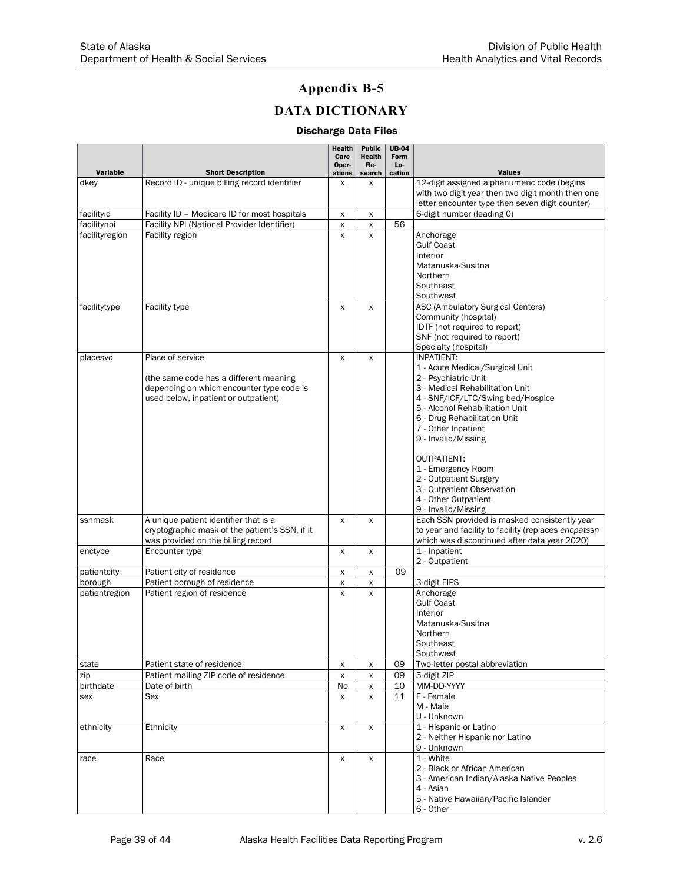# **Appendix B-5 DATA DICTIONARY**

#### Discharge Data Files

|                |                                                                                                                                                 | <b>Health</b><br>Care | <b>Public</b><br>Health | <b>UB-04</b><br>Form |                                                                                                                                                                                                                                                                                                                                                                           |
|----------------|-------------------------------------------------------------------------------------------------------------------------------------------------|-----------------------|-------------------------|----------------------|---------------------------------------------------------------------------------------------------------------------------------------------------------------------------------------------------------------------------------------------------------------------------------------------------------------------------------------------------------------------------|
| Variable       | <b>Short Description</b>                                                                                                                        | Oper-<br>ations       | Re-<br>search           | Lo-<br>cation        | <b>Values</b>                                                                                                                                                                                                                                                                                                                                                             |
| dkey           | Record ID - unique billing record identifier                                                                                                    | X                     | X                       |                      | 12-digit assigned alphanumeric code (begins<br>with two digit year then two digit month then one<br>letter encounter type then seven digit counter)                                                                                                                                                                                                                       |
| facilityid     | Facility ID - Medicare ID for most hospitals                                                                                                    | х                     | X                       |                      | 6-digit number (leading 0)                                                                                                                                                                                                                                                                                                                                                |
| facilitynpi    | Facility NPI (National Provider Identifier)                                                                                                     | X                     | X                       | 56                   |                                                                                                                                                                                                                                                                                                                                                                           |
| facilityregion | Facility region                                                                                                                                 | X                     | X                       |                      | Anchorage<br><b>Gulf Coast</b><br>Interior<br>Matanuska-Susitna<br>Northern<br>Southeast<br>Southwest                                                                                                                                                                                                                                                                     |
| facilitytype   | Facility type                                                                                                                                   | X                     | X                       |                      | ASC (Ambulatory Surgical Centers)<br>Community (hospital)<br>IDTF (not required to report)<br>SNF (not required to report)<br>Specialty (hospital)                                                                                                                                                                                                                        |
| placesvc       | Place of service<br>(the same code has a different meaning<br>depending on which encounter type code is<br>used below, inpatient or outpatient) | X                     | X                       |                      | <b>INPATIENT:</b><br>1 - Acute Medical/Surgical Unit<br>2 - Psychiatric Unit<br>3 - Medical Rehabilitation Unit<br>4 - SNF/ICF/LTC/Swing bed/Hospice<br>5 - Alcohol Rehabilitation Unit<br>6 - Drug Rehabilitation Unit<br>7 - Other Inpatient<br>9 - Invalid/Missing<br><b>OUTPATIENT:</b><br>1 - Emergency Room<br>2 - Outpatient Surgery<br>3 - Outpatient Observation |
|                |                                                                                                                                                 |                       |                         |                      | 4 - Other Outpatient<br>9 - Invalid/Missing                                                                                                                                                                                                                                                                                                                               |
| ssnmask        | A unique patient identifier that is a<br>cryptographic mask of the patient's SSN, if it<br>was provided on the billing record                   | X                     | X                       |                      | Each SSN provided is masked consistently year<br>to year and facility to facility (replaces encpatssn<br>which was discontinued after data year 2020)                                                                                                                                                                                                                     |
| enctype        | Encounter type                                                                                                                                  | X                     | X                       |                      | 1 - Inpatient<br>2 - Outpatient                                                                                                                                                                                                                                                                                                                                           |
| patientcity    | Patient city of residence                                                                                                                       | х                     | X                       | 09                   |                                                                                                                                                                                                                                                                                                                                                                           |
| borough        | Patient borough of residence                                                                                                                    | X                     | X                       |                      | 3-digit FIPS                                                                                                                                                                                                                                                                                                                                                              |
| patientregion  | Patient region of residence                                                                                                                     | X                     | X                       |                      | Anchorage<br><b>Gulf Coast</b><br>Interior<br>Matanuska-Susitna<br>Northern<br>Southeast<br>Southwest                                                                                                                                                                                                                                                                     |
| state          | Patient state of residence                                                                                                                      | х                     | X                       | 09                   | Two-letter postal abbreviation                                                                                                                                                                                                                                                                                                                                            |
| zip            | Patient mailing ZIP code of residence                                                                                                           | $\pmb{\chi}$          | X                       | 09                   | 5-digit ZIP                                                                                                                                                                                                                                                                                                                                                               |
| birthdate      | Date of birth                                                                                                                                   | No                    | x                       | 10                   | MM-DD-YYYY                                                                                                                                                                                                                                                                                                                                                                |
| sex            | Sex                                                                                                                                             | X                     | X                       | 11                   | F - Female<br>M - Male<br>U - Unknown                                                                                                                                                                                                                                                                                                                                     |
| ethnicity      | Ethnicity                                                                                                                                       | X                     | X                       |                      | 1 - Hispanic or Latino<br>2 - Neither Hispanic nor Latino<br>9 - Unknown                                                                                                                                                                                                                                                                                                  |
| race           | Race                                                                                                                                            | X                     | X                       |                      | $1 -$ White<br>2 - Black or African American<br>3 - American Indian/Alaska Native Peoples<br>4 - Asian<br>5 - Native Hawaiian/Pacific Islander<br>6 - Other                                                                                                                                                                                                               |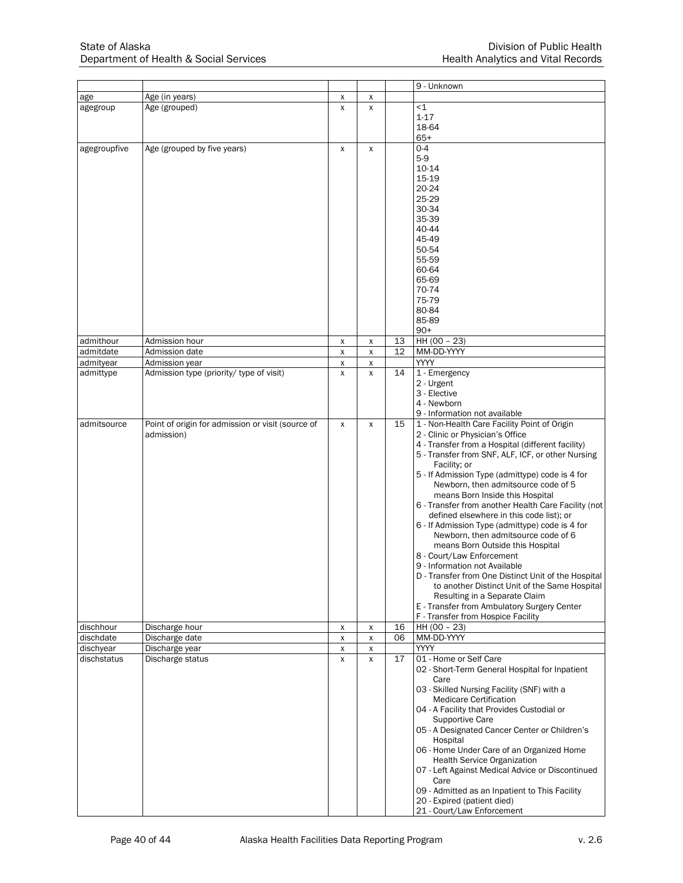|              |                                                   |                    |                    |    | 9 - Unknown                                                                    |
|--------------|---------------------------------------------------|--------------------|--------------------|----|--------------------------------------------------------------------------------|
| age          | Age (in years)                                    | х                  | х                  |    |                                                                                |
| agegroup     | Age (grouped)                                     | $\mathsf{x}$       | X                  |    | $<$ 1                                                                          |
|              |                                                   |                    |                    |    | $1 - 17$                                                                       |
|              |                                                   |                    |                    |    | 18-64                                                                          |
|              |                                                   |                    |                    |    | $65+$                                                                          |
| agegroupfive | Age (grouped by five years)                       | $\mathsf{x}$       | X                  |    | $0 - 4$<br>$5-9$                                                               |
|              |                                                   |                    |                    |    | 10-14                                                                          |
|              |                                                   |                    |                    |    | 15-19                                                                          |
|              |                                                   |                    |                    |    | 20-24                                                                          |
|              |                                                   |                    |                    |    | 25-29                                                                          |
|              |                                                   |                    |                    |    | 30-34                                                                          |
|              |                                                   |                    |                    |    | 35-39                                                                          |
|              |                                                   |                    |                    |    | 40-44                                                                          |
|              |                                                   |                    |                    |    | 45-49                                                                          |
|              |                                                   |                    |                    |    | 50-54                                                                          |
|              |                                                   |                    |                    |    | 55-59                                                                          |
|              |                                                   |                    |                    |    | 60-64                                                                          |
|              |                                                   |                    |                    |    | 65-69                                                                          |
|              |                                                   |                    |                    |    | 70-74                                                                          |
|              |                                                   |                    |                    |    | 75-79                                                                          |
|              |                                                   |                    |                    |    | 80-84                                                                          |
|              |                                                   |                    |                    |    | 85-89                                                                          |
|              |                                                   |                    |                    |    | $90+$                                                                          |
| admithour    | Admission hour                                    | X                  | X                  | 13 | HH (00 - 23)                                                                   |
| admitdate    | Admission date                                    | X                  | $\pmb{\mathsf{X}}$ | 12 | MM-DD-YYYY                                                                     |
| admityear    | Admission year                                    | X                  | X                  |    | YYYY                                                                           |
| admittype    | Admission type (priority/ type of visit)          | $\mathsf{x}$       | X                  | 14 | 1 - Emergency<br>2 - Urgent                                                    |
|              |                                                   |                    |                    |    | 3 - Elective                                                                   |
|              |                                                   |                    |                    |    | 4 - Newborn                                                                    |
|              |                                                   |                    |                    |    | 9 - Information not available                                                  |
| admitsource  | Point of origin for admission or visit (source of | X                  | $\pmb{\mathsf{X}}$ | 15 | 1 - Non-Health Care Facility Point of Origin                                   |
|              | admission)                                        |                    |                    |    | 2 - Clinic or Physician's Office                                               |
|              |                                                   |                    |                    |    | 4 - Transfer from a Hospital (different facility)                              |
|              |                                                   |                    |                    |    | 5 - Transfer from SNF, ALF, ICF, or other Nursing                              |
|              |                                                   |                    |                    |    | Facility; or                                                                   |
|              |                                                   |                    |                    |    | 5 - If Admission Type (admittype) code is 4 for                                |
|              |                                                   |                    |                    |    | Newborn, then admitsource code of 5                                            |
|              |                                                   |                    |                    |    | means Born Inside this Hospital                                                |
|              |                                                   |                    |                    |    | 6 - Transfer from another Health Care Facility (not                            |
|              |                                                   |                    |                    |    | defined elsewhere in this code list); or                                       |
|              |                                                   |                    |                    |    | 6 - If Admission Type (admittype) code is 4 for                                |
|              |                                                   |                    |                    |    | Newborn, then admitsource code of 6                                            |
|              |                                                   |                    |                    |    | means Born Outside this Hospital                                               |
|              |                                                   |                    |                    |    | 8 - Court/Law Enforcement                                                      |
|              |                                                   |                    |                    |    | 9 - Information not Available                                                  |
|              |                                                   |                    |                    |    | D - Transfer from One Distinct Unit of the Hospital                            |
|              |                                                   |                    |                    |    | to another Distinct Unit of the Same Hospital<br>Resulting in a Separate Claim |
|              |                                                   |                    |                    |    | E - Transfer from Ambulatory Surgery Center                                    |
|              |                                                   |                    |                    |    | F - Transfer from Hospice Facility                                             |
| dischhour    | Discharge hour                                    | X                  | х                  | 16 | HH (00 - 23)                                                                   |
| dischdate    | Discharge date                                    | $\pmb{\mathsf{X}}$ | $\pmb{\mathsf{X}}$ | 06 | MM-DD-YYYY                                                                     |
| dischyear    | Discharge year                                    | X                  | $\pmb{\mathsf{X}}$ |    | <b>YYYY</b>                                                                    |
| dischstatus  | Discharge status                                  | X                  | X                  | 17 | 01 - Home or Self Care                                                         |
|              |                                                   |                    |                    |    | 02 - Short-Term General Hospital for Inpatient                                 |
|              |                                                   |                    |                    |    | Care                                                                           |
|              |                                                   |                    |                    |    | 03 - Skilled Nursing Facility (SNF) with a                                     |
|              |                                                   |                    |                    |    | <b>Medicare Certification</b>                                                  |
|              |                                                   |                    |                    |    | 04 - A Facility that Provides Custodial or                                     |
|              |                                                   |                    |                    |    | Supportive Care                                                                |
|              |                                                   |                    |                    |    | 05 - A Designated Cancer Center or Children's<br>Hospital                      |
|              |                                                   |                    |                    |    | 06 - Home Under Care of an Organized Home                                      |
|              |                                                   |                    |                    |    | <b>Health Service Organization</b>                                             |
|              |                                                   |                    |                    |    | 07 - Left Against Medical Advice or Discontinued                               |
|              |                                                   |                    |                    |    | Care                                                                           |
|              |                                                   |                    |                    |    | 09 - Admitted as an Inpatient to This Facility                                 |
|              |                                                   |                    |                    |    | 20 - Expired (patient died)                                                    |
|              |                                                   |                    |                    |    | 21 - Court/Law Enforcement                                                     |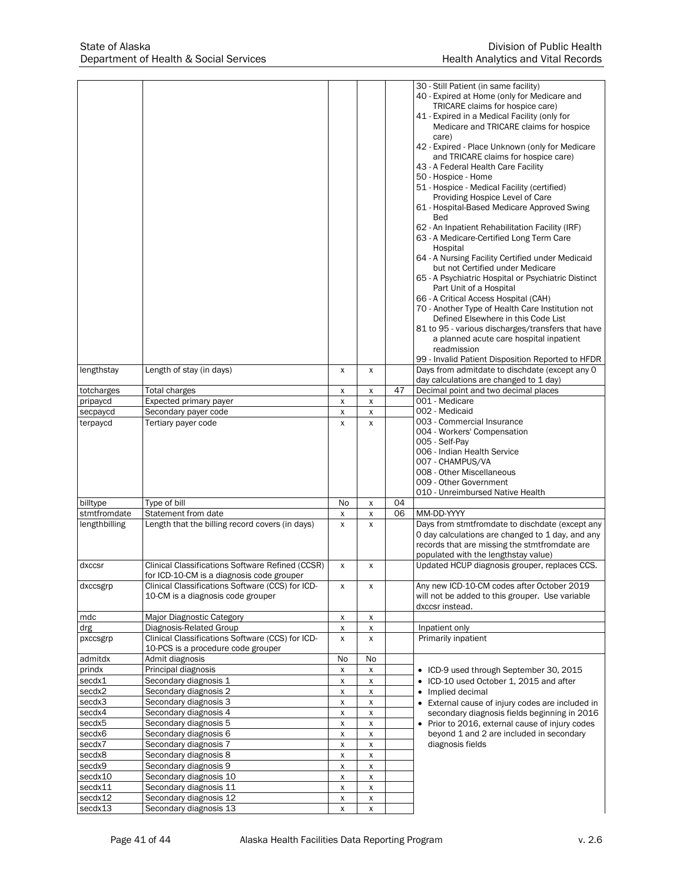|                      |                                                                                        |        |                                          |    | 30 - Still Patient (in same facility)<br>40 - Expired at Home (only for Medicare and                                        |
|----------------------|----------------------------------------------------------------------------------------|--------|------------------------------------------|----|-----------------------------------------------------------------------------------------------------------------------------|
|                      |                                                                                        |        |                                          |    | TRICARE claims for hospice care)<br>41 - Expired in a Medical Facility (only for<br>Medicare and TRICARE claims for hospice |
|                      |                                                                                        |        |                                          |    | care)<br>42 - Expired - Place Unknown (only for Medicare                                                                    |
|                      |                                                                                        |        |                                          |    | and TRICARE claims for hospice care)<br>43 - A Federal Health Care Facility                                                 |
|                      |                                                                                        |        |                                          |    | 50 - Hospice - Home                                                                                                         |
|                      |                                                                                        |        |                                          |    | 51 - Hospice - Medical Facility (certified)<br>Providing Hospice Level of Care                                              |
|                      |                                                                                        |        |                                          |    | 61 - Hospital-Based Medicare Approved Swing                                                                                 |
|                      |                                                                                        |        |                                          |    | <b>Bed</b><br>62 - An Inpatient Rehabilitation Facility (IRF)                                                               |
|                      |                                                                                        |        |                                          |    | 63 - A Medicare-Certified Long Term Care                                                                                    |
|                      |                                                                                        |        |                                          |    | Hospital                                                                                                                    |
|                      |                                                                                        |        |                                          |    | 64 - A Nursing Facility Certified under Medicaid<br>but not Certified under Medicare                                        |
|                      |                                                                                        |        |                                          |    | 65 - A Psychiatric Hospital or Psychiatric Distinct                                                                         |
|                      |                                                                                        |        |                                          |    | Part Unit of a Hospital<br>66 - A Critical Access Hospital (CAH)                                                            |
|                      |                                                                                        |        |                                          |    | 70 - Another Type of Health Care Institution not                                                                            |
|                      |                                                                                        |        |                                          |    | Defined Elsewhere in this Code List                                                                                         |
|                      |                                                                                        |        |                                          |    | 81 to 95 - various discharges/transfers that have<br>a planned acute care hospital inpatient                                |
|                      |                                                                                        |        |                                          |    | readmission                                                                                                                 |
|                      |                                                                                        |        |                                          |    | 99 - Invalid Patient Disposition Reported to HFDR<br>Days from admitdate to dischdate (except any 0                         |
| lengthstay           | Length of stay (in days)                                                               | x      | х                                        |    | day calculations are changed to 1 day)                                                                                      |
| totcharges           | Total charges                                                                          | X      | X                                        | 47 | Decimal point and two decimal places                                                                                        |
| pripaycd<br>secpaycd | Expected primary payer<br>Secondary payer code                                         | X<br>X | X<br>X                                   |    | 001 - Medicare<br>002 - Medicaid                                                                                            |
| terpaycd             | Tertiary payer code                                                                    | X      | X                                        |    | 003 - Commercial Insurance                                                                                                  |
|                      |                                                                                        |        |                                          |    | 004 - Workers' Compensation                                                                                                 |
|                      |                                                                                        |        |                                          |    | 005 - Self-Pay<br>006 - Indian Health Service                                                                               |
|                      |                                                                                        |        |                                          |    | 007 - CHAMPUS/VA                                                                                                            |
|                      |                                                                                        |        |                                          |    | 008 - Other Miscellaneous                                                                                                   |
|                      |                                                                                        |        |                                          |    | 009 - Other Government<br>010 - Unreimbursed Native Health                                                                  |
| billtype             | Type of bill                                                                           | No     | X                                        | 04 |                                                                                                                             |
| stmtfromdate         | Statement from date                                                                    | X      | X                                        | 06 | MM-DD-YYYY                                                                                                                  |
| lengthbilling        | Length that the billing record covers (in days)                                        | X      | X                                        |    | Days from stmtfromdate to dischdate (except any<br>0 day calculations are changed to 1 day, and any                         |
|                      |                                                                                        |        |                                          |    | records that are missing the stmtfromdate are                                                                               |
|                      | Clinical Classifications Software Refined (CCSR)                                       | X      |                                          |    | populated with the lengthstay value)<br>Updated HCUP diagnosis grouper, replaces CCS.                                       |
| dxccsr               | for ICD-10-CM is a diagnosis code grouper                                              |        | X                                        |    |                                                                                                                             |
| dxccsgrp             | Clinical Classifications Software (CCS) for ICD-                                       | x      | X                                        |    | Any new ICD-10-CM codes after October 2019                                                                                  |
|                      | 10-CM is a diagnosis code grouper                                                      |        |                                          |    | will not be added to this grouper. Use variable<br>dxccsr instead.                                                          |
| mdc                  | Major Diagnostic Category                                                              | х      | х                                        |    |                                                                                                                             |
| drg                  | Diagnosis-Related Group                                                                | X      | X                                        |    | Inpatient only                                                                                                              |
| pxccsgrp             | Clinical Classifications Software (CCS) for ICD-<br>10-PCS is a procedure code grouper | X      | X                                        |    | Primarily inpatient                                                                                                         |
| admitdx              | Admit diagnosis                                                                        | No     | No                                       |    |                                                                                                                             |
| prindx               | Principal diagnosis                                                                    | X      | х                                        |    | • ICD-9 used through September 30, 2015                                                                                     |
| secdx1<br>secdx2     | Secondary diagnosis 1<br>Secondary diagnosis 2                                         | X<br>X | $\pmb{\mathsf{X}}$<br>$\pmb{\mathsf{X}}$ |    | • ICD-10 used October 1, 2015 and after<br>• Implied decimal                                                                |
| secdx3               | Secondary diagnosis 3                                                                  | X      | X                                        |    | External cause of injury codes are included in                                                                              |
| secdx4               | Secondary diagnosis 4                                                                  | X      | X                                        |    | secondary diagnosis fields beginning in 2016                                                                                |
| secdx5               | Secondary diagnosis 5                                                                  | x      | X                                        |    | Prior to 2016, external cause of injury codes<br>$\bullet$                                                                  |
| secdx6<br>secdx7     | Secondary diagnosis 6<br>Secondary diagnosis 7                                         | X<br>X | $\pmb{\mathsf{X}}$<br>$\pmb{\mathsf{X}}$ |    | beyond 1 and 2 are included in secondary<br>diagnosis fields                                                                |
| secdx8               | Secondary diagnosis 8                                                                  | X      | X                                        |    |                                                                                                                             |
| secdx9               | Secondary diagnosis 9                                                                  | X      | X                                        |    |                                                                                                                             |
| secdx10<br>secdx11   | Secondary diagnosis 10<br>Secondary diagnosis 11                                       | X<br>X | X<br>$\pmb{\mathsf{X}}$                  |    |                                                                                                                             |
| secdx12              | Secondary diagnosis 12                                                                 | X      | X                                        |    |                                                                                                                             |
| secdx13              | Secondary diagnosis 13                                                                 | X      | x                                        |    |                                                                                                                             |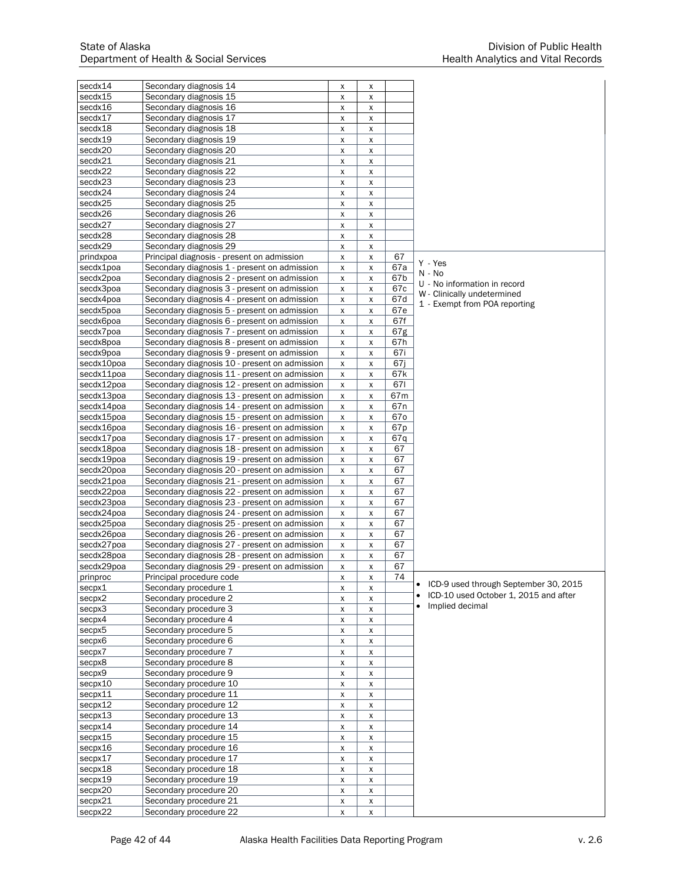| secdx14            | Secondary diagnosis 14                        | х                  | х                  |                 |                                       |
|--------------------|-----------------------------------------------|--------------------|--------------------|-----------------|---------------------------------------|
| secdx15            | Secondary diagnosis 15                        |                    |                    |                 |                                       |
| secdx16            | Secondary diagnosis 16                        | X                  | X                  |                 |                                       |
|                    |                                               | X                  | X                  |                 |                                       |
| secdx17            | Secondary diagnosis 17                        | X                  | x                  |                 |                                       |
| secdx18            | Secondary diagnosis 18                        | x                  | x                  |                 |                                       |
| secdx19            | Secondary diagnosis 19                        | X                  | $\pmb{\mathsf{X}}$ |                 |                                       |
| secdx20            | Secondary diagnosis 20                        | X                  | X                  |                 |                                       |
| secdx21            | Secondary diagnosis 21                        | X                  | X                  |                 |                                       |
| secdx22            | Secondary diagnosis 22                        | X                  | X                  |                 |                                       |
| secdx23            | Secondary diagnosis 23                        | X                  | $\pmb{\mathsf{X}}$ |                 |                                       |
| secdx24            | Secondary diagnosis 24                        | X                  | X                  |                 |                                       |
| secdx25            | Secondary diagnosis 25                        | X                  | x                  |                 |                                       |
| secdx26            | Secondary diagnosis 26                        | X                  | X                  |                 |                                       |
| secdx27            | Secondary diagnosis 27                        | X                  | x                  |                 |                                       |
| secdx28            | Secondary diagnosis 28                        | X                  | X                  |                 |                                       |
| secdx29            | Secondary diagnosis 29                        | X                  |                    |                 |                                       |
|                    |                                               |                    | X                  | 67              |                                       |
| prindxpoa          | Principal diagnosis - present on admission    | X                  | $\pmb{\mathsf{X}}$ |                 | Y - Yes                               |
| secdx1poa          | Secondary diagnosis 1 - present on admission  | X                  | X                  | 67a             | N - No                                |
| secdx2poa          | Secondary diagnosis 2 - present on admission  | X                  | X                  | 67b             | U - No information in record          |
| secdx3poa          | Secondary diagnosis 3 - present on admission  | X                  | X                  | 67c             | W - Clinically undetermined           |
| secdx4poa          | Secondary diagnosis 4 - present on admission  | X                  | x                  | 67d             | 1 - Exempt from POA reporting         |
| secdx5poa          | Secondary diagnosis 5 - present on admission  | X                  | $\pmb{\mathsf{X}}$ | 67e             |                                       |
| secdx6poa          | Secondary diagnosis 6 - present on admission  | X                  | $\pmb{\mathsf{X}}$ | 67f             |                                       |
| secdx7poa          | Secondary diagnosis 7 - present on admission  | X                  | X                  | 67g             |                                       |
| secdx8poa          | Secondary diagnosis 8 - present on admission  | x                  | X                  | 67h             |                                       |
| secdx9poa          | Secondary diagnosis 9 - present on admission  | X                  | x                  | 67i             |                                       |
| secdx10poa         | Secondary diagnosis 10 - present on admission | x                  | X                  | 67i             |                                       |
| secdx11poa         | Secondary diagnosis 11 - present on admission | X                  | X                  | 67k             |                                       |
|                    |                                               |                    |                    |                 |                                       |
| secdx12poa         | Secondary diagnosis 12 - present on admission | x                  | x                  | 671             |                                       |
| secdx13poa         | Secondary diagnosis 13 - present on admission | x                  | X                  | 67m             |                                       |
| secdx14poa         | Secondary diagnosis 14 - present on admission | X                  | x                  | 67 <sub>n</sub> |                                       |
| secdx15poa         | Secondary diagnosis 15 - present on admission | X                  | $\pmb{\mathsf{X}}$ | 670             |                                       |
| secdx16poa         | Secondary diagnosis 16 - present on admission | x                  | X                  | 67p             |                                       |
| secdx17poa         | Secondary diagnosis 17 - present on admission | x                  | x                  | 67q             |                                       |
| secdx18poa         | Secondary diagnosis 18 - present on admission | x                  | X                  | 67              |                                       |
| secdx19poa         | Secondary diagnosis 19 - present on admission | X                  | X                  | 67              |                                       |
| secdx20poa         | Secondary diagnosis 20 - present on admission | X                  | x                  | 67              |                                       |
| secdx21poa         | Secondary diagnosis 21 - present on admission | x                  | X                  | 67              |                                       |
| secdx22poa         | Secondary diagnosis 22 - present on admission |                    |                    | 67              |                                       |
|                    |                                               | x                  | x                  |                 |                                       |
| secdx23poa         | Secondary diagnosis 23 - present on admission | X                  | X                  | 67              |                                       |
| secdx24poa         | Secondary diagnosis 24 - present on admission | x                  | X                  | 67              |                                       |
| secdx25poa         | Secondary diagnosis 25 - present on admission | X                  | x                  | 67              |                                       |
| secdx26poa         | Secondary diagnosis 26 - present on admission | X                  | X                  | 67              |                                       |
| secdx27poa         | Secondary diagnosis 27 - present on admission | x                  | X                  | 67              |                                       |
| secdx28poa         | Secondary diagnosis 28 - present on admission | X                  | X                  | 67              |                                       |
| secdx29poa         | Secondary diagnosis 29 - present on admission | x                  | X                  | 67              |                                       |
| prinproc           | Principal procedure code                      | $\pmb{\mathsf{X}}$ | X                  | $\overline{74}$ |                                       |
| secpx1             | Secondary procedure 1                         | X                  | x                  |                 | ICD-9 used through September 30, 2015 |
| secpx2             | Secondary procedure 2                         | X                  | X                  |                 | ICD-10 used October 1, 2015 and after |
| secpx3             | Secondary procedure 3                         | X                  | X                  |                 | Implied decimal                       |
| secpx4             | Secondary procedure 4                         | X                  | x                  |                 |                                       |
|                    | Secondary procedure 5                         |                    |                    |                 |                                       |
| secpx <sub>5</sub> |                                               | X                  | $\pmb{\mathsf{X}}$ |                 |                                       |
| secpx6             | Secondary procedure 6                         | X                  | $\pmb{\mathsf{X}}$ |                 |                                       |
| secpx7             | Secondary procedure 7                         | X                  | X                  |                 |                                       |
| secpx8             | Secondary procedure 8                         | X                  | $\pmb{\mathsf{X}}$ |                 |                                       |
| secpx9             | Secondary procedure 9                         | X                  | x                  |                 |                                       |
| secpx10            | Secondary procedure 10                        | X                  | X                  |                 |                                       |
| secpx11            | Secondary procedure 11                        | X                  | $\pmb{\mathsf{X}}$ |                 |                                       |
| secpx12            | Secondary procedure 12                        | X                  | x                  |                 |                                       |
| secpx13            | Secondary procedure 13                        | X                  | X                  |                 |                                       |
| secpx14            | Secondary procedure 14                        | X                  | X                  |                 |                                       |
| secpx15            | Secondary procedure 15                        | X                  | $\pmb{\mathsf{X}}$ |                 |                                       |
| secpx16            | Secondary procedure 16                        | X                  | X                  |                 |                                       |
| secpx17            | Secondary procedure 17                        | X                  | X                  |                 |                                       |
|                    |                                               |                    |                    |                 |                                       |
| secpx18            | Secondary procedure 18                        | X                  | X                  |                 |                                       |
| secpx19            | Secondary procedure 19                        | X                  | X                  |                 |                                       |
| secpx20            | Secondary procedure 20                        | X                  | X                  |                 |                                       |
| secpx21            | Secondary procedure 21                        | X                  | X                  |                 |                                       |
| secpx22            | Secondary procedure 22                        | x                  | x                  |                 |                                       |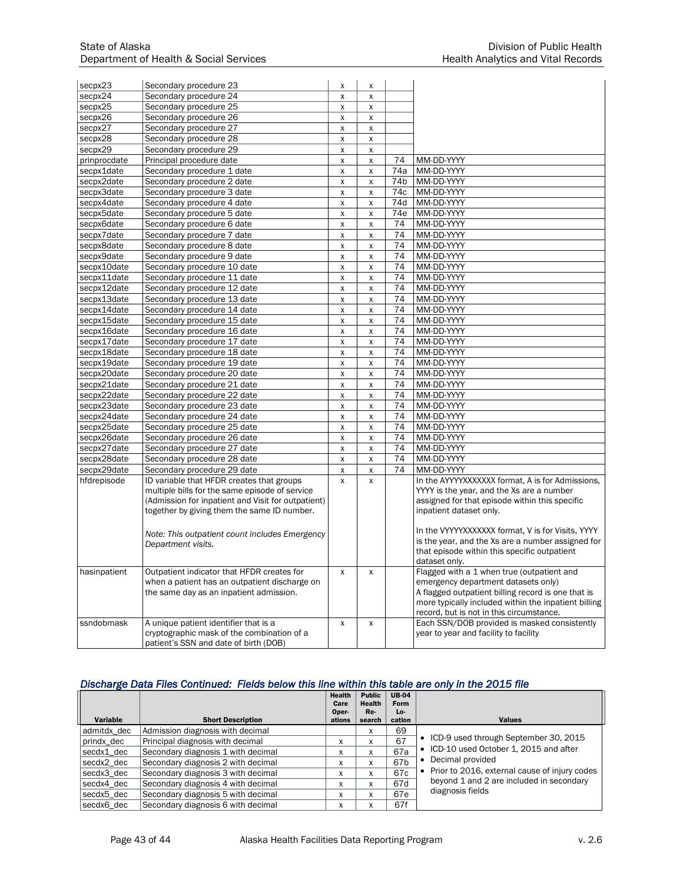| secpx24<br>Secondary procedure 24<br>X<br>$\mathsf{x}$<br>Secondary procedure 25<br>secpx25<br>X<br>X<br>Secondary procedure 26<br>secpx26<br>X<br>X<br>secpx27<br>Secondary procedure 27<br>X<br>X<br>Secondary procedure 28<br>secpx28<br>X<br>$\pmb{\mathsf{X}}$<br>Secondary procedure 29<br>secpx29<br>X<br>X<br>prinprocdate<br>Principal procedure date<br>74<br>MM-DD-YYYY<br>$\pmb{\mathsf{X}}$<br>$\pmb{\mathsf{X}}$<br>Secondary procedure 1 date<br>74a<br>MM-DD-YYYY<br>secpx1date<br>$\pmb{\mathsf{X}}$<br>$\pmb{\mathsf{X}}$<br>secpx2date<br>Secondary procedure 2 date<br>74 <sub>b</sub><br>MM-DD-YYYY<br>X<br>$\pmb{\mathsf{X}}$<br>74c<br>secpx3date<br>Secondary procedure 3 date<br>MM-DD-YYYY<br>X<br>X<br>secpx4date<br>Secondary procedure 4 date<br>74d<br>MM-DD-YYYY<br>$\pmb{\mathsf{X}}$<br>$\pmb{\mathsf{X}}$<br>MM-DD-YYYY<br>secpx5date<br>Secondary procedure 5 date<br>74e<br>X<br>$\pmb{\mathsf{X}}$<br>Secondary procedure 6 date<br>MM-DD-YYYY<br>secpx6date<br>74<br>X<br>X<br>MM-DD-YYYY<br>secpx7date<br>Secondary procedure 7 date<br>74<br>$\pmb{\mathsf{X}}$<br>$\mathsf{x}$<br>74<br>secpx8date<br>Secondary procedure 8 date<br>MM-DD-YYYY<br>X<br>X<br>Secondary procedure 9 date<br>74<br>MM-DD-YYYY<br>secpx9date<br>$\pmb{\mathsf{X}}$<br>$\pmb{\chi}$<br>secpx10date<br>Secondary procedure 10 date<br>74<br>MM-DD-YYYY<br>X<br>X<br>secpx11date<br>Secondary procedure 11 date<br>74<br>MM-DD-YYYY<br>x<br>X<br>Secondary procedure 12 date<br>MM-DD-YYYY<br>secpx12date<br>74<br>$\pmb{\mathsf{X}}$<br>$\pmb{\mathsf{X}}$<br>secpx13date<br>Secondary procedure 13 date<br>74<br>MM-DD-YYYY<br>$\pmb{\mathsf{X}}$<br>X<br>secpx14date<br>Secondary procedure 14 date<br>74<br>MM-DD-YYYY<br>X<br>$\pmb{\mathsf{X}}$<br>74<br>secpx15date<br>Secondary procedure 15 date<br>MM-DD-YYYY<br>$\pmb{\mathsf{X}}$<br>X<br>secpx16date<br>Secondary procedure 16 date<br>74<br>MM-DD-YYYY<br>X<br>X<br>secpx17date<br>Secondary procedure 17 date<br>74<br>MM-DD-YYYY<br>X<br>$\pmb{\mathsf{X}}$<br>secpx18date<br>Secondary procedure 18 date<br>74<br>MM-DD-YYYY<br>X<br>X<br>Secondary procedure 19 date<br>MM-DD-YYYY<br>secpx19date<br>74<br>X<br>$\pmb{\mathsf{X}}$<br>secpx20date<br>Secondary procedure 20 date<br>74<br>MM-DD-YYYY<br>x<br>X<br>MM-DD-YYYY<br>secpx21date<br>Secondary procedure 21 date<br>74<br>X<br>X<br>secpx22date<br>Secondary procedure 22 date<br>74<br>MM-DD-YYYY<br>X<br>X<br>secpx23date<br>Secondary procedure 23 date<br>74<br>MM-DD-YYYY<br>X<br>$\pmb{\mathsf{X}}$<br>secpx24date<br>Secondary procedure 24 date<br>74<br>MM-DD-YYYY<br>$\pmb{\mathsf{X}}$<br>$\pmb{\mathsf{X}}$<br>74<br>MM-DD-YYYY<br>secpx25date<br>Secondary procedure 25 date<br>x<br>X<br>MM-DD-YYYY<br>secpx26date<br>Secondary procedure 26 date<br>74<br>X<br>X<br>secpx27date<br>Secondary procedure 27 date<br>74<br>MM-DD-YYYY<br>X<br>X<br>secpx28date<br>Secondary procedure 28 date<br>74<br>MM-DD-YYYY<br>$\pmb{\mathsf{X}}$<br>$\pmb{\mathsf{X}}$<br>secpx29date<br>Secondary procedure 29 date<br>74<br>MM-DD-YYYY<br>X<br>X<br>ID variable that HFDR creates that groups<br>In the AYYYYXXXXXX format. A is for Admissions.<br>hfdrepisode<br>X<br>X<br>multiple bills for the same episode of service<br>YYYY is the year, and the Xs are a number<br>(Admission for inpatient and Visit for outpatient)<br>assigned for that episode within this specific<br>together by giving them the same ID number.<br>inpatient dataset only.<br>In the VYYYYXXXXXX format, V is for Visits, YYYY<br>Note: This outpatient count includes Emergency<br>is the year, and the Xs are a number assigned for<br>Department visits.<br>that episode within this specific outpatient<br>dataset only.<br>Flagged with a 1 when true (outpatient and<br>Outpatient indicator that HFDR creates for<br>hasinpatient<br>$\mathsf{x}$<br>X<br>when a patient has an outpatient discharge on<br>emergency department datasets only)<br>the same day as an inpatient admission.<br>A flagged outpatient billing record is one that is<br>more typically included within the inpatient billing<br>record, but is not in this circumstance.<br>Each SSN/DOB provided is masked consistently<br>A unique patient identifier that is a<br>ssndobmask<br>X<br>X<br>cryptographic mask of the combination of a<br>year to year and facility to facility<br>patient's SSN and date of birth (DOB) | secpx23 | Secondary procedure 23 | X | х |  |
|------------------------------------------------------------------------------------------------------------------------------------------------------------------------------------------------------------------------------------------------------------------------------------------------------------------------------------------------------------------------------------------------------------------------------------------------------------------------------------------------------------------------------------------------------------------------------------------------------------------------------------------------------------------------------------------------------------------------------------------------------------------------------------------------------------------------------------------------------------------------------------------------------------------------------------------------------------------------------------------------------------------------------------------------------------------------------------------------------------------------------------------------------------------------------------------------------------------------------------------------------------------------------------------------------------------------------------------------------------------------------------------------------------------------------------------------------------------------------------------------------------------------------------------------------------------------------------------------------------------------------------------------------------------------------------------------------------------------------------------------------------------------------------------------------------------------------------------------------------------------------------------------------------------------------------------------------------------------------------------------------------------------------------------------------------------------------------------------------------------------------------------------------------------------------------------------------------------------------------------------------------------------------------------------------------------------------------------------------------------------------------------------------------------------------------------------------------------------------------------------------------------------------------------------------------------------------------------------------------------------------------------------------------------------------------------------------------------------------------------------------------------------------------------------------------------------------------------------------------------------------------------------------------------------------------------------------------------------------------------------------------------------------------------------------------------------------------------------------------------------------------------------------------------------------------------------------------------------------------------------------------------------------------------------------------------------------------------------------------------------------------------------------------------------------------------------------------------------------------------------------------------------------------------------------------------------------------------------------------------------------------------------------------------------------------------------------------------------------------------------------------------------------------------------------------------------------------------------------------------------------------------------------------------------------------------------------------------------------------------------------------------------------------------------------------------------------------------------------------------------------------------------------------------------------------------------------------------------------------------------------------------------------------------------------------------------------------------------------------------------------------------------------------------------------------------------|---------|------------------------|---|---|--|
|                                                                                                                                                                                                                                                                                                                                                                                                                                                                                                                                                                                                                                                                                                                                                                                                                                                                                                                                                                                                                                                                                                                                                                                                                                                                                                                                                                                                                                                                                                                                                                                                                                                                                                                                                                                                                                                                                                                                                                                                                                                                                                                                                                                                                                                                                                                                                                                                                                                                                                                                                                                                                                                                                                                                                                                                                                                                                                                                                                                                                                                                                                                                                                                                                                                                                                                                                                                                                                                                                                                                                                                                                                                                                                                                                                                                                                                                                                                                                                                                                                                                                                                                                                                                                                                                                                                                                                                                                                                |         |                        |   |   |  |
|                                                                                                                                                                                                                                                                                                                                                                                                                                                                                                                                                                                                                                                                                                                                                                                                                                                                                                                                                                                                                                                                                                                                                                                                                                                                                                                                                                                                                                                                                                                                                                                                                                                                                                                                                                                                                                                                                                                                                                                                                                                                                                                                                                                                                                                                                                                                                                                                                                                                                                                                                                                                                                                                                                                                                                                                                                                                                                                                                                                                                                                                                                                                                                                                                                                                                                                                                                                                                                                                                                                                                                                                                                                                                                                                                                                                                                                                                                                                                                                                                                                                                                                                                                                                                                                                                                                                                                                                                                                |         |                        |   |   |  |
|                                                                                                                                                                                                                                                                                                                                                                                                                                                                                                                                                                                                                                                                                                                                                                                                                                                                                                                                                                                                                                                                                                                                                                                                                                                                                                                                                                                                                                                                                                                                                                                                                                                                                                                                                                                                                                                                                                                                                                                                                                                                                                                                                                                                                                                                                                                                                                                                                                                                                                                                                                                                                                                                                                                                                                                                                                                                                                                                                                                                                                                                                                                                                                                                                                                                                                                                                                                                                                                                                                                                                                                                                                                                                                                                                                                                                                                                                                                                                                                                                                                                                                                                                                                                                                                                                                                                                                                                                                                |         |                        |   |   |  |
|                                                                                                                                                                                                                                                                                                                                                                                                                                                                                                                                                                                                                                                                                                                                                                                                                                                                                                                                                                                                                                                                                                                                                                                                                                                                                                                                                                                                                                                                                                                                                                                                                                                                                                                                                                                                                                                                                                                                                                                                                                                                                                                                                                                                                                                                                                                                                                                                                                                                                                                                                                                                                                                                                                                                                                                                                                                                                                                                                                                                                                                                                                                                                                                                                                                                                                                                                                                                                                                                                                                                                                                                                                                                                                                                                                                                                                                                                                                                                                                                                                                                                                                                                                                                                                                                                                                                                                                                                                                |         |                        |   |   |  |
|                                                                                                                                                                                                                                                                                                                                                                                                                                                                                                                                                                                                                                                                                                                                                                                                                                                                                                                                                                                                                                                                                                                                                                                                                                                                                                                                                                                                                                                                                                                                                                                                                                                                                                                                                                                                                                                                                                                                                                                                                                                                                                                                                                                                                                                                                                                                                                                                                                                                                                                                                                                                                                                                                                                                                                                                                                                                                                                                                                                                                                                                                                                                                                                                                                                                                                                                                                                                                                                                                                                                                                                                                                                                                                                                                                                                                                                                                                                                                                                                                                                                                                                                                                                                                                                                                                                                                                                                                                                |         |                        |   |   |  |
|                                                                                                                                                                                                                                                                                                                                                                                                                                                                                                                                                                                                                                                                                                                                                                                                                                                                                                                                                                                                                                                                                                                                                                                                                                                                                                                                                                                                                                                                                                                                                                                                                                                                                                                                                                                                                                                                                                                                                                                                                                                                                                                                                                                                                                                                                                                                                                                                                                                                                                                                                                                                                                                                                                                                                                                                                                                                                                                                                                                                                                                                                                                                                                                                                                                                                                                                                                                                                                                                                                                                                                                                                                                                                                                                                                                                                                                                                                                                                                                                                                                                                                                                                                                                                                                                                                                                                                                                                                                |         |                        |   |   |  |
|                                                                                                                                                                                                                                                                                                                                                                                                                                                                                                                                                                                                                                                                                                                                                                                                                                                                                                                                                                                                                                                                                                                                                                                                                                                                                                                                                                                                                                                                                                                                                                                                                                                                                                                                                                                                                                                                                                                                                                                                                                                                                                                                                                                                                                                                                                                                                                                                                                                                                                                                                                                                                                                                                                                                                                                                                                                                                                                                                                                                                                                                                                                                                                                                                                                                                                                                                                                                                                                                                                                                                                                                                                                                                                                                                                                                                                                                                                                                                                                                                                                                                                                                                                                                                                                                                                                                                                                                                                                |         |                        |   |   |  |
|                                                                                                                                                                                                                                                                                                                                                                                                                                                                                                                                                                                                                                                                                                                                                                                                                                                                                                                                                                                                                                                                                                                                                                                                                                                                                                                                                                                                                                                                                                                                                                                                                                                                                                                                                                                                                                                                                                                                                                                                                                                                                                                                                                                                                                                                                                                                                                                                                                                                                                                                                                                                                                                                                                                                                                                                                                                                                                                                                                                                                                                                                                                                                                                                                                                                                                                                                                                                                                                                                                                                                                                                                                                                                                                                                                                                                                                                                                                                                                                                                                                                                                                                                                                                                                                                                                                                                                                                                                                |         |                        |   |   |  |
|                                                                                                                                                                                                                                                                                                                                                                                                                                                                                                                                                                                                                                                                                                                                                                                                                                                                                                                                                                                                                                                                                                                                                                                                                                                                                                                                                                                                                                                                                                                                                                                                                                                                                                                                                                                                                                                                                                                                                                                                                                                                                                                                                                                                                                                                                                                                                                                                                                                                                                                                                                                                                                                                                                                                                                                                                                                                                                                                                                                                                                                                                                                                                                                                                                                                                                                                                                                                                                                                                                                                                                                                                                                                                                                                                                                                                                                                                                                                                                                                                                                                                                                                                                                                                                                                                                                                                                                                                                                |         |                        |   |   |  |
|                                                                                                                                                                                                                                                                                                                                                                                                                                                                                                                                                                                                                                                                                                                                                                                                                                                                                                                                                                                                                                                                                                                                                                                                                                                                                                                                                                                                                                                                                                                                                                                                                                                                                                                                                                                                                                                                                                                                                                                                                                                                                                                                                                                                                                                                                                                                                                                                                                                                                                                                                                                                                                                                                                                                                                                                                                                                                                                                                                                                                                                                                                                                                                                                                                                                                                                                                                                                                                                                                                                                                                                                                                                                                                                                                                                                                                                                                                                                                                                                                                                                                                                                                                                                                                                                                                                                                                                                                                                |         |                        |   |   |  |
|                                                                                                                                                                                                                                                                                                                                                                                                                                                                                                                                                                                                                                                                                                                                                                                                                                                                                                                                                                                                                                                                                                                                                                                                                                                                                                                                                                                                                                                                                                                                                                                                                                                                                                                                                                                                                                                                                                                                                                                                                                                                                                                                                                                                                                                                                                                                                                                                                                                                                                                                                                                                                                                                                                                                                                                                                                                                                                                                                                                                                                                                                                                                                                                                                                                                                                                                                                                                                                                                                                                                                                                                                                                                                                                                                                                                                                                                                                                                                                                                                                                                                                                                                                                                                                                                                                                                                                                                                                                |         |                        |   |   |  |
|                                                                                                                                                                                                                                                                                                                                                                                                                                                                                                                                                                                                                                                                                                                                                                                                                                                                                                                                                                                                                                                                                                                                                                                                                                                                                                                                                                                                                                                                                                                                                                                                                                                                                                                                                                                                                                                                                                                                                                                                                                                                                                                                                                                                                                                                                                                                                                                                                                                                                                                                                                                                                                                                                                                                                                                                                                                                                                                                                                                                                                                                                                                                                                                                                                                                                                                                                                                                                                                                                                                                                                                                                                                                                                                                                                                                                                                                                                                                                                                                                                                                                                                                                                                                                                                                                                                                                                                                                                                |         |                        |   |   |  |
|                                                                                                                                                                                                                                                                                                                                                                                                                                                                                                                                                                                                                                                                                                                                                                                                                                                                                                                                                                                                                                                                                                                                                                                                                                                                                                                                                                                                                                                                                                                                                                                                                                                                                                                                                                                                                                                                                                                                                                                                                                                                                                                                                                                                                                                                                                                                                                                                                                                                                                                                                                                                                                                                                                                                                                                                                                                                                                                                                                                                                                                                                                                                                                                                                                                                                                                                                                                                                                                                                                                                                                                                                                                                                                                                                                                                                                                                                                                                                                                                                                                                                                                                                                                                                                                                                                                                                                                                                                                |         |                        |   |   |  |
|                                                                                                                                                                                                                                                                                                                                                                                                                                                                                                                                                                                                                                                                                                                                                                                                                                                                                                                                                                                                                                                                                                                                                                                                                                                                                                                                                                                                                                                                                                                                                                                                                                                                                                                                                                                                                                                                                                                                                                                                                                                                                                                                                                                                                                                                                                                                                                                                                                                                                                                                                                                                                                                                                                                                                                                                                                                                                                                                                                                                                                                                                                                                                                                                                                                                                                                                                                                                                                                                                                                                                                                                                                                                                                                                                                                                                                                                                                                                                                                                                                                                                                                                                                                                                                                                                                                                                                                                                                                |         |                        |   |   |  |
|                                                                                                                                                                                                                                                                                                                                                                                                                                                                                                                                                                                                                                                                                                                                                                                                                                                                                                                                                                                                                                                                                                                                                                                                                                                                                                                                                                                                                                                                                                                                                                                                                                                                                                                                                                                                                                                                                                                                                                                                                                                                                                                                                                                                                                                                                                                                                                                                                                                                                                                                                                                                                                                                                                                                                                                                                                                                                                                                                                                                                                                                                                                                                                                                                                                                                                                                                                                                                                                                                                                                                                                                                                                                                                                                                                                                                                                                                                                                                                                                                                                                                                                                                                                                                                                                                                                                                                                                                                                |         |                        |   |   |  |
|                                                                                                                                                                                                                                                                                                                                                                                                                                                                                                                                                                                                                                                                                                                                                                                                                                                                                                                                                                                                                                                                                                                                                                                                                                                                                                                                                                                                                                                                                                                                                                                                                                                                                                                                                                                                                                                                                                                                                                                                                                                                                                                                                                                                                                                                                                                                                                                                                                                                                                                                                                                                                                                                                                                                                                                                                                                                                                                                                                                                                                                                                                                                                                                                                                                                                                                                                                                                                                                                                                                                                                                                                                                                                                                                                                                                                                                                                                                                                                                                                                                                                                                                                                                                                                                                                                                                                                                                                                                |         |                        |   |   |  |
|                                                                                                                                                                                                                                                                                                                                                                                                                                                                                                                                                                                                                                                                                                                                                                                                                                                                                                                                                                                                                                                                                                                                                                                                                                                                                                                                                                                                                                                                                                                                                                                                                                                                                                                                                                                                                                                                                                                                                                                                                                                                                                                                                                                                                                                                                                                                                                                                                                                                                                                                                                                                                                                                                                                                                                                                                                                                                                                                                                                                                                                                                                                                                                                                                                                                                                                                                                                                                                                                                                                                                                                                                                                                                                                                                                                                                                                                                                                                                                                                                                                                                                                                                                                                                                                                                                                                                                                                                                                |         |                        |   |   |  |
|                                                                                                                                                                                                                                                                                                                                                                                                                                                                                                                                                                                                                                                                                                                                                                                                                                                                                                                                                                                                                                                                                                                                                                                                                                                                                                                                                                                                                                                                                                                                                                                                                                                                                                                                                                                                                                                                                                                                                                                                                                                                                                                                                                                                                                                                                                                                                                                                                                                                                                                                                                                                                                                                                                                                                                                                                                                                                                                                                                                                                                                                                                                                                                                                                                                                                                                                                                                                                                                                                                                                                                                                                                                                                                                                                                                                                                                                                                                                                                                                                                                                                                                                                                                                                                                                                                                                                                                                                                                |         |                        |   |   |  |
|                                                                                                                                                                                                                                                                                                                                                                                                                                                                                                                                                                                                                                                                                                                                                                                                                                                                                                                                                                                                                                                                                                                                                                                                                                                                                                                                                                                                                                                                                                                                                                                                                                                                                                                                                                                                                                                                                                                                                                                                                                                                                                                                                                                                                                                                                                                                                                                                                                                                                                                                                                                                                                                                                                                                                                                                                                                                                                                                                                                                                                                                                                                                                                                                                                                                                                                                                                                                                                                                                                                                                                                                                                                                                                                                                                                                                                                                                                                                                                                                                                                                                                                                                                                                                                                                                                                                                                                                                                                |         |                        |   |   |  |
|                                                                                                                                                                                                                                                                                                                                                                                                                                                                                                                                                                                                                                                                                                                                                                                                                                                                                                                                                                                                                                                                                                                                                                                                                                                                                                                                                                                                                                                                                                                                                                                                                                                                                                                                                                                                                                                                                                                                                                                                                                                                                                                                                                                                                                                                                                                                                                                                                                                                                                                                                                                                                                                                                                                                                                                                                                                                                                                                                                                                                                                                                                                                                                                                                                                                                                                                                                                                                                                                                                                                                                                                                                                                                                                                                                                                                                                                                                                                                                                                                                                                                                                                                                                                                                                                                                                                                                                                                                                |         |                        |   |   |  |
|                                                                                                                                                                                                                                                                                                                                                                                                                                                                                                                                                                                                                                                                                                                                                                                                                                                                                                                                                                                                                                                                                                                                                                                                                                                                                                                                                                                                                                                                                                                                                                                                                                                                                                                                                                                                                                                                                                                                                                                                                                                                                                                                                                                                                                                                                                                                                                                                                                                                                                                                                                                                                                                                                                                                                                                                                                                                                                                                                                                                                                                                                                                                                                                                                                                                                                                                                                                                                                                                                                                                                                                                                                                                                                                                                                                                                                                                                                                                                                                                                                                                                                                                                                                                                                                                                                                                                                                                                                                |         |                        |   |   |  |
|                                                                                                                                                                                                                                                                                                                                                                                                                                                                                                                                                                                                                                                                                                                                                                                                                                                                                                                                                                                                                                                                                                                                                                                                                                                                                                                                                                                                                                                                                                                                                                                                                                                                                                                                                                                                                                                                                                                                                                                                                                                                                                                                                                                                                                                                                                                                                                                                                                                                                                                                                                                                                                                                                                                                                                                                                                                                                                                                                                                                                                                                                                                                                                                                                                                                                                                                                                                                                                                                                                                                                                                                                                                                                                                                                                                                                                                                                                                                                                                                                                                                                                                                                                                                                                                                                                                                                                                                                                                |         |                        |   |   |  |
|                                                                                                                                                                                                                                                                                                                                                                                                                                                                                                                                                                                                                                                                                                                                                                                                                                                                                                                                                                                                                                                                                                                                                                                                                                                                                                                                                                                                                                                                                                                                                                                                                                                                                                                                                                                                                                                                                                                                                                                                                                                                                                                                                                                                                                                                                                                                                                                                                                                                                                                                                                                                                                                                                                                                                                                                                                                                                                                                                                                                                                                                                                                                                                                                                                                                                                                                                                                                                                                                                                                                                                                                                                                                                                                                                                                                                                                                                                                                                                                                                                                                                                                                                                                                                                                                                                                                                                                                                                                |         |                        |   |   |  |
|                                                                                                                                                                                                                                                                                                                                                                                                                                                                                                                                                                                                                                                                                                                                                                                                                                                                                                                                                                                                                                                                                                                                                                                                                                                                                                                                                                                                                                                                                                                                                                                                                                                                                                                                                                                                                                                                                                                                                                                                                                                                                                                                                                                                                                                                                                                                                                                                                                                                                                                                                                                                                                                                                                                                                                                                                                                                                                                                                                                                                                                                                                                                                                                                                                                                                                                                                                                                                                                                                                                                                                                                                                                                                                                                                                                                                                                                                                                                                                                                                                                                                                                                                                                                                                                                                                                                                                                                                                                |         |                        |   |   |  |
|                                                                                                                                                                                                                                                                                                                                                                                                                                                                                                                                                                                                                                                                                                                                                                                                                                                                                                                                                                                                                                                                                                                                                                                                                                                                                                                                                                                                                                                                                                                                                                                                                                                                                                                                                                                                                                                                                                                                                                                                                                                                                                                                                                                                                                                                                                                                                                                                                                                                                                                                                                                                                                                                                                                                                                                                                                                                                                                                                                                                                                                                                                                                                                                                                                                                                                                                                                                                                                                                                                                                                                                                                                                                                                                                                                                                                                                                                                                                                                                                                                                                                                                                                                                                                                                                                                                                                                                                                                                |         |                        |   |   |  |
|                                                                                                                                                                                                                                                                                                                                                                                                                                                                                                                                                                                                                                                                                                                                                                                                                                                                                                                                                                                                                                                                                                                                                                                                                                                                                                                                                                                                                                                                                                                                                                                                                                                                                                                                                                                                                                                                                                                                                                                                                                                                                                                                                                                                                                                                                                                                                                                                                                                                                                                                                                                                                                                                                                                                                                                                                                                                                                                                                                                                                                                                                                                                                                                                                                                                                                                                                                                                                                                                                                                                                                                                                                                                                                                                                                                                                                                                                                                                                                                                                                                                                                                                                                                                                                                                                                                                                                                                                                                |         |                        |   |   |  |
|                                                                                                                                                                                                                                                                                                                                                                                                                                                                                                                                                                                                                                                                                                                                                                                                                                                                                                                                                                                                                                                                                                                                                                                                                                                                                                                                                                                                                                                                                                                                                                                                                                                                                                                                                                                                                                                                                                                                                                                                                                                                                                                                                                                                                                                                                                                                                                                                                                                                                                                                                                                                                                                                                                                                                                                                                                                                                                                                                                                                                                                                                                                                                                                                                                                                                                                                                                                                                                                                                                                                                                                                                                                                                                                                                                                                                                                                                                                                                                                                                                                                                                                                                                                                                                                                                                                                                                                                                                                |         |                        |   |   |  |
|                                                                                                                                                                                                                                                                                                                                                                                                                                                                                                                                                                                                                                                                                                                                                                                                                                                                                                                                                                                                                                                                                                                                                                                                                                                                                                                                                                                                                                                                                                                                                                                                                                                                                                                                                                                                                                                                                                                                                                                                                                                                                                                                                                                                                                                                                                                                                                                                                                                                                                                                                                                                                                                                                                                                                                                                                                                                                                                                                                                                                                                                                                                                                                                                                                                                                                                                                                                                                                                                                                                                                                                                                                                                                                                                                                                                                                                                                                                                                                                                                                                                                                                                                                                                                                                                                                                                                                                                                                                |         |                        |   |   |  |
|                                                                                                                                                                                                                                                                                                                                                                                                                                                                                                                                                                                                                                                                                                                                                                                                                                                                                                                                                                                                                                                                                                                                                                                                                                                                                                                                                                                                                                                                                                                                                                                                                                                                                                                                                                                                                                                                                                                                                                                                                                                                                                                                                                                                                                                                                                                                                                                                                                                                                                                                                                                                                                                                                                                                                                                                                                                                                                                                                                                                                                                                                                                                                                                                                                                                                                                                                                                                                                                                                                                                                                                                                                                                                                                                                                                                                                                                                                                                                                                                                                                                                                                                                                                                                                                                                                                                                                                                                                                |         |                        |   |   |  |
|                                                                                                                                                                                                                                                                                                                                                                                                                                                                                                                                                                                                                                                                                                                                                                                                                                                                                                                                                                                                                                                                                                                                                                                                                                                                                                                                                                                                                                                                                                                                                                                                                                                                                                                                                                                                                                                                                                                                                                                                                                                                                                                                                                                                                                                                                                                                                                                                                                                                                                                                                                                                                                                                                                                                                                                                                                                                                                                                                                                                                                                                                                                                                                                                                                                                                                                                                                                                                                                                                                                                                                                                                                                                                                                                                                                                                                                                                                                                                                                                                                                                                                                                                                                                                                                                                                                                                                                                                                                |         |                        |   |   |  |
|                                                                                                                                                                                                                                                                                                                                                                                                                                                                                                                                                                                                                                                                                                                                                                                                                                                                                                                                                                                                                                                                                                                                                                                                                                                                                                                                                                                                                                                                                                                                                                                                                                                                                                                                                                                                                                                                                                                                                                                                                                                                                                                                                                                                                                                                                                                                                                                                                                                                                                                                                                                                                                                                                                                                                                                                                                                                                                                                                                                                                                                                                                                                                                                                                                                                                                                                                                                                                                                                                                                                                                                                                                                                                                                                                                                                                                                                                                                                                                                                                                                                                                                                                                                                                                                                                                                                                                                                                                                |         |                        |   |   |  |
|                                                                                                                                                                                                                                                                                                                                                                                                                                                                                                                                                                                                                                                                                                                                                                                                                                                                                                                                                                                                                                                                                                                                                                                                                                                                                                                                                                                                                                                                                                                                                                                                                                                                                                                                                                                                                                                                                                                                                                                                                                                                                                                                                                                                                                                                                                                                                                                                                                                                                                                                                                                                                                                                                                                                                                                                                                                                                                                                                                                                                                                                                                                                                                                                                                                                                                                                                                                                                                                                                                                                                                                                                                                                                                                                                                                                                                                                                                                                                                                                                                                                                                                                                                                                                                                                                                                                                                                                                                                |         |                        |   |   |  |
|                                                                                                                                                                                                                                                                                                                                                                                                                                                                                                                                                                                                                                                                                                                                                                                                                                                                                                                                                                                                                                                                                                                                                                                                                                                                                                                                                                                                                                                                                                                                                                                                                                                                                                                                                                                                                                                                                                                                                                                                                                                                                                                                                                                                                                                                                                                                                                                                                                                                                                                                                                                                                                                                                                                                                                                                                                                                                                                                                                                                                                                                                                                                                                                                                                                                                                                                                                                                                                                                                                                                                                                                                                                                                                                                                                                                                                                                                                                                                                                                                                                                                                                                                                                                                                                                                                                                                                                                                                                |         |                        |   |   |  |
|                                                                                                                                                                                                                                                                                                                                                                                                                                                                                                                                                                                                                                                                                                                                                                                                                                                                                                                                                                                                                                                                                                                                                                                                                                                                                                                                                                                                                                                                                                                                                                                                                                                                                                                                                                                                                                                                                                                                                                                                                                                                                                                                                                                                                                                                                                                                                                                                                                                                                                                                                                                                                                                                                                                                                                                                                                                                                                                                                                                                                                                                                                                                                                                                                                                                                                                                                                                                                                                                                                                                                                                                                                                                                                                                                                                                                                                                                                                                                                                                                                                                                                                                                                                                                                                                                                                                                                                                                                                |         |                        |   |   |  |
|                                                                                                                                                                                                                                                                                                                                                                                                                                                                                                                                                                                                                                                                                                                                                                                                                                                                                                                                                                                                                                                                                                                                                                                                                                                                                                                                                                                                                                                                                                                                                                                                                                                                                                                                                                                                                                                                                                                                                                                                                                                                                                                                                                                                                                                                                                                                                                                                                                                                                                                                                                                                                                                                                                                                                                                                                                                                                                                                                                                                                                                                                                                                                                                                                                                                                                                                                                                                                                                                                                                                                                                                                                                                                                                                                                                                                                                                                                                                                                                                                                                                                                                                                                                                                                                                                                                                                                                                                                                |         |                        |   |   |  |
|                                                                                                                                                                                                                                                                                                                                                                                                                                                                                                                                                                                                                                                                                                                                                                                                                                                                                                                                                                                                                                                                                                                                                                                                                                                                                                                                                                                                                                                                                                                                                                                                                                                                                                                                                                                                                                                                                                                                                                                                                                                                                                                                                                                                                                                                                                                                                                                                                                                                                                                                                                                                                                                                                                                                                                                                                                                                                                                                                                                                                                                                                                                                                                                                                                                                                                                                                                                                                                                                                                                                                                                                                                                                                                                                                                                                                                                                                                                                                                                                                                                                                                                                                                                                                                                                                                                                                                                                                                                |         |                        |   |   |  |
|                                                                                                                                                                                                                                                                                                                                                                                                                                                                                                                                                                                                                                                                                                                                                                                                                                                                                                                                                                                                                                                                                                                                                                                                                                                                                                                                                                                                                                                                                                                                                                                                                                                                                                                                                                                                                                                                                                                                                                                                                                                                                                                                                                                                                                                                                                                                                                                                                                                                                                                                                                                                                                                                                                                                                                                                                                                                                                                                                                                                                                                                                                                                                                                                                                                                                                                                                                                                                                                                                                                                                                                                                                                                                                                                                                                                                                                                                                                                                                                                                                                                                                                                                                                                                                                                                                                                                                                                                                                |         |                        |   |   |  |
|                                                                                                                                                                                                                                                                                                                                                                                                                                                                                                                                                                                                                                                                                                                                                                                                                                                                                                                                                                                                                                                                                                                                                                                                                                                                                                                                                                                                                                                                                                                                                                                                                                                                                                                                                                                                                                                                                                                                                                                                                                                                                                                                                                                                                                                                                                                                                                                                                                                                                                                                                                                                                                                                                                                                                                                                                                                                                                                                                                                                                                                                                                                                                                                                                                                                                                                                                                                                                                                                                                                                                                                                                                                                                                                                                                                                                                                                                                                                                                                                                                                                                                                                                                                                                                                                                                                                                                                                                                                |         |                        |   |   |  |
|                                                                                                                                                                                                                                                                                                                                                                                                                                                                                                                                                                                                                                                                                                                                                                                                                                                                                                                                                                                                                                                                                                                                                                                                                                                                                                                                                                                                                                                                                                                                                                                                                                                                                                                                                                                                                                                                                                                                                                                                                                                                                                                                                                                                                                                                                                                                                                                                                                                                                                                                                                                                                                                                                                                                                                                                                                                                                                                                                                                                                                                                                                                                                                                                                                                                                                                                                                                                                                                                                                                                                                                                                                                                                                                                                                                                                                                                                                                                                                                                                                                                                                                                                                                                                                                                                                                                                                                                                                                |         |                        |   |   |  |
|                                                                                                                                                                                                                                                                                                                                                                                                                                                                                                                                                                                                                                                                                                                                                                                                                                                                                                                                                                                                                                                                                                                                                                                                                                                                                                                                                                                                                                                                                                                                                                                                                                                                                                                                                                                                                                                                                                                                                                                                                                                                                                                                                                                                                                                                                                                                                                                                                                                                                                                                                                                                                                                                                                                                                                                                                                                                                                                                                                                                                                                                                                                                                                                                                                                                                                                                                                                                                                                                                                                                                                                                                                                                                                                                                                                                                                                                                                                                                                                                                                                                                                                                                                                                                                                                                                                                                                                                                                                |         |                        |   |   |  |
|                                                                                                                                                                                                                                                                                                                                                                                                                                                                                                                                                                                                                                                                                                                                                                                                                                                                                                                                                                                                                                                                                                                                                                                                                                                                                                                                                                                                                                                                                                                                                                                                                                                                                                                                                                                                                                                                                                                                                                                                                                                                                                                                                                                                                                                                                                                                                                                                                                                                                                                                                                                                                                                                                                                                                                                                                                                                                                                                                                                                                                                                                                                                                                                                                                                                                                                                                                                                                                                                                                                                                                                                                                                                                                                                                                                                                                                                                                                                                                                                                                                                                                                                                                                                                                                                                                                                                                                                                                                |         |                        |   |   |  |
|                                                                                                                                                                                                                                                                                                                                                                                                                                                                                                                                                                                                                                                                                                                                                                                                                                                                                                                                                                                                                                                                                                                                                                                                                                                                                                                                                                                                                                                                                                                                                                                                                                                                                                                                                                                                                                                                                                                                                                                                                                                                                                                                                                                                                                                                                                                                                                                                                                                                                                                                                                                                                                                                                                                                                                                                                                                                                                                                                                                                                                                                                                                                                                                                                                                                                                                                                                                                                                                                                                                                                                                                                                                                                                                                                                                                                                                                                                                                                                                                                                                                                                                                                                                                                                                                                                                                                                                                                                                |         |                        |   |   |  |
|                                                                                                                                                                                                                                                                                                                                                                                                                                                                                                                                                                                                                                                                                                                                                                                                                                                                                                                                                                                                                                                                                                                                                                                                                                                                                                                                                                                                                                                                                                                                                                                                                                                                                                                                                                                                                                                                                                                                                                                                                                                                                                                                                                                                                                                                                                                                                                                                                                                                                                                                                                                                                                                                                                                                                                                                                                                                                                                                                                                                                                                                                                                                                                                                                                                                                                                                                                                                                                                                                                                                                                                                                                                                                                                                                                                                                                                                                                                                                                                                                                                                                                                                                                                                                                                                                                                                                                                                                                                |         |                        |   |   |  |
|                                                                                                                                                                                                                                                                                                                                                                                                                                                                                                                                                                                                                                                                                                                                                                                                                                                                                                                                                                                                                                                                                                                                                                                                                                                                                                                                                                                                                                                                                                                                                                                                                                                                                                                                                                                                                                                                                                                                                                                                                                                                                                                                                                                                                                                                                                                                                                                                                                                                                                                                                                                                                                                                                                                                                                                                                                                                                                                                                                                                                                                                                                                                                                                                                                                                                                                                                                                                                                                                                                                                                                                                                                                                                                                                                                                                                                                                                                                                                                                                                                                                                                                                                                                                                                                                                                                                                                                                                                                |         |                        |   |   |  |
|                                                                                                                                                                                                                                                                                                                                                                                                                                                                                                                                                                                                                                                                                                                                                                                                                                                                                                                                                                                                                                                                                                                                                                                                                                                                                                                                                                                                                                                                                                                                                                                                                                                                                                                                                                                                                                                                                                                                                                                                                                                                                                                                                                                                                                                                                                                                                                                                                                                                                                                                                                                                                                                                                                                                                                                                                                                                                                                                                                                                                                                                                                                                                                                                                                                                                                                                                                                                                                                                                                                                                                                                                                                                                                                                                                                                                                                                                                                                                                                                                                                                                                                                                                                                                                                                                                                                                                                                                                                |         |                        |   |   |  |
|                                                                                                                                                                                                                                                                                                                                                                                                                                                                                                                                                                                                                                                                                                                                                                                                                                                                                                                                                                                                                                                                                                                                                                                                                                                                                                                                                                                                                                                                                                                                                                                                                                                                                                                                                                                                                                                                                                                                                                                                                                                                                                                                                                                                                                                                                                                                                                                                                                                                                                                                                                                                                                                                                                                                                                                                                                                                                                                                                                                                                                                                                                                                                                                                                                                                                                                                                                                                                                                                                                                                                                                                                                                                                                                                                                                                                                                                                                                                                                                                                                                                                                                                                                                                                                                                                                                                                                                                                                                |         |                        |   |   |  |
|                                                                                                                                                                                                                                                                                                                                                                                                                                                                                                                                                                                                                                                                                                                                                                                                                                                                                                                                                                                                                                                                                                                                                                                                                                                                                                                                                                                                                                                                                                                                                                                                                                                                                                                                                                                                                                                                                                                                                                                                                                                                                                                                                                                                                                                                                                                                                                                                                                                                                                                                                                                                                                                                                                                                                                                                                                                                                                                                                                                                                                                                                                                                                                                                                                                                                                                                                                                                                                                                                                                                                                                                                                                                                                                                                                                                                                                                                                                                                                                                                                                                                                                                                                                                                                                                                                                                                                                                                                                |         |                        |   |   |  |
|                                                                                                                                                                                                                                                                                                                                                                                                                                                                                                                                                                                                                                                                                                                                                                                                                                                                                                                                                                                                                                                                                                                                                                                                                                                                                                                                                                                                                                                                                                                                                                                                                                                                                                                                                                                                                                                                                                                                                                                                                                                                                                                                                                                                                                                                                                                                                                                                                                                                                                                                                                                                                                                                                                                                                                                                                                                                                                                                                                                                                                                                                                                                                                                                                                                                                                                                                                                                                                                                                                                                                                                                                                                                                                                                                                                                                                                                                                                                                                                                                                                                                                                                                                                                                                                                                                                                                                                                                                                |         |                        |   |   |  |
|                                                                                                                                                                                                                                                                                                                                                                                                                                                                                                                                                                                                                                                                                                                                                                                                                                                                                                                                                                                                                                                                                                                                                                                                                                                                                                                                                                                                                                                                                                                                                                                                                                                                                                                                                                                                                                                                                                                                                                                                                                                                                                                                                                                                                                                                                                                                                                                                                                                                                                                                                                                                                                                                                                                                                                                                                                                                                                                                                                                                                                                                                                                                                                                                                                                                                                                                                                                                                                                                                                                                                                                                                                                                                                                                                                                                                                                                                                                                                                                                                                                                                                                                                                                                                                                                                                                                                                                                                                                |         |                        |   |   |  |
|                                                                                                                                                                                                                                                                                                                                                                                                                                                                                                                                                                                                                                                                                                                                                                                                                                                                                                                                                                                                                                                                                                                                                                                                                                                                                                                                                                                                                                                                                                                                                                                                                                                                                                                                                                                                                                                                                                                                                                                                                                                                                                                                                                                                                                                                                                                                                                                                                                                                                                                                                                                                                                                                                                                                                                                                                                                                                                                                                                                                                                                                                                                                                                                                                                                                                                                                                                                                                                                                                                                                                                                                                                                                                                                                                                                                                                                                                                                                                                                                                                                                                                                                                                                                                                                                                                                                                                                                                                                |         |                        |   |   |  |
|                                                                                                                                                                                                                                                                                                                                                                                                                                                                                                                                                                                                                                                                                                                                                                                                                                                                                                                                                                                                                                                                                                                                                                                                                                                                                                                                                                                                                                                                                                                                                                                                                                                                                                                                                                                                                                                                                                                                                                                                                                                                                                                                                                                                                                                                                                                                                                                                                                                                                                                                                                                                                                                                                                                                                                                                                                                                                                                                                                                                                                                                                                                                                                                                                                                                                                                                                                                                                                                                                                                                                                                                                                                                                                                                                                                                                                                                                                                                                                                                                                                                                                                                                                                                                                                                                                                                                                                                                                                |         |                        |   |   |  |
|                                                                                                                                                                                                                                                                                                                                                                                                                                                                                                                                                                                                                                                                                                                                                                                                                                                                                                                                                                                                                                                                                                                                                                                                                                                                                                                                                                                                                                                                                                                                                                                                                                                                                                                                                                                                                                                                                                                                                                                                                                                                                                                                                                                                                                                                                                                                                                                                                                                                                                                                                                                                                                                                                                                                                                                                                                                                                                                                                                                                                                                                                                                                                                                                                                                                                                                                                                                                                                                                                                                                                                                                                                                                                                                                                                                                                                                                                                                                                                                                                                                                                                                                                                                                                                                                                                                                                                                                                                                |         |                        |   |   |  |
|                                                                                                                                                                                                                                                                                                                                                                                                                                                                                                                                                                                                                                                                                                                                                                                                                                                                                                                                                                                                                                                                                                                                                                                                                                                                                                                                                                                                                                                                                                                                                                                                                                                                                                                                                                                                                                                                                                                                                                                                                                                                                                                                                                                                                                                                                                                                                                                                                                                                                                                                                                                                                                                                                                                                                                                                                                                                                                                                                                                                                                                                                                                                                                                                                                                                                                                                                                                                                                                                                                                                                                                                                                                                                                                                                                                                                                                                                                                                                                                                                                                                                                                                                                                                                                                                                                                                                                                                                                                |         |                        |   |   |  |

### *Discharge Data Files Continued: Fields below this line within this table are only in the 2015 file*

|                 |                                    | <b>Health</b><br>Care<br>Oper- | <b>Public</b><br><b>Health</b><br>Re- | $UB-04$<br><b>Form</b><br>Lo- |                                                 |
|-----------------|------------------------------------|--------------------------------|---------------------------------------|-------------------------------|-------------------------------------------------|
| <b>Variable</b> | <b>Short Description</b>           | ations                         | search                                | cation                        | <b>Values</b>                                   |
| admitdx dec     | Admission diagnosis with decimal   |                                | X                                     | 69                            |                                                 |
| prindx dec      | Principal diagnosis with decimal   | x                              | x                                     | 67                            | ICD-9 used through September 30, 2015           |
| secdx1 dec      | Secondary diagnosis 1 with decimal | x                              | x                                     | 67a                           | • ICD-10 used October 1, 2015 and after         |
| secdx2 dec      | Secondary diagnosis 2 with decimal | x                              | x                                     | 67 <sub>b</sub>               | Decimal provided                                |
| secdx3 dec      | Secondary diagnosis 3 with decimal | x                              | x                                     | 67c                           | • Prior to 2016, external cause of injury codes |
| secdx4 dec      | Secondary diagnosis 4 with decimal | x                              | x                                     | 67d                           | beyond 1 and 2 are included in secondary        |
| secdx5 dec      | Secondary diagnosis 5 with decimal | x                              | x                                     | 67e                           | diagnosis fields                                |
| secdx6 dec      | Secondary diagnosis 6 with decimal | $\checkmark$<br>v              | v                                     | 67f                           |                                                 |